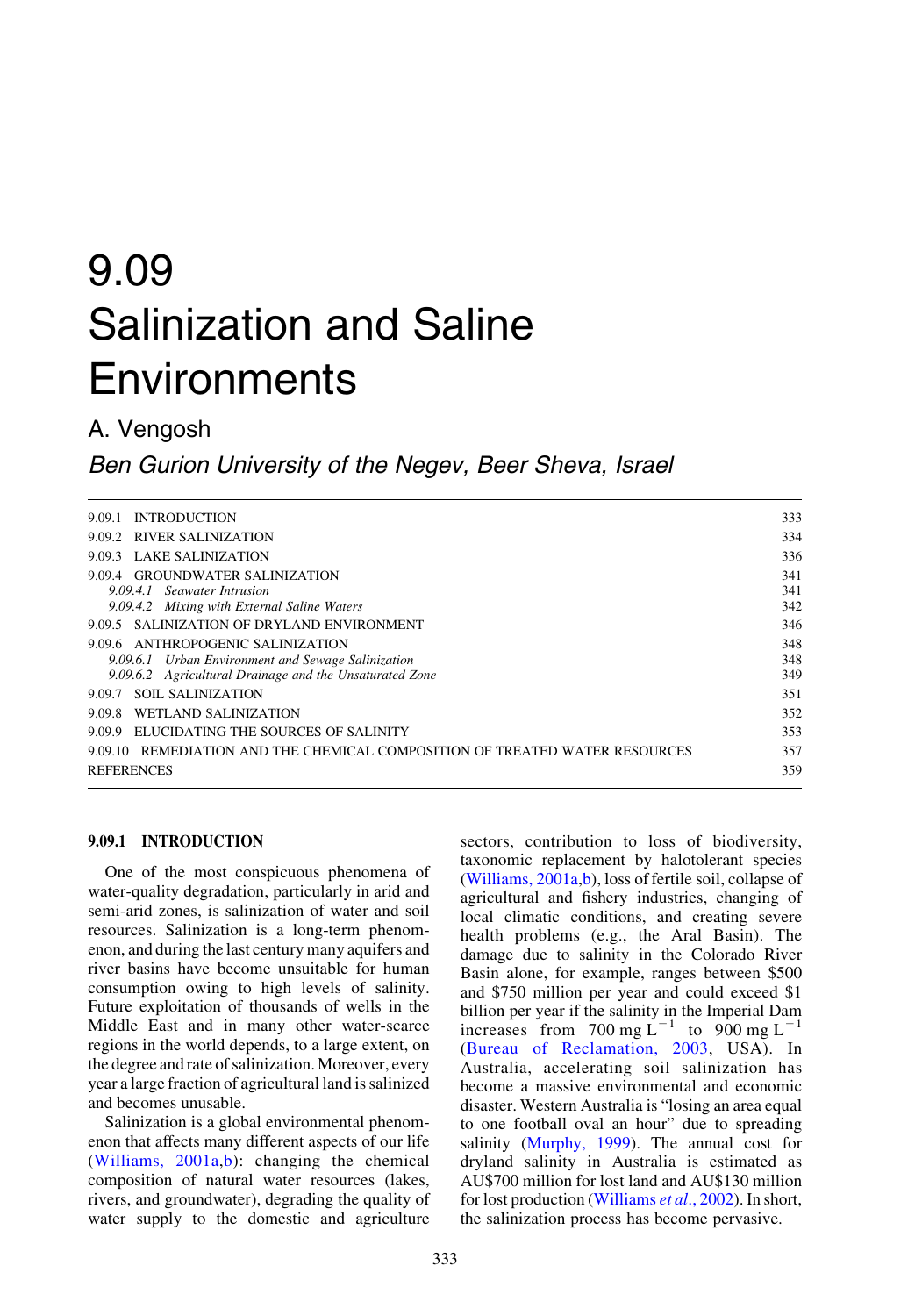# 9.09 Salinization and Saline **Environments**

A. Vengosh

Ben Gurion University of the Negev, Beer Sheva, Israel

| <b>INTRODUCTION</b><br>9.09.1                                                  | 333 |
|--------------------------------------------------------------------------------|-----|
| 9.09.2 RIVER SALINIZATION                                                      | 334 |
| 9.09.3 LAKE SALINIZATION                                                       | 336 |
| 9.09.4 GROUNDWATER SALINIZATION                                                | 341 |
| 9.09.4.1 Seawater Intrusion                                                    | 341 |
| 9.09.4.2 Mixing with External Saline Waters                                    | 342 |
| 9.09.5 SALINIZATION OF DRYLAND ENVIRONMENT                                     | 346 |
| 9.09.6 ANTHROPOGENIC SALINIZATION                                              | 348 |
| 9.09.6.1 Urban Environment and Sewage Salinization                             | 348 |
| 9.09.6.2 Agricultural Drainage and the Unsaturated Zone                        | 349 |
| <b>SOIL SALINIZATION</b><br>9.09.7                                             | 351 |
| WETLAND SALINIZATION<br>9.09.8                                                 | 352 |
| ELUCIDATING THE SOURCES OF SALINITY<br>9.09.9                                  | 353 |
| REMEDIATION AND THE CHEMICAL COMPOSITION OF TREATED WATER RESOURCES<br>9.09.10 | 357 |
| <b>REFERENCES</b>                                                              | 359 |
|                                                                                |     |

# 9.09.1 INTRODUCTION

One of the most conspicuous phenomena of water-quality degradation, particularly in arid and semi-arid zones, is salinization of water and soil resources. Salinization is a long-term phenomenon, and during the last century many aquifers and river basins have become unsuitable for human consumption owing to high levels of salinity. Future exploitation of thousands of wells in the Middle East and in many other water-scarce regions in the world depends, to a large extent, on the degree and rate of salinization. Moreover, every year a large fraction of agricultural land is salinized and becomes unusable.

Salinization is a global environmental phenomenon that affects many different aspects of our life ([Williams, 2001a](#page-32-0),[b](#page-32-0)): changing the chemical composition of natural water resources (lakes, rivers, and groundwater), degrading the quality of water supply to the domestic and agriculture

sectors, contribution to loss of biodiversity, taxonomic replacement by halotolerant species [\(Williams, 2001a,b](#page-32-0)), loss of fertile soil, collapse of agricultural and fishery industries, changing of local climatic conditions, and creating severe health problems (e.g., the Aral Basin). The damage due to salinity in the Colorado River Basin alone, for example, ranges between \$500 and \$750 million per year and could exceed \$1 billion per year if the salinity in the Imperial Dam increases from 700 mg  $\text{L}^{-1}$  to 900 mg  $\text{L}^{-1}$ [\(Bureau of Reclamation, 2003](#page-27-0), USA). In Australia, accelerating soil salinization has become a massive environmental and economic disaster. Western Australia is "losing an area equal to one football oval an hour" due to spreading salinity ([Murphy, 1999](#page-30-0)). The annual cost for dryland salinity in Australia is estimated as AU\$700 million for lost land and AU\$130 million for lost production ([Williams](#page-32-0) et al., 2002). In short, the salinization process has become pervasive.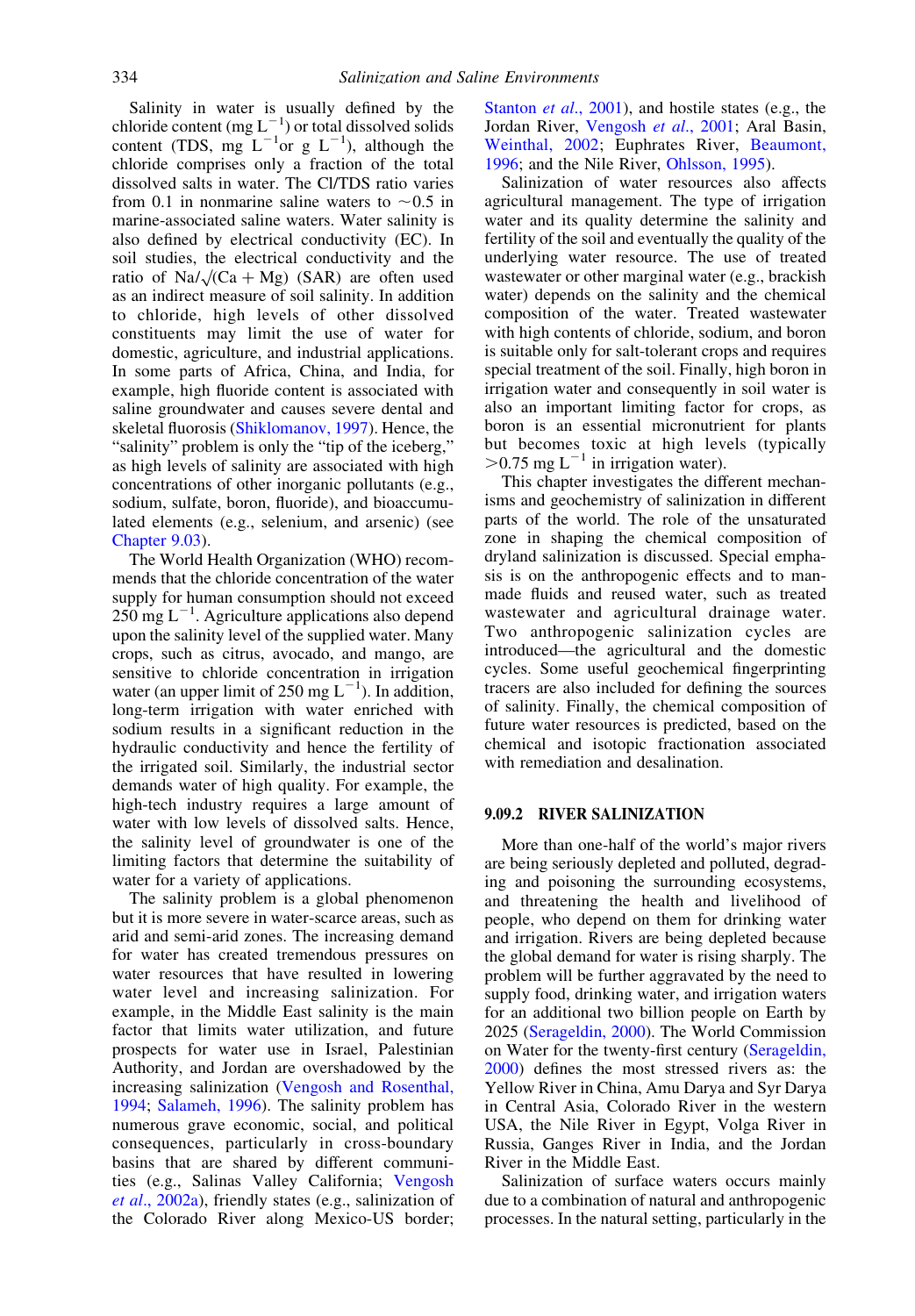Salinity in water is usually defined by the chloride content (mg  $L^{-1}$ ) or total dissolved solids content (TDS, mg  $L^{-1}$ or g  $L^{-1}$ ), although the chloride comprises only a fraction of the total dissolved salts in water. The Cl/TDS ratio varies from 0.1 in nonmarine saline waters to  $\sim$  0.5 in marine-associated saline waters. Water salinity is also defined by electrical conductivity (EC). In soil studies, the electrical conductivity and the ratio of Na/ $\sqrt{(Ca + Mg)}$  (SAR) are often used as an indirect measure of soil salinity. In addition to chloride, high levels of other dissolved constituents may limit the use of water for domestic, agriculture, and industrial applications. In some parts of Africa, China, and India, for example, high fluoride content is associated with saline groundwater and causes severe dental and skeletal fluorosis [\(Shiklomanov, 1997\)](#page-31-0). Hence, the "salinity" problem is only the "tip of the iceberg," as high levels of salinity are associated with high concentrations of other inorganic pollutants (e.g., sodium, sulfate, boron, fluoride), and bioaccumulated elements (e.g., selenium, and arsenic) (see Chapter 9.03).

The World Health Organization (WHO) recommends that the chloride concentration of the water supply for human consumption should not exceed  $250 \text{ mg L}^{-1}$ . Agriculture applications also depend upon the salinity level of the supplied water. Many crops, such as citrus, avocado, and mango, are sensitive to chloride concentration in irrigation water (an upper limit of 250 mg  $L^{-1}$ ). In addition, long-term irrigation with water enriched with sodium results in a significant reduction in the hydraulic conductivity and hence the fertility of the irrigated soil. Similarly, the industrial sector demands water of high quality. For example, the high-tech industry requires a large amount of water with low levels of dissolved salts. Hence, the salinity level of groundwater is one of the limiting factors that determine the suitability of water for a variety of applications.

The salinity problem is a global phenomenon but it is more severe in water-scarce areas, such as arid and semi-arid zones. The increasing demand for water has created tremendous pressures on water resources that have resulted in lowering water level and increasing salinization. For example, in the Middle East salinity is the main factor that limits water utilization, and future prospects for water use in Israel, Palestinian Authority, and Jordan are overshadowed by the increasing salinization [\(Vengosh and Rosenthal,](#page-31-0) [1994;](#page-31-0) [Salameh, 1996](#page-30-0)). The salinity problem has numerous grave economic, social, and political consequences, particularly in cross-boundary basins that are shared by different communities (e.g., Salinas Valley California; [Vengosh](#page-31-0) et al[., 2002a](#page-31-0)), friendly states (e.g., salinization of the Colorado River along Mexico-US border;

[Stanton](#page-31-0) et al., 2001), and hostile states (e.g., the Jordan River, [Vengosh](#page-31-0) et al., 2001; Aral Basin, [Weinthal, 2002](#page-32-0); Euphrates River, [Beaumont,](#page-27-0) [1996;](#page-27-0) and the Nile River, [Ohlsson, 1995](#page-30-0)).

Salinization of water resources also affects agricultural management. The type of irrigation water and its quality determine the salinity and fertility of the soil and eventually the quality of the underlying water resource. The use of treated wastewater or other marginal water (e.g., brackish water) depends on the salinity and the chemical composition of the water. Treated wastewater with high contents of chloride, sodium, and boron is suitable only for salt-tolerant crops and requires special treatment of the soil. Finally, high boron in irrigation water and consequently in soil water is also an important limiting factor for crops, as boron is an essential micronutrient for plants but becomes toxic at high levels (typically  $>$ 0.75 mg L<sup>-1</sup> in irrigation water).

This chapter investigates the different mechanisms and geochemistry of salinization in different parts of the world. The role of the unsaturated zone in shaping the chemical composition of dryland salinization is discussed. Special emphasis is on the anthropogenic effects and to manmade fluids and reused water, such as treated wastewater and agricultural drainage water. Two anthropogenic salinization cycles are introduced—the agricultural and the domestic cycles. Some useful geochemical fingerprinting tracers are also included for defining the sources of salinity. Finally, the chemical composition of future water resources is predicted, based on the chemical and isotopic fractionation associated with remediation and desalination.

#### 9.09.2 RIVER SALINIZATION

More than one-half of the world's major rivers are being seriously depleted and polluted, degrading and poisoning the surrounding ecosystems, and threatening the health and livelihood of people, who depend on them for drinking water and irrigation. Rivers are being depleted because the global demand for water is rising sharply. The problem will be further aggravated by the need to supply food, drinking water, and irrigation waters for an additional two billion people on Earth by 2025 [\(Serageldin, 2000](#page-31-0)). The World Commission on Water for the twenty-first century ([Serageldin,](#page-31-0) [2000\)](#page-31-0) defines the most stressed rivers as: the Yellow River in China, Amu Darya and Syr Darya in Central Asia, Colorado River in the western USA, the Nile River in Egypt, Volga River in Russia, Ganges River in India, and the Jordan River in the Middle East.

Salinization of surface waters occurs mainly due to a combination of natural and anthropogenic processes. In the natural setting, particularly in the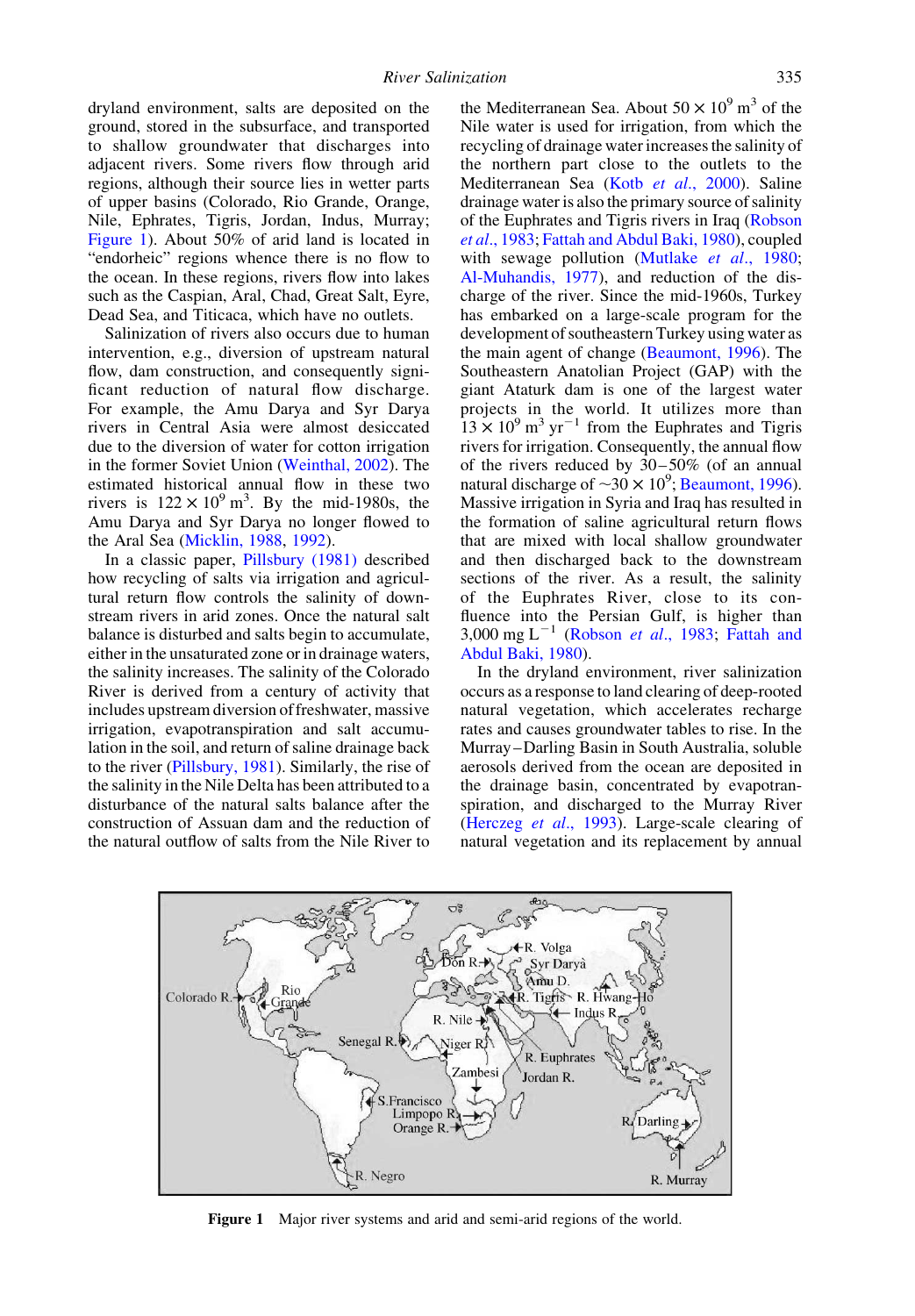dryland environment, salts are deposited on the ground, stored in the subsurface, and transported to shallow groundwater that discharges into adjacent rivers. Some rivers flow through arid regions, although their source lies in wetter parts of upper basins (Colorado, Rio Grande, Orange, Nile, Ephrates, Tigris, Jordan, Indus, Murray; Figure 1). About 50% of arid land is located in "endorheic" regions whence there is no flow to the ocean. In these regions, rivers flow into lakes such as the Caspian, Aral, Chad, Great Salt, Eyre, Dead Sea, and Titicaca, which have no outlets.

Salinization of rivers also occurs due to human intervention, e.g., diversion of upstream natural flow, dam construction, and consequently significant reduction of natural flow discharge. For example, the Amu Darya and Syr Darya rivers in Central Asia were almost desiccated due to the diversion of water for cotton irrigation in the former Soviet Union ([Weinthal, 2002\)](#page-32-0). The estimated historical annual flow in these two rivers is  $122 \times 10^9$  m<sup>3</sup>. By the mid-1980s, the Amu Darya and Syr Darya no longer flowed to the Aral Sea [\(Micklin, 1988](#page-30-0), [1992\)](#page-30-0).

In a classic paper, [Pillsbury \(1981\)](#page-30-0) described how recycling of salts via irrigation and agricultural return flow controls the salinity of downstream rivers in arid zones. Once the natural salt balance is disturbed and salts begin to accumulate, either in the unsaturated zone or in drainage waters, the salinity increases. The salinity of the Colorado River is derived from a century of activity that includes upstream diversion offreshwater, massive irrigation, evapotranspiration and salt accumulation in the soil, and return of saline drainage back to the river ([Pillsbury, 1981\)](#page-30-0). Similarly, the rise of the salinity in the Nile Delta has been attributed to a disturbance of the natural salts balance after the construction of Assuan dam and the reduction of the natural outflow of salts from the Nile River to

the Mediterranean Sea. About  $50 \times 10^9$  m<sup>3</sup> of the Nile water is used for irrigation, from which the recycling of drainage water increases the salinity of the northern part close to the outlets to the Mediterranean Sea (Kotb et al[., 2000\)](#page-29-0). Saline drainage water is also the primary source of salinity of the Euphrates and Tigris rivers in Iraq ([Robson](#page-30-0) et al[., 1983](#page-30-0); [Fattah and Abdul Baki, 1980\)](#page-28-0), coupled with sewage pollution [\(Mutlake](#page-30-0) et al., 1980; [Al-Muhandis, 1977\)](#page-26-0), and reduction of the discharge of the river. Since the mid-1960s, Turkey has embarked on a large-scale program for the development of southeastern Turkey using water as the main agent of change ([Beaumont, 1996\)](#page-27-0). The Southeastern Anatolian Project (GAP) with the giant Ataturk dam is one of the largest water projects in the world. It utilizes more than  $13 \times 10^{9}$  m<sup>3</sup> yr<sup>-1</sup> from the Euphrates and Tigris rivers for irrigation. Consequently, the annual flow of the rivers reduced by 30–50% (of an annual natural discharge of  $\sim$ 30  $\times$  10<sup>9</sup>; [Beaumont, 1996](#page-27-0)). Massive irrigation in Syria and Iraq has resulted in the formation of saline agricultural return flows that are mixed with local shallow groundwater and then discharged back to the downstream sections of the river. As a result, the salinity of the Euphrates River, close to its confluence into the Persian Gulf, is higher than 3,000 mg  $L^{-1}$  [\(Robson](#page-30-0) *et al.*, 1983; [Fattah and](#page-28-0) [Abdul Baki, 1980](#page-28-0)).

In the dryland environment, river salinization occurs as a response to land clearing of deep-rooted natural vegetation, which accelerates recharge rates and causes groundwater tables to rise. In the Murray–Darling Basin in South Australia, soluble aerosols derived from the ocean are deposited in the drainage basin, concentrated by evapotranspiration, and discharged to the Murray River [\(Herczeg](#page-28-0) et al., 1993). Large-scale clearing of natural vegetation and its replacement by annual



Figure 1 Major river systems and arid and semi-arid regions of the world.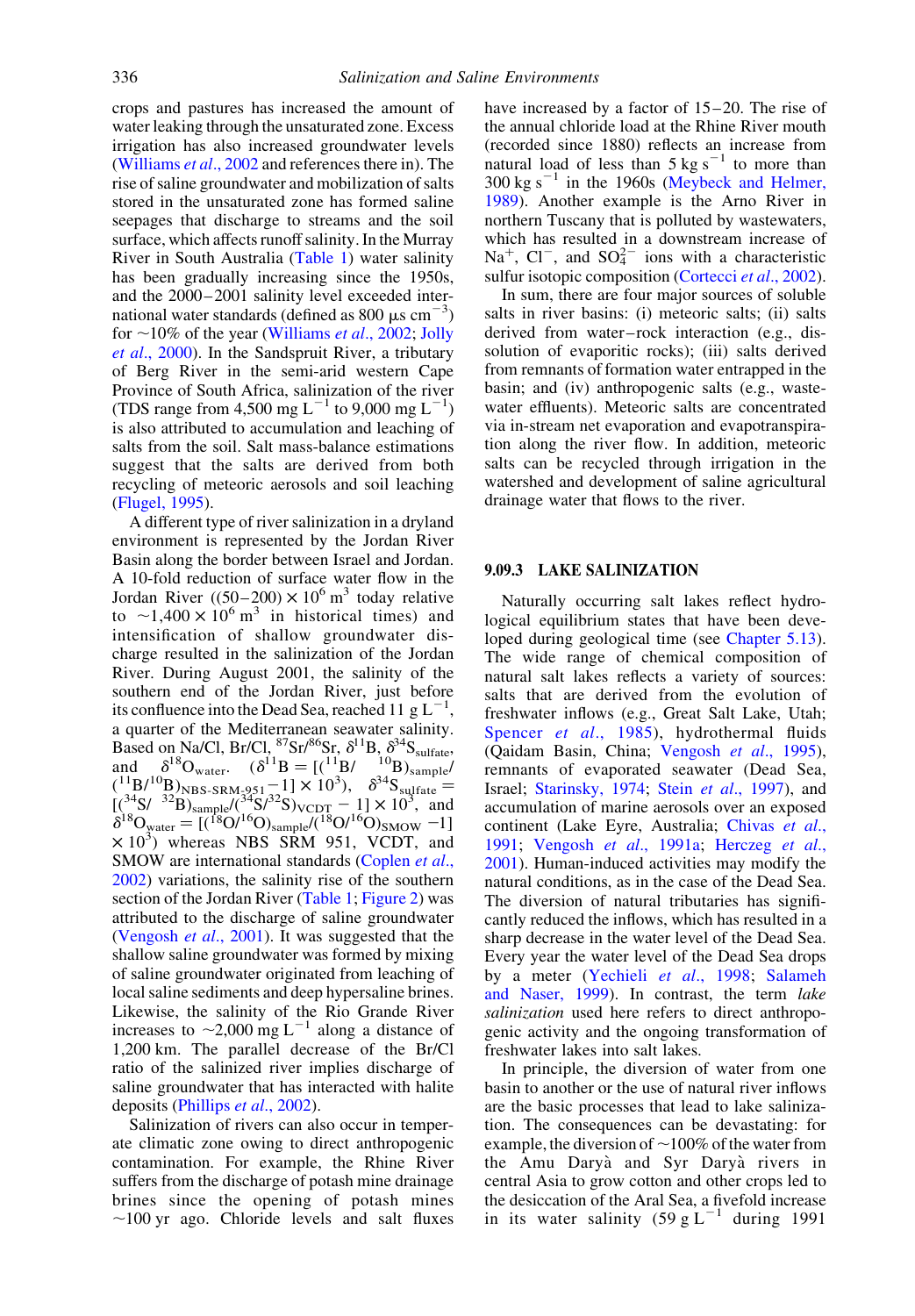crops and pastures has increased the amount of water leaking through the unsaturated zone. Excess irrigation has also increased groundwater levels [\(Williams](#page-32-0) et al., 2002 and references there in). The rise of saline groundwater and mobilization of salts stored in the unsaturated zone has formed saline seepages that discharge to streams and the soil surface, which affects runoff salinity. In the Murray River in South Australia ([Table 1](#page-4-0)) water salinity has been gradually increasing since the 1950s, and the 2000–2001 salinity level exceeded international water standards (defined as 800  $\mu$ s cm<sup>-3</sup>) for  $\sim$ 10% of the year ([Williams](#page-32-0) *et al.*, 2002; [Jolly](#page-29-0) et al[., 2000\)](#page-29-0). In the Sandspruit River, a tributary of Berg River in the semi-arid western Cape Province of South Africa, salinization of the river (TDS range from 4,500 mg L<sup>-1</sup> to 9,000 mg L<sup>-1</sup>) is also attributed to accumulation and leaching of salts from the soil. Salt mass-balance estimations suggest that the salts are derived from both recycling of meteoric aerosols and soil leaching [\(Flugel, 1995\)](#page-28-0).

A different type of river salinization in a dryland environment is represented by the Jordan River Basin along the border between Israel and Jordan. A 10-fold reduction of surface water flow in the Jordan River ((50–200)  $\times$  10<sup>6</sup> m<sup>3</sup> today relative to  $\sim$ 1,400  $\times$  10<sup>6</sup> m<sup>3</sup> in historical times) and intensification of shallow groundwater discharge resulted in the salinization of the Jordan River. During August 2001, the salinity of the southern end of the Jordan River, just before its confluence into the Dead Sea, reached 11  $g L^{-1}$ , a quarter of the Mediterranean seawater salinity. Based on Na/Cl, Br/Cl,  ${}^{87}Sr/{}^{86}Sr$ ,  $\delta^{11}B$ ,  $\delta^{34}S_{\text{sulfate}}$ , and  $\delta^{18}$ O<sub>water</sub>.  $(\delta^{11}B = [({}^{11}B / {}^{10}B)_{sample}$  $({}^{11}B/{}^{10}B)_{\text{NBS-SRM}_2,951} - 1 \times 10^{3}$ ,  $\delta^{34}S_{\text{suffix}} =$  $[(34S/32)_{\text{sample}}^3/(34S/32S)_{\text{VCDT}} - 1] \times 10^{3}$ , and  $\delta^{18}O_{\text{water}} = [(180/16O)_{\text{sample}}/(180/16O)_{\text{SMOW}} - 1]$  $\times$  10<sup>3</sup>) whereas NBS SRM 951, VCDT, and SMOW are international standards ([Coplen](#page-27-0) et al., [2002\)](#page-27-0) variations, the salinity rise of the southern section of the Jordan River [\(Table 1](#page-4-0); [Figure 2](#page-6-0)) was attributed to the discharge of saline groundwater [\(Vengosh](#page-31-0) *et al.*, 2001). It was suggested that the shallow saline groundwater was formed by mixing of saline groundwater originated from leaching of local saline sediments and deep hypersaline brines. Likewise, the salinity of the Rio Grande River increases to  $\sim$ 2,000 mg L<sup>-1</sup> along a distance of 1,200 km. The parallel decrease of the Br/Cl ratio of the salinized river implies discharge of saline groundwater that has interacted with halite deposits [\(Phillips](#page-30-0) et al., 2002).

Salinization of rivers can also occur in temperate climatic zone owing to direct anthropogenic contamination. For example, the Rhine River suffers from the discharge of potash mine drainage brines since the opening of potash mines  $\sim$ 100 yr ago. Chloride levels and salt fluxes have increased by a factor of 15–20. The rise of the annual chloride load at the Rhine River mouth (recorded since 1880) reflects an increase from natural load of less than  $5 \text{ kg s}^{-1}$  to more than  $300 \text{ kg s}^{-1}$  in the 1960s ([Meybeck and Helmer,](#page-30-0) [1989\)](#page-30-0). Another example is the Arno River in northern Tuscany that is polluted by wastewaters, which has resulted in a downstream increase of  $Na<sup>+</sup>$ , Cl<sup>-</sup>, and  $SO<sub>4</sub><sup>2-</sup>$  ions with a characteristic sulfur isotopic composition [\(Cortecci](#page-27-0) et al., 2002).

In sum, there are four major sources of soluble salts in river basins: (i) meteoric salts; (ii) salts derived from water–rock interaction (e.g., dissolution of evaporitic rocks); (iii) salts derived from remnants of formation water entrapped in the basin; and (iv) anthropogenic salts (e.g., wastewater effluents). Meteoric salts are concentrated via in-stream net evaporation and evapotranspiration along the river flow. In addition, meteoric salts can be recycled through irrigation in the watershed and development of saline agricultural drainage water that flows to the river.

## 9.09.3 LAKE SALINIZATION

Naturally occurring salt lakes reflect hydrological equilibrium states that have been developed during geological time (see Chapter 5.13). The wide range of chemical composition of natural salt lakes reflects a variety of sources: salts that are derived from the evolution of freshwater inflows (e.g., Great Salt Lake, Utah; Spencer et al[., 1985\)](#page-31-0), hydrothermal fluids (Qaidam Basin, China; [Vengosh](#page-31-0) et al., 1995), remnants of evaporated seawater (Dead Sea, Israel; [Starinsky, 1974](#page-31-0); Stein et al[., 1997](#page-31-0)), and accumulation of marine aerosols over an exposed continent (Lake Eyre, Australia; [Chivas](#page-27-0) et al., [1991;](#page-27-0) Vengosh et al[., 1991a](#page-31-0); [Herczeg](#page-28-0) et al., [2001\)](#page-28-0). Human-induced activities may modify the natural conditions, as in the case of the Dead Sea. The diversion of natural tributaries has significantly reduced the inflows, which has resulted in a sharp decrease in the water level of the Dead Sea. Every year the water level of the Dead Sea drops by a meter ([Yechieli](#page-32-0) et al., 1998; [Salameh](#page-30-0) [and Naser, 1999\)](#page-30-0). In contrast, the term lake salinization used here refers to direct anthropogenic activity and the ongoing transformation of freshwater lakes into salt lakes.

In principle, the diversion of water from one basin to another or the use of natural river inflows are the basic processes that lead to lake salinization. The consequences can be devastating: for example, the diversion of  $\sim$ 100% of the water from the Amu Darya` and Syr Darya` rivers in central Asia to grow cotton and other crops led to the desiccation of the Aral Sea, a fivefold increase in its water salinity  $(59 \text{ g L}^{-1}$  during 1991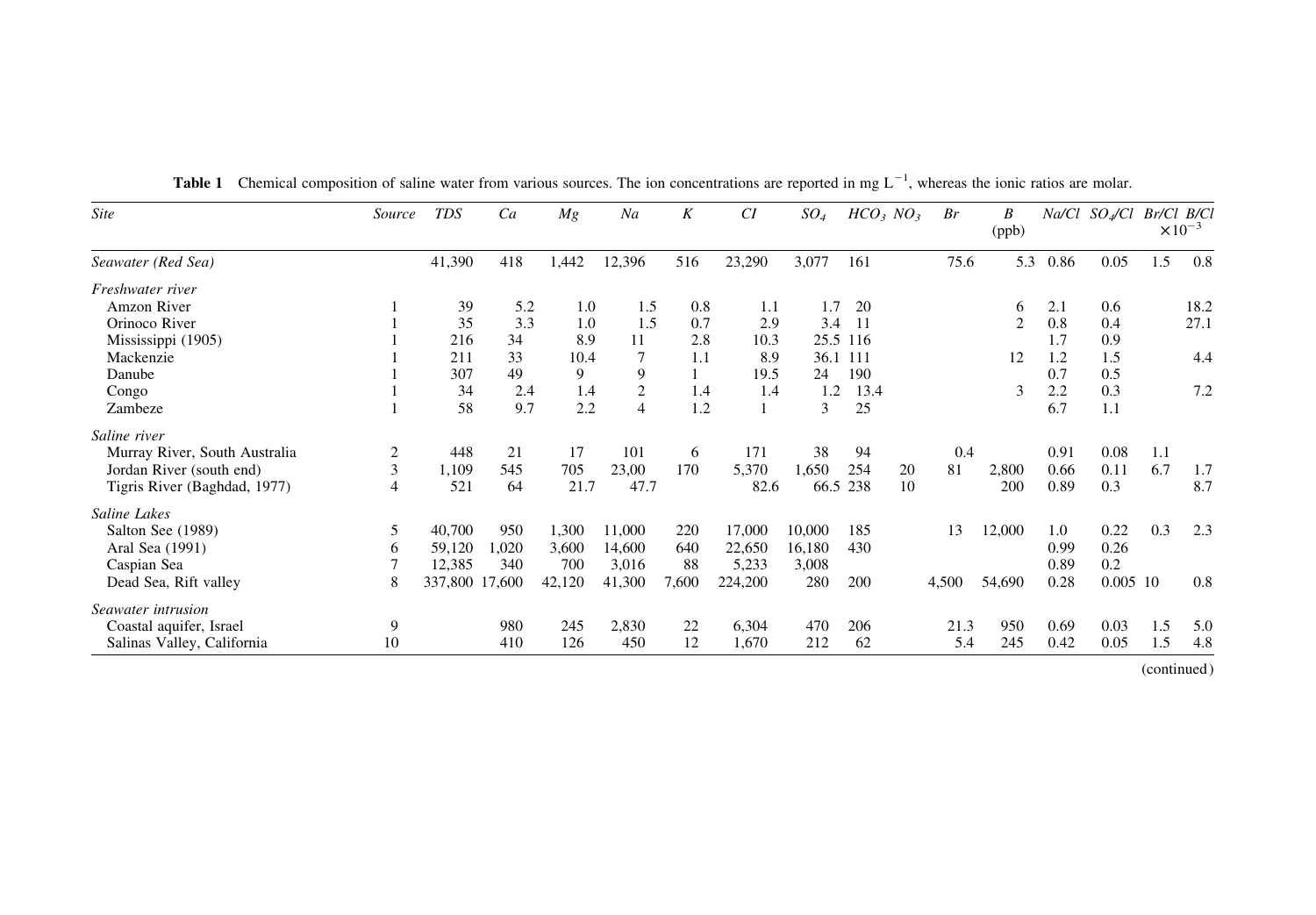<span id="page-4-0"></span>

| <b>Site</b>                   | Source           | <b>TDS</b> | Ca     | Mg     | Na             | K     | CI      | $SO_4$ | $HCO3$ NO <sub>3</sub> |    | Br    | B<br>(ppb)     | Na/Cl | $SO_4$ /Cl | Br/Cl B/Cl | $\times 10^{-3}$ |
|-------------------------------|------------------|------------|--------|--------|----------------|-------|---------|--------|------------------------|----|-------|----------------|-------|------------|------------|------------------|
| Seawater (Red Sea)            |                  | 41,390     | 418    | 1,442  | 12,396         | 516   | 23,290  | 3,077  | 161                    |    | 75.6  | 5.3            | 0.86  | 0.05       | 1.5        | 0.8              |
| Freshwater river              |                  |            |        |        |                |       |         |        |                        |    |       |                |       |            |            |                  |
| <b>Amzon River</b>            |                  | 39         | 5.2    | 1.0    | 1.5            | 0.8   | 1.1     | 1.7    | 20                     |    |       | 6              | 2.1   | 0.6        |            | 18.2             |
| Orinoco River                 |                  | 35         | 3.3    | 1.0    | 1.5            | 0.7   | 2.9     | 3.4    | 11                     |    |       | $\overline{2}$ | 0.8   | 0.4        |            | 27.1             |
| Mississippi (1905)            |                  | 216        | 34     | 8.9    | 11             | 2.8   | 10.3    |        | 25.5 116               |    |       |                | 1.7   | 0.9        |            |                  |
| Mackenzie                     |                  | 211        | 33     | 10.4   |                | 1.1   | 8.9     | 36.1   | 111                    |    |       | 12             | 1.2   | 1.5        |            | 4.4              |
| Danube                        |                  | 307        | 49     | 9      | 9              |       | 19.5    | 24     | 190                    |    |       |                | 0.7   | 0.5        |            |                  |
| Congo                         |                  | 34         | 2.4    | 1.4    | $\overline{2}$ | 1.4   | 1.4     | 1.2    | 13.4                   |    |       | 3              | 2.2   | 0.3        |            | 7.2              |
| Zambeze                       |                  | 58         | 9.7    | 2.2    | 4              | 1.2   |         | 3      | 25                     |    |       |                | 6.7   | 1.1        |            |                  |
| Saline river                  |                  |            |        |        |                |       |         |        |                        |    |       |                |       |            |            |                  |
| Murray River, South Australia | $\boldsymbol{2}$ | 448        | 21     | 17     | 101            | 6     | 171     | 38     | 94                     |    | 0.4   |                | 0.91  | 0.08       | 1.1        |                  |
| Jordan River (south end)      | 3                | 1,109      | 545    | 705    | 23,00          | 170   | 5,370   | 1,650  | 254                    | 20 | 81    | 2,800          | 0.66  | 0.11       | 6.7        | 1.7              |
| Tigris River (Baghdad, 1977)  | $\overline{4}$   | 521        | 64     | 21.7   | 47.7           |       | 82.6    | 66.5   | 238                    | 10 |       | 200            | 0.89  | 0.3        |            | 8.7              |
| Saline Lakes                  |                  |            |        |        |                |       |         |        |                        |    |       |                |       |            |            |                  |
| Salton See (1989)             | 5                | 40,700     | 950    | 1,300  | 11,000         | 220   | 17,000  | 10,000 | 185                    |    | 13    | 12,000         | 1.0   | 0.22       | 0.3        | 2.3              |
| Aral Sea (1991)               | 6                | 59,120     | 1,020  | 3,600  | 14,600         | 640   | 22,650  | 16,180 | 430                    |    |       |                | 0.99  | 0.26       |            |                  |
| Caspian Sea                   |                  | 12,385     | 340    | 700    | 3,016          | 88    | 5,233   | 3,008  |                        |    |       |                | 0.89  | 0.2        |            |                  |
| Dead Sea, Rift valley         | 8                | 337,800    | 17,600 | 42,120 | 41,300         | 7,600 | 224,200 | 280    | 200                    |    | 4,500 | 54,690         | 0.28  | 0.005 10   |            | 0.8              |
| Seawater intrusion            |                  |            |        |        |                |       |         |        |                        |    |       |                |       |            |            |                  |
| Coastal aquifer, Israel       | 9                |            | 980    | 245    | 2,830          | 22    | 6,304   | 470    | 206                    |    | 21.3  | 950            | 0.69  | 0.03       | 1.5        | 5.0              |
| Salinas Valley, California    | 10               |            | 410    | 126    | 450            | 12    | 1,670   | 212    | 62                     |    | 5.4   | 245            | 0.42  | 0.05       | 1.5        | 4.8              |

| <b>Table 1</b> Chemical composition of saline water from various sources. The ion concentrations are reported in mg $L^{-1}$ , whereas the ionic ratios are molar. |  |
|--------------------------------------------------------------------------------------------------------------------------------------------------------------------|--|

(continued)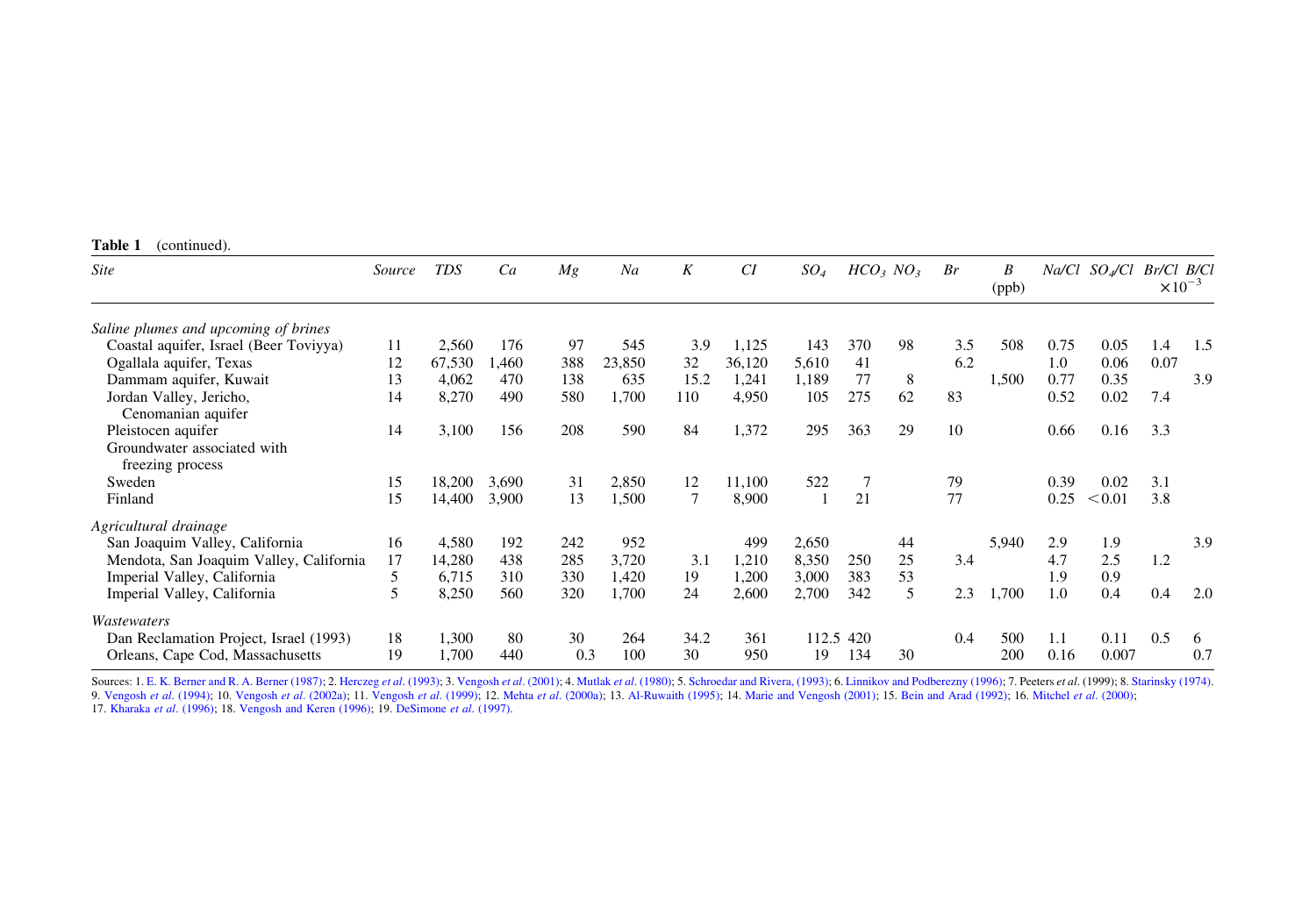| Table 1<br>(continued). |  |
|-------------------------|--|
|-------------------------|--|

| <b>Site</b>                                                                    | Source | <b>TDS</b> | Ca    | Mg  | Na     | K      | C <sub>1</sub> | $SO_4$ |     | HCO <sub>3</sub> NO <sub>3</sub> | Br  | B<br>(ppb) | Na/Cl | $SO_4$ /Cl | Br/Cl B/Cl<br>$\times 10^{-3}$ |     |
|--------------------------------------------------------------------------------|--------|------------|-------|-----|--------|--------|----------------|--------|-----|----------------------------------|-----|------------|-------|------------|--------------------------------|-----|
|                                                                                |        |            |       |     |        |        |                |        |     |                                  |     |            |       |            |                                |     |
| Saline plumes and upcoming of brines<br>Coastal aquifer, Israel (Beer Toviyya) | 11     | 2,560      | 176   | 97  | 545    | 3.9    | 1,125          | 143    | 370 | 98                               | 3.5 | 508        | 0.75  | 0.05       | l .4                           | 1.5 |
| Ogallala aquifer, Texas                                                        | 12     | 67,530     | 1,460 | 388 | 23,850 | 32     | 36,120         | 5,610  | 41  |                                  | 6.2 |            | 1.0   | 0.06       | 0.07                           |     |
|                                                                                |        |            | 470   | 138 | 635    |        |                |        | 77  |                                  |     |            |       |            |                                | 3.9 |
| Dammam aquifer, Kuwait                                                         | 13     | 4,062      |       |     |        | 15.2   | 1,241          | 1,189  |     | 8                                |     | 1,500      | 0.77  | 0.35       |                                |     |
| Jordan Valley, Jericho,<br>Cenomanian aquifer                                  | 14     | 8,270      | 490   | 580 | 1,700  | 110    | 4,950          | 105    | 275 | 62                               | 83  |            | 0.52  | 0.02       | 7.4                            |     |
| Pleistocen aquifer                                                             | 14     | 3,100      | 156   | 208 | 590    | 84     | 1,372          | 295    | 363 | 29                               | 10  |            | 0.66  | 0.16       | 3.3                            |     |
| Groundwater associated with                                                    |        |            |       |     |        |        |                |        |     |                                  |     |            |       |            |                                |     |
| freezing process                                                               |        |            |       |     |        |        |                |        |     |                                  |     |            |       |            |                                |     |
| Sweden                                                                         | 15     | 18,200     | 3,690 | 31  | 2,850  | 12     | 11,100         | 522    | 7   |                                  | 79  |            | 0.39  | 0.02       | 3.1                            |     |
| Finland                                                                        | 15     | 14,400     | 3,900 | 13  | 1,500  | $\tau$ | 8,900          |        | 21  |                                  | 77  |            | 0.25  | < 0.01     | 3.8                            |     |
| Agricultural drainage                                                          |        |            |       |     |        |        |                |        |     |                                  |     |            |       |            |                                |     |
| San Joaquim Valley, California                                                 | 16     | 4,580      | 192   | 242 | 952    |        | 499            | 2,650  |     | 44                               |     | 5,940      | 2.9   | 1.9        |                                | 3.9 |
| Mendota, San Joaquim Valley, California                                        | 17     | 14,280     | 438   | 285 | 3,720  | 3.1    | 1,210          | 8,350  | 250 | 25                               | 3.4 |            | 4.7   | 2.5        | 1.2                            |     |
| Imperial Valley, California                                                    | 5      | 6,715      | 310   | 330 | 1,420  | 19     | 1,200          | 3,000  | 383 | 53                               |     |            | 1.9   | 0.9        |                                |     |
| Imperial Valley, California                                                    | 5      | 8,250      | 560   | 320 | 1,700  | 24     | 2,600          | 2,700  | 342 | 5                                | 2.3 | 1,700      | 1.0   | 0.4        | 0.4                            | 2.0 |
| Wastewaters                                                                    |        |            |       |     |        |        |                |        |     |                                  |     |            |       |            |                                |     |
| Dan Reclamation Project, Israel (1993)                                         | 18     | 1,300      | 80    | 30  | 264    | 34.2   | 361            | 112.5  | 420 |                                  | 0.4 | 500        | 1.1   | 0.11       | 0.5                            | 6   |
| Orleans, Cape Cod, Massachusetts                                               | 19     | 1,700      | 440   | 0.3 | 100    | 30     | 950            | 19     | 134 | 30                               |     | 200        | 0.16  | 0.007      |                                | 0.7 |

Sources: 1. E. K. Berner and R. A. Berner [\(1987\)](#page-27-0); 2. [Herczeg](#page-28-0) et al. (1993); 3. [Vengosh](#page-31-0) et al. (2001); 4. Mutlak et al. (1990); 5. [Schroedar](#page-31-0) and Rivera, (1993); 6. Linnikov and [Podberezny](#page-29-0) (1996); 7. Peeters et al. (1999); 8 9. [Vengosh](#page-31-0) et al. (1994); 10. Vengosh et al. (2002a); 11. Vengosh et al. (1999); 12. Mehta et al. [\(2000a\)](#page-30-0); 13. [Al-Ruwaith](#page-26-0) (1995); 14. Marie and Vengosh (2001); 15. Bein and Arad [\(1992\)](#page-27-0); 16. Mitchel et al. [\(2000\)](#page-30-0); 17. Khara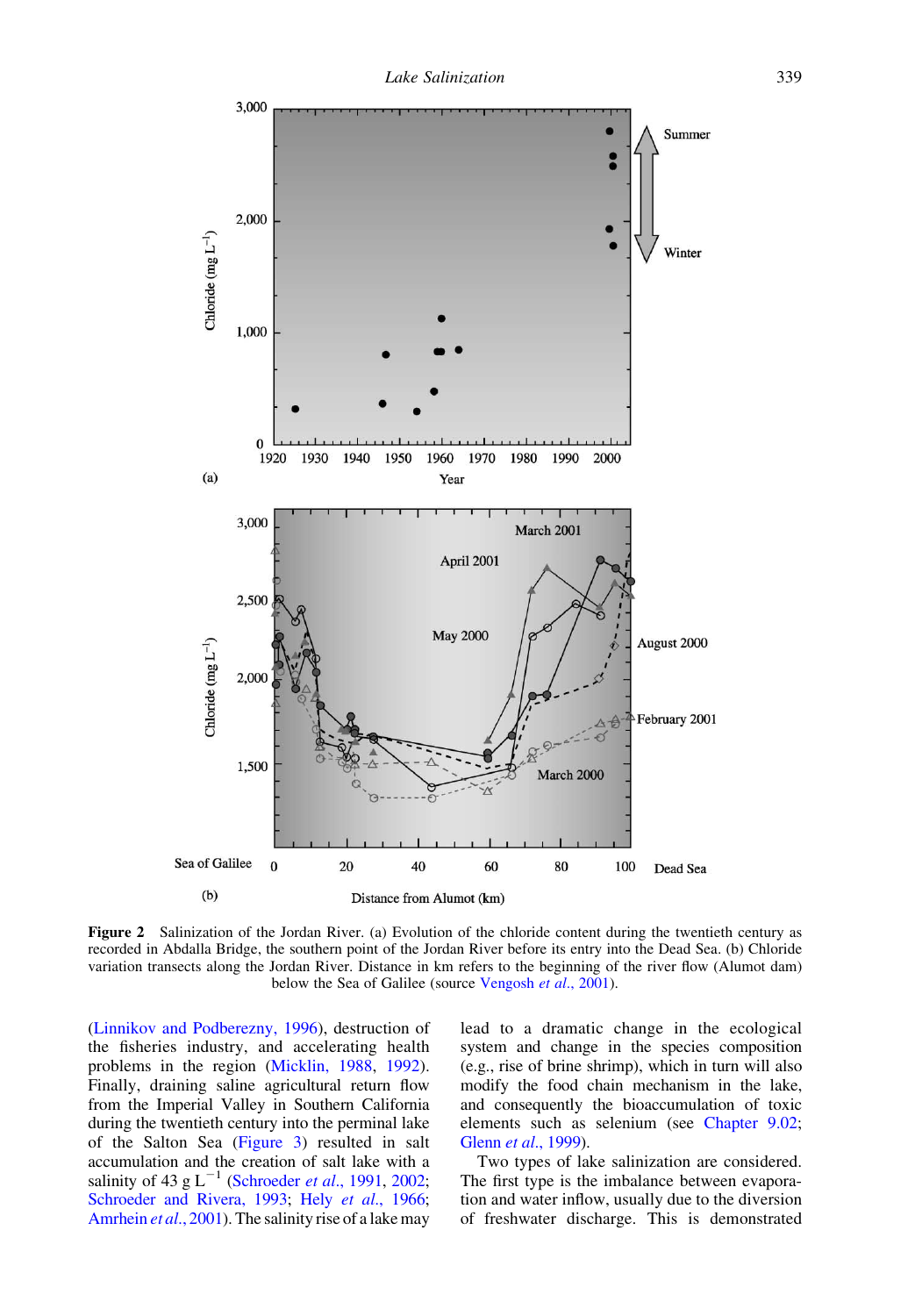<span id="page-6-0"></span>

Figure 2 Salinization of the Jordan River. (a) Evolution of the chloride content during the twentieth century as recorded in Abdalla Bridge, the southern point of the Jordan River before its entry into the Dead Sea. (b) Chloride variation transects along the Jordan River. Distance in km refers to the beginning of the river flow (Alumot dam) below the Sea of Galilee (source [Vengosh](#page-31-0) et al., 2001).

([Linnikov and Podberezny, 1996](#page-29-0)), destruction of the fisheries industry, and accelerating health problems in the region ([Micklin, 1988](#page-30-0), [1992\)](#page-30-0). Finally, draining saline agricultural return flow from the Imperial Valley in Southern California during the twentieth century into the perminal lake of the Salton Sea ([Figure 3\)](#page-7-0) resulted in salt accumulation and the creation of salt lake with a salinity of 43 g  $L^{-1}$  [\(Schroeder](#page-31-0) *et al.*, 1991, [2002;](#page-31-0) [Schroeder and Rivera, 1993](#page-31-0); Hely et al[., 1966;](#page-28-0) [Amrhein](#page-26-0) et al., 2001). The salinity rise of a lake may

lead to a dramatic change in the ecological system and change in the species composition (e.g., rise of brine shrimp), which in turn will also modify the food chain mechanism in the lake, and consequently the bioaccumulation of toxic elements such as selenium (see Chapter 9.02; Glenn et al[., 1999](#page-28-0)).

Two types of lake salinization are considered. The first type is the imbalance between evaporation and water inflow, usually due to the diversion of freshwater discharge. This is demonstrated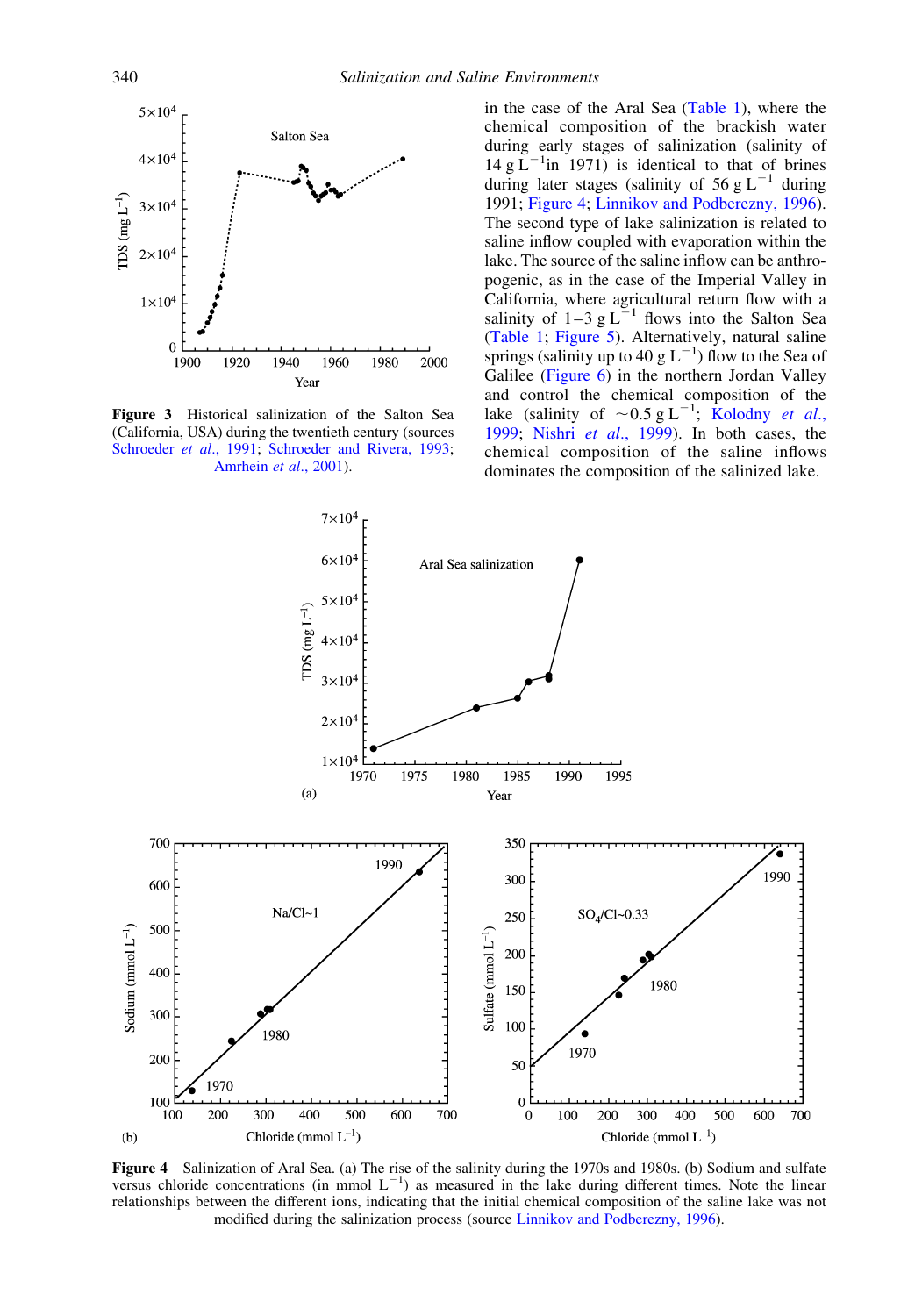<span id="page-7-0"></span>

Figure 3 Historical salinization of the Salton Sea (California, USA) during the twentieth century (sources [Schroeder](#page-31-0) et al., 1991; [Schroeder and Rivera, 1993;](#page-31-0) [Amrhein](#page-26-0) et al., 2001).

in the case of the Aral Sea ([Table 1](#page-4-0)), where the chemical composition of the brackish water during early stages of salinization (salinity of 14 g  $\tilde{L}^{-1}$ in 1971) is identical to that of brines during later stages (salinity of 56 g  $L^{-1}$  during 1991; Figure 4; [Linnikov and Podberezny, 1996](#page-29-0)). The second type of lake salinization is related to saline inflow coupled with evaporation within the lake. The source of the saline inflow can be anthropogenic, as in the case of the Imperial Valley in California, where agricultural return flow with a salinity of  $1-3 g L^{-1}$  flows into the Salton Sea [\(Table 1;](#page-4-0) [Figure 5](#page-8-0)). Alternatively, natural saline springs (salinity up to 40 g  $L^{-1}$ ) flow to the Sea of Galilee [\(Figure 6\)](#page-8-0) in the northern Jordan Valley and control the chemical composition of the lake (salinity of  $\sim 0.5$  g L<sup>-1</sup>; [Kolodny](#page-29-0) *et al.*, [1999;](#page-29-0) Nishri et al[., 1999](#page-30-0)). In both cases, the chemical composition of the saline inflows dominates the composition of the salinized lake.



Figure 4 Salinization of Aral Sea. (a) The rise of the salinity during the 1970s and 1980s. (b) Sodium and sulfate versus chloride concentrations (in mmol  $L^{-1}$ ) as measured in the lake during different times. Note the linear relationships between the different ions, indicating that the initial chemical composition of the saline lake was not modified during the salinization process (source [Linnikov and Podberezny, 1996](#page-29-0)).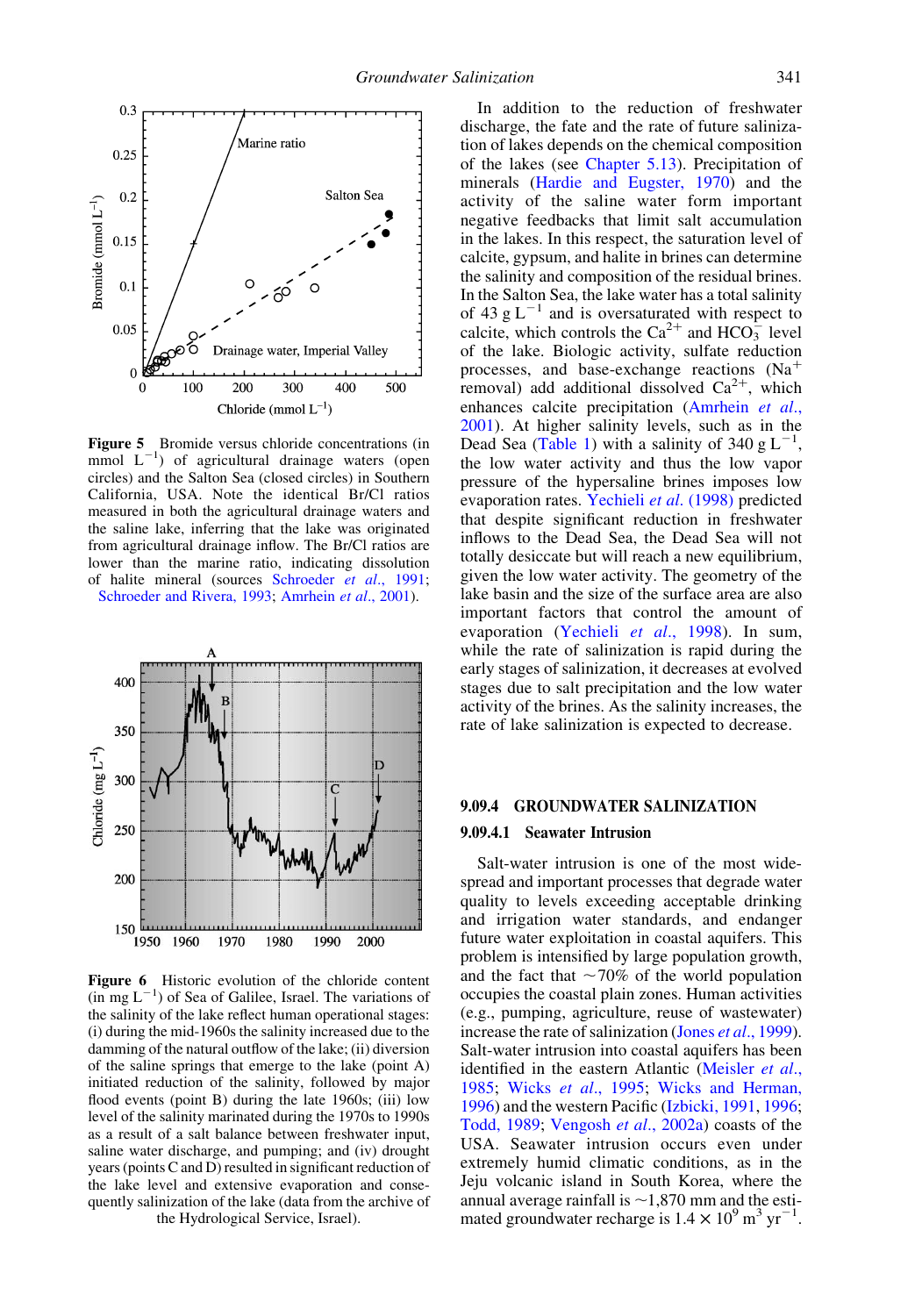<span id="page-8-0"></span>

Figure 5 Bromide versus chloride concentrations (in mmol  $L^{-1}$ ) of agricultural drainage waters (open circles) and the Salton Sea (closed circles) in Southern California, USA. Note the identical Br/Cl ratios measured in both the agricultural drainage waters and the saline lake, inferring that the lake was originated from agricultural drainage inflow. The Br/Cl ratios are lower than the marine ratio, indicating dissolution of halite mineral (sources [Schroeder](#page-31-0) et al., 1991; [Schroeder and Rivera, 1993](#page-31-0); [Amrhein](#page-26-0) et al., 2001).



Figure 6 Historic evolution of the chloride content  $(\text{in} \text{ mg L}^{-1})$  of Sea of Galilee, Israel. The variations of the salinity of the lake reflect human operational stages: (i) during the mid-1960s the salinity increased due to the damming of the natural outflow of the lake; (ii) diversion of the saline springs that emerge to the lake (point A) initiated reduction of the salinity, followed by major flood events (point B) during the late 1960s; (iii) low level of the salinity marinated during the 1970s to 1990s as a result of a salt balance between freshwater input, saline water discharge, and pumping; and (iv) drought years (points C and D) resulted in significant reduction of the lake level and extensive evaporation and consequently salinization of the lake (data from the archive of the Hydrological Service, Israel).

In addition to the reduction of freshwater discharge, the fate and the rate of future salinization of lakes depends on the chemical composition of the lakes (see Chapter 5.13). Precipitation of minerals ([Hardie and Eugster, 1970](#page-28-0)) and the activity of the saline water form important negative feedbacks that limit salt accumulation in the lakes. In this respect, the saturation level of calcite, gypsum, and halite in brines can determine the salinity and composition of the residual brines. In the Salton Sea, the lake water has a total salinity of 43 g  $L^{-1}$  and is oversaturated with respect to calcite, which controls the Ca<sup>2+</sup> and HCO<sub>3</sub> level of the lake. Biologic activity, sulfate reduction processes, and base-exchange reactions  $(Na^+$ removal) add additional dissolved  $Ca^{2+}$ , which enhances calcite precipitation [\(Amrhein](#page-26-0) et al., [2001\)](#page-26-0). At higher salinity levels, such as in the Dead Sea [\(Table 1](#page-4-0)) with a salinity of 340 g  $L^{-1}$ , the low water activity and thus the low vapor pressure of the hypersaline brines imposes low evaporation rates. [Yechieli](#page-32-0) et al. (1998) predicted that despite significant reduction in freshwater inflows to the Dead Sea, the Dead Sea will not totally desiccate but will reach a new equilibrium, given the low water activity. The geometry of the lake basin and the size of the surface area are also important factors that control the amount of evaporation ([Yechieli](#page-32-0) et al., 1998). In sum, while the rate of salinization is rapid during the early stages of salinization, it decreases at evolved stages due to salt precipitation and the low water activity of the brines. As the salinity increases, the rate of lake salinization is expected to decrease.

#### 9.09.4 GROUNDWATER SALINIZATION

#### 9.09.4.1 Seawater Intrusion

Salt-water intrusion is one of the most widespread and important processes that degrade water quality to levels exceeding acceptable drinking and irrigation water standards, and endanger future water exploitation in coastal aquifers. This problem is intensified by large population growth, and the fact that  $\sim$  70% of the world population occupies the coastal plain zones. Human activities (e.g., pumping, agriculture, reuse of wastewater) increase the rate of salinization (Jones et al[., 1999](#page-29-0)). Salt-water intrusion into coastal aquifers has been identified in the eastern Atlantic [\(Meisler](#page-30-0) et al., [1985;](#page-30-0) Wicks et al[., 1995;](#page-32-0) [Wicks and Herman,](#page-32-0) [1996\)](#page-32-0) and the western Pacific ([Izbicki, 1991,](#page-29-0) [1996](#page-29-0); [Todd, 1989;](#page-31-0) [Vengosh](#page-31-0) et al., 2002a) coasts of the USA. Seawater intrusion occurs even under extremely humid climatic conditions, as in the Jeju volcanic island in South Korea, where the annual average rainfall is  $\sim$ 1,870 mm and the estimated groundwater recharge is  $1.4 \times 10^9$  m<sup>3</sup> yr<sup>-1</sup>.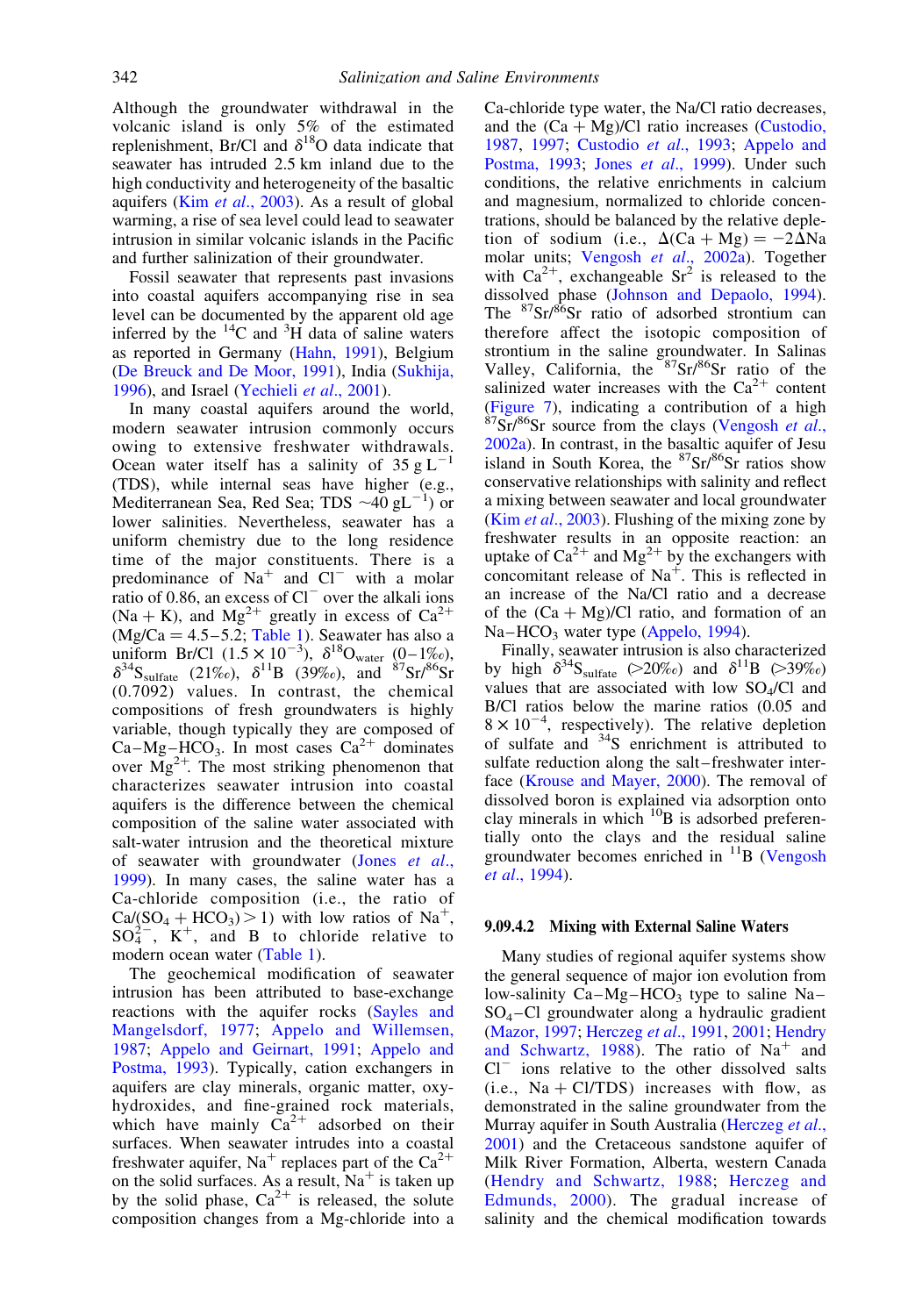Although the groundwater withdrawal in the volcanic island is only 5% of the estimated replenishment, Br/Cl and  $\delta^{18}$ O data indicate that seawater has intruded 2.5 km inland due to the high conductivity and heterogeneity of the basaltic aquifers (Kim et al[., 2003](#page-29-0)). As a result of global warming, a rise of sea level could lead to seawater intrusion in similar volcanic islands in the Pacific and further salinization of their groundwater.

Fossil seawater that represents past invasions into coastal aquifers accompanying rise in sea level can be documented by the apparent old age inferred by the  $^{14}$ C and  $^{3}$ H data of saline waters as reported in Germany ([Hahn, 1991](#page-28-0)), Belgium [\(De Breuck and De Moor, 1991\)](#page-27-0), India ([Sukhija,](#page-31-0) [1996\)](#page-31-0), and Israel ([Yechieli](#page-32-0) et al., 2001).

In many coastal aquifers around the world, modern seawater intrusion commonly occurs owing to extensive freshwater withdrawals. Ocean water itself has a salinity of 35 g  $L^{-1}$ (TDS), while internal seas have higher (e.g., Mediterranean Sea, Red Sea; TDS  $\sim$ 40 gL<sup>-1</sup>) or lower salinities. Nevertheless, seawater has a uniform chemistry due to the long residence time of the major constituents. There is a predominance of  $Na<sup>+</sup>$  and  $Cl<sup>-</sup>$  with a molar ratio of 0.86, an excess of  $Cl^-$  over the alkali ions (Na + K), and Mg<sup>2+</sup> greatly in excess of Ca<sup>2+</sup>  $(Mg/Ca = 4.5-5.2;$  [Table 1](#page-4-0)). Seawater has also a uniform Br/Cl  $(1.5 \times 10^{-3})$ ,  $\delta^{18}O_{\text{water}}$  (0-1\%),  $\delta^{34}S_{\text{sulfate}}$  (21‰),  $\delta^{11}B$  (39‰), and  $\delta^{7}Sr/86Sr$ (0.7092) values. In contrast, the chemical compositions of fresh groundwaters is highly variable, though typically they are composed of Ca–Mg–HCO<sub>3</sub>. In most cases  $Ca^{2+}$  dominates over  $\widetilde{Mg}^{2+}$ . The most striking phenomenon that characterizes seawater intrusion into coastal aquifers is the difference between the chemical composition of the saline water associated with salt-water intrusion and the theoretical mixture of seawater with groundwater ([Jones](#page-29-0) et al., [1999\)](#page-29-0). In many cases, the saline water has a Ca-chloride composition (i.e., the ratio of  $Ca/(SO_4 + HCO_3) > 1)$  with low ratios of Na<sup>+</sup>,  $SO_4^{2-}$ ,  $K^+$ , and B to chloride relative to modern ocean water [\(Table 1](#page-4-0)).

The geochemical modification of seawater intrusion has been attributed to base-exchange reactions with the aquifer rocks ([Sayles and](#page-31-0) [Mangelsdorf, 1977](#page-31-0); [Appelo and Willemsen,](#page-26-0) [1987;](#page-26-0) [Appelo and Geirnart, 1991;](#page-26-0) [Appelo and](#page-26-0) [Postma, 1993](#page-26-0)). Typically, cation exchangers in aquifers are clay minerals, organic matter, oxyhydroxides, and fine-grained rock materials, which have mainly  $Ca^{2+}$  adsorbed on their surfaces. When seawater intrudes into a coastal freshwater aquifer, Na<sup>+</sup> replaces part of the  $Ca^{2+}$ on the solid surfaces. As a result,  $Na<sup>+</sup>$  is taken up by the solid phase,  $Ca^{2+}$  is released, the solute composition changes from a Mg-chloride into a

Ca-chloride type water, the Na/Cl ratio decreases, and the  $(Ca + Mg)/C1$  ratio increases ([Custodio,](#page-27-0) [1987,](#page-27-0) [1997;](#page-27-0) [Custodio](#page-27-0) et al., 1993; [Appelo and](#page-26-0) [Postma, 1993;](#page-26-0) Jones et al[., 1999](#page-29-0)). Under such conditions, the relative enrichments in calcium and magnesium, normalized to chloride concentrations, should be balanced by the relative depletion of sodium (i.e.,  $\Delta(Ca + Mg) = -2\Delta Na$ molar units; [Vengosh](#page-31-0) et al., 2002a). Together with  $Ca^{2+}$ , exchangeable  $Sr^{2}$  is released to the dissolved phase ([Johnson and Depaolo, 1994](#page-29-0)). The  ${}^{87}Sr/{}^{86}Sr$  ratio of adsorbed strontium can therefore affect the isotopic composition of strontium in the saline groundwater. In Salinas Valley, California, the  $87$ Sr/ $86$ Sr ratio of the salinized water increases with the  $Ca^{2+}$  content [\(Figure 7](#page-10-0)), indicating a contribution of a high  ${}^{87}Sr/{}^{86}Sr$  source from the clays ([Vengosh](#page-31-0) *et al.*, [2002a](#page-31-0)). In contrast, in the basaltic aquifer of Jesu island in South Korea, the  $87$ Sr/ $86$ Sr ratios show conservative relationships with salinity and reflect a mixing between seawater and local groundwater (Kim *et al.*, 2003). Flushing of the mixing zone by freshwater results in an opposite reaction: an uptake of  $Ca^{2+}$  and  $Mg^{2+}$  by the exchangers with concomitant release of  $Na<sup>+</sup>$ . This is reflected in an increase of the Na/Cl ratio and a decrease of the  $(Ca + Mg)/Cl$  ratio, and formation of an  $Na-HCO<sub>3</sub>$  water type [\(Appelo, 1994\)](#page-26-0).

Finally, seawater intrusion is also characterized by high  $\delta^{34}S_{\text{suffix}}$  (>20‰) and  $\delta^{11}B$  (>39‰) values that are associated with low SO4/Cl and B/Cl ratios below the marine ratios (0.05 and  $8 \times 10^{-4}$ , respectively). The relative depletion of sulfate and 34S enrichment is attributed to sulfate reduction along the salt–freshwater interface ([Krouse and Mayer, 2000\)](#page-29-0). The removal of dissolved boron is explained via adsorption onto clay minerals in which  $^{10}B$  is adsorbed preferentially onto the clays and the residual saline groundwater becomes enriched in  ${}^{11}B$  ([Vengosh](#page-31-0) et al[., 1994\)](#page-31-0).

#### 9.09.4.2 Mixing with External Saline Waters

Many studies of regional aquifer systems show the general sequence of major ion evolution from low-salinity  $Ca-Mg-HCO<sub>3</sub>$  type to saline Na–  $SO_4$ –Cl groundwater along a hydraulic gradient [\(Mazor, 1997](#page-29-0); [Herczeg](#page-28-0) et al., 1991, [2001](#page-28-0); [Hendry](#page-28-0) [and Schwartz, 1988](#page-28-0)). The ratio of  $Na<sup>+</sup>$  and  $Cl<sup>-</sup>$  ions relative to the other dissolved salts  $(i.e., Na + Cl/TDS)$  increases with flow, as demonstrated in the saline groundwater from the Murray aquifer in South Australia ([Herczeg](#page-28-0) et al., [2001\)](#page-28-0) and the Cretaceous sandstone aquifer of Milk River Formation, Alberta, western Canada ([Hendry and Schwartz, 1988;](#page-28-0) [Herczeg and](#page-28-0) [Edmunds, 2000](#page-28-0)). The gradual increase of salinity and the chemical modification towards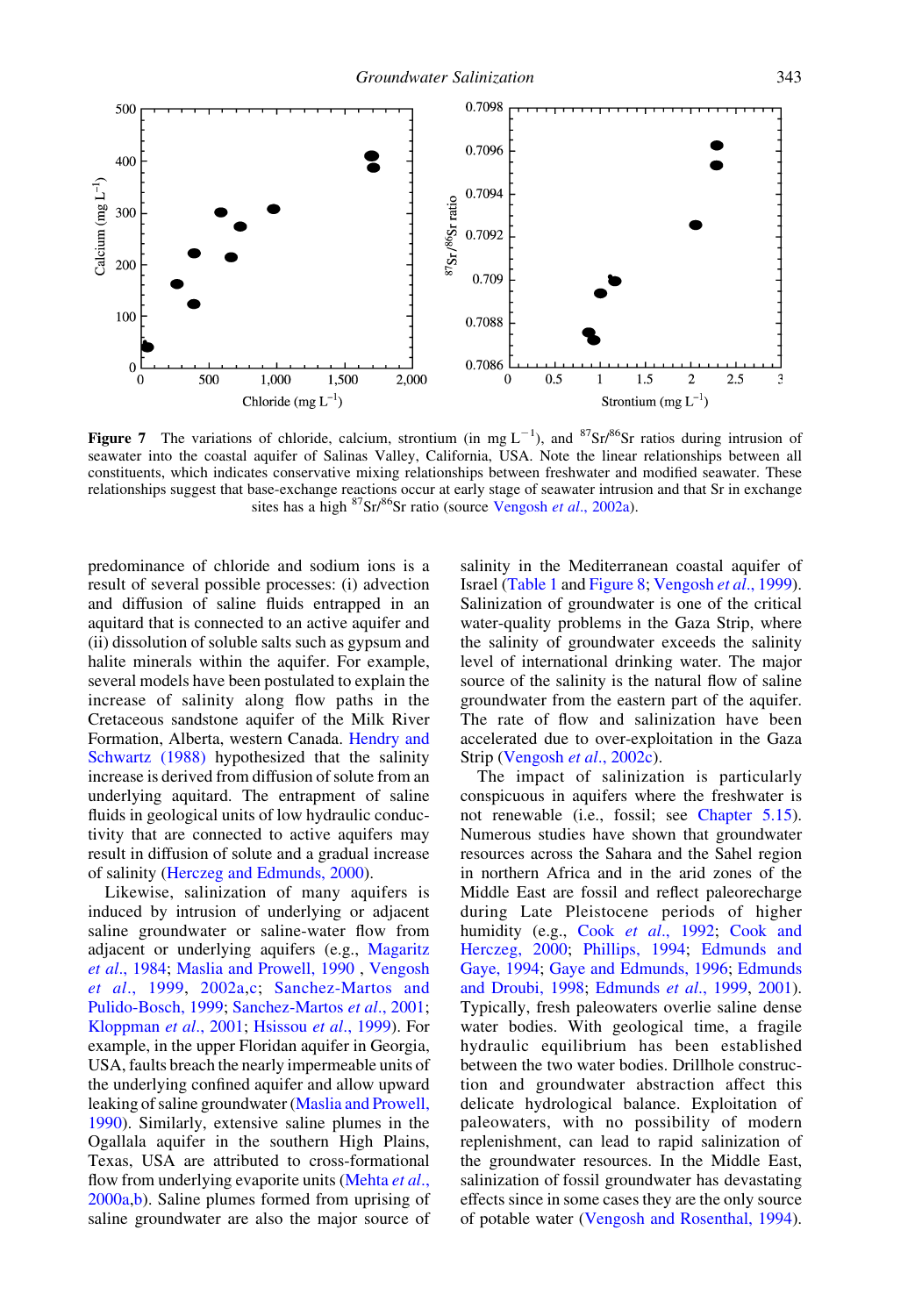<span id="page-10-0"></span>

Figure 7 The variations of chloride, calcium, strontium (in mg  $L^{-1}$ ), and  ${}^{87}Sr/{}^{86}Sr$  ratios during intrusion of seawater into the coastal aquifer of Salinas Valley, California, USA. Note the linear relationships between all constituents, which indicates conservative mixing relationships between freshwater and modified seawater. These relationships suggest that base-exchange reactions occur at early stage of seawater intrusion and that Sr in exchange sites has a high <sup>87</sup>Sr/<sup>86</sup>Sr ratio (source [Vengosh](#page-31-0) et al., 2002a).

predominance of chloride and sodium ions is a result of several possible processes: (i) advection and diffusion of saline fluids entrapped in an aquitard that is connected to an active aquifer and (ii) dissolution of soluble salts such as gypsum and halite minerals within the aquifer. For example, several models have been postulated to explain the increase of salinity along flow paths in the Cretaceous sandstone aquifer of the Milk River Formation, Alberta, western Canada. [Hendry and](#page-28-0) [Schwartz \(1988\)](#page-28-0) hypothesized that the salinity increase is derived from diffusion of solute from an underlying aquitard. The entrapment of saline fluids in geological units of low hydraulic conductivity that are connected to active aquifers may result in diffusion of solute and a gradual increase of salinity ([Herczeg and Edmunds, 2000](#page-28-0)).

Likewise, salinization of many aquifers is induced by intrusion of underlying or adjacent saline groundwater or saline-water flow from adjacent or underlying aquifers (e.g., [Magaritz](#page-29-0) et al[., 1984;](#page-29-0) [Maslia and Prowell, 1990](#page-29-0) , [Vengosh](#page-31-0) et al[., 1999,](#page-31-0) [2002a](#page-31-0),[c](#page-32-0); [Sanchez-Martos and](#page-30-0) [Pulido-Bosch, 1999;](#page-30-0) [Sanchez-Martos](#page-31-0) et al., 2001; [Kloppman](#page-29-0) et al., 2001; [Hsissou](#page-29-0) et al., 1999). For example, in the upper Floridan aquifer in Georgia, USA, faults breach the nearly impermeable units of the underlying confined aquifer and allow upward leaking of saline groundwater [\(Maslia and Prowell,](#page-29-0) [1990\)](#page-29-0). Similarly, extensive saline plumes in the Ogallala aquifer in the southern High Plains, Texas, USA are attributed to cross-formational flow from underlying evaporite units [\(Mehta](#page-30-0) et al., [2000a,b](#page-30-0)). Saline plumes formed from uprising of saline groundwater are also the major source of salinity in the Mediterranean coastal aquifer of Israel [\(Table 1](#page-4-0) and [Figure 8](#page-11-0); [Vengosh](#page-31-0) et al., 1999). Salinization of groundwater is one of the critical water-quality problems in the Gaza Strip, where the salinity of groundwater exceeds the salinity level of international drinking water. The major source of the salinity is the natural flow of saline groundwater from the eastern part of the aquifer. The rate of flow and salinization have been accelerated due to over-exploitation in the Gaza Strip ([Vengosh](#page-32-0) et al., 2002c).

The impact of salinization is particularly conspicuous in aquifers where the freshwater is not renewable (i.e., fossil; see Chapter 5.15). Numerous studies have shown that groundwater resources across the Sahara and the Sahel region in northern Africa and in the arid zones of the Middle East are fossil and reflect paleorecharge during Late Pleistocene periods of higher humidity (e.g., Cook et al[., 1992;](#page-27-0) [Cook and](#page-28-0) [Herczeg, 2000;](#page-28-0) [Phillips, 1994;](#page-30-0) [Edmunds and](#page-28-0) [Gaye, 1994](#page-28-0); [Gaye and Edmunds, 1996;](#page-28-0) [Edmunds](#page-27-0) [and Droubi, 1998](#page-27-0); [Edmunds](#page-28-0) et al., 1999, [2001](#page-28-0)). Typically, fresh paleowaters overlie saline dense water bodies. With geological time, a fragile hydraulic equilibrium has been established between the two water bodies. Drillhole construction and groundwater abstraction affect this delicate hydrological balance. Exploitation of paleowaters, with no possibility of modern replenishment, can lead to rapid salinization of the groundwater resources. In the Middle East, salinization of fossil groundwater has devastating effects since in some cases they are the only source of potable water [\(Vengosh and Rosenthal, 1994](#page-31-0)).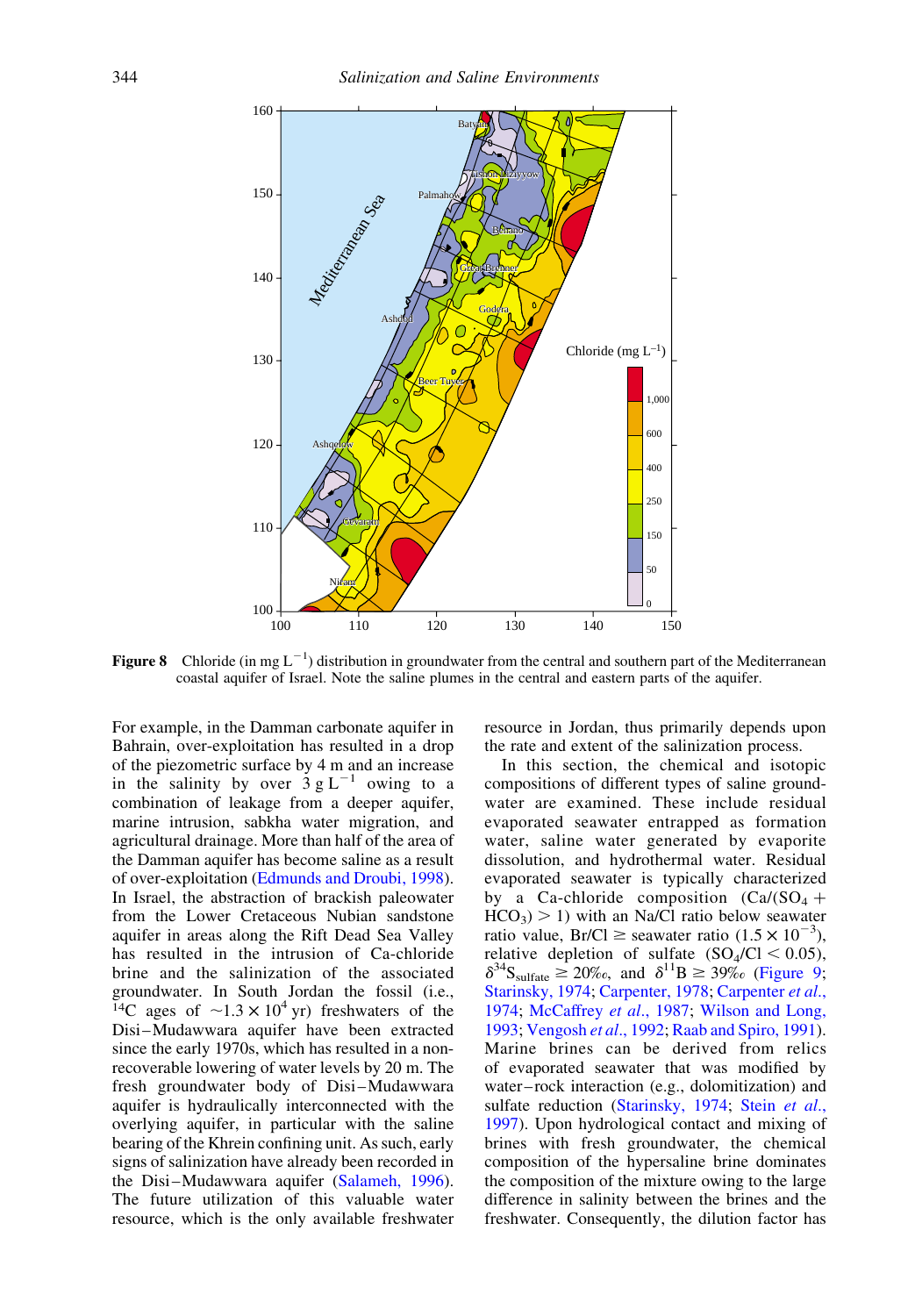<span id="page-11-0"></span>

Figure 8 Chloride (in mg  $L^{-1}$ ) distribution in groundwater from the central and southern part of the Mediterranean coastal aquifer of Israel. Note the saline plumes in the central and eastern parts of the aquifer.

For example, in the Damman carbonate aquifer in Bahrain, over-exploitation has resulted in a drop of the piezometric surface by 4 m and an increase in the salinity by over  $3 g L^{-1}$  owing to a combination of leakage from a deeper aquifer, marine intrusion, sabkha water migration, and agricultural drainage. More than half of the area of the Damman aquifer has become saline as a result of over-exploitation ([Edmunds and Droubi, 1998](#page-27-0)). In Israel, the abstraction of brackish paleowater from the Lower Cretaceous Nubian sandstone aquifer in areas along the Rift Dead Sea Valley has resulted in the intrusion of Ca-chloride brine and the salinization of the associated groundwater. In South Jordan the fossil (i.e., <sup>14</sup>C ages of  $\sim$ 1.3  $\times$  10<sup>4</sup> yr) freshwaters of the Disi–Mudawwara aquifer have been extracted since the early 1970s, which has resulted in a nonrecoverable lowering of water levels by 20 m. The fresh groundwater body of Disi–Mudawwara aquifer is hydraulically interconnected with the overlying aquifer, in particular with the saline bearing of the Khrein confining unit. As such, early signs of salinization have already been recorded in the Disi–Mudawwara aquifer [\(Salameh, 1996](#page-30-0)). The future utilization of this valuable water resource, which is the only available freshwater resource in Jordan, thus primarily depends upon the rate and extent of the salinization process.

In this section, the chemical and isotopic compositions of different types of saline groundwater are examined. These include residual evaporated seawater entrapped as formation water, saline water generated by evaporite dissolution, and hydrothermal water. Residual evaporated seawater is typically characterized by a Ca-chloride composition  $(Ca/(SO<sub>4</sub> +$  $HCO<sub>3</sub>$  > 1) with an Na/Cl ratio below seawater ratio value, Br/Cl  $\geq$  seawater ratio (1.5  $\times$  10<sup>-3</sup>), relative depletion of sulfate  $(SO_4/CI < 0.05)$ ,  $\delta^{34}S_{\text{sulfate}} \ge 20\%, \text{ and } \delta^{11}B \ge 39\%$  ([Figure 9](#page-12-0); [Starinsky, 1974](#page-31-0); [Carpenter, 1978](#page-27-0); [Carpenter](#page-27-0) et al., [1974;](#page-27-0) [McCaffrey](#page-30-0) et al., 1987; [Wilson and Long,](#page-32-0) [1993;](#page-32-0) [Vengosh](#page-31-0) et al., 1992; [Raab and Spiro, 1991](#page-30-0)). Marine brines can be derived from relics of evaporated seawater that was modified by water–rock interaction (e.g., dolomitization) and sulfate reduction [\(Starinsky, 1974](#page-31-0); [Stein](#page-31-0) et al., [1997\)](#page-31-0). Upon hydrological contact and mixing of brines with fresh groundwater, the chemical composition of the hypersaline brine dominates the composition of the mixture owing to the large difference in salinity between the brines and the freshwater. Consequently, the dilution factor has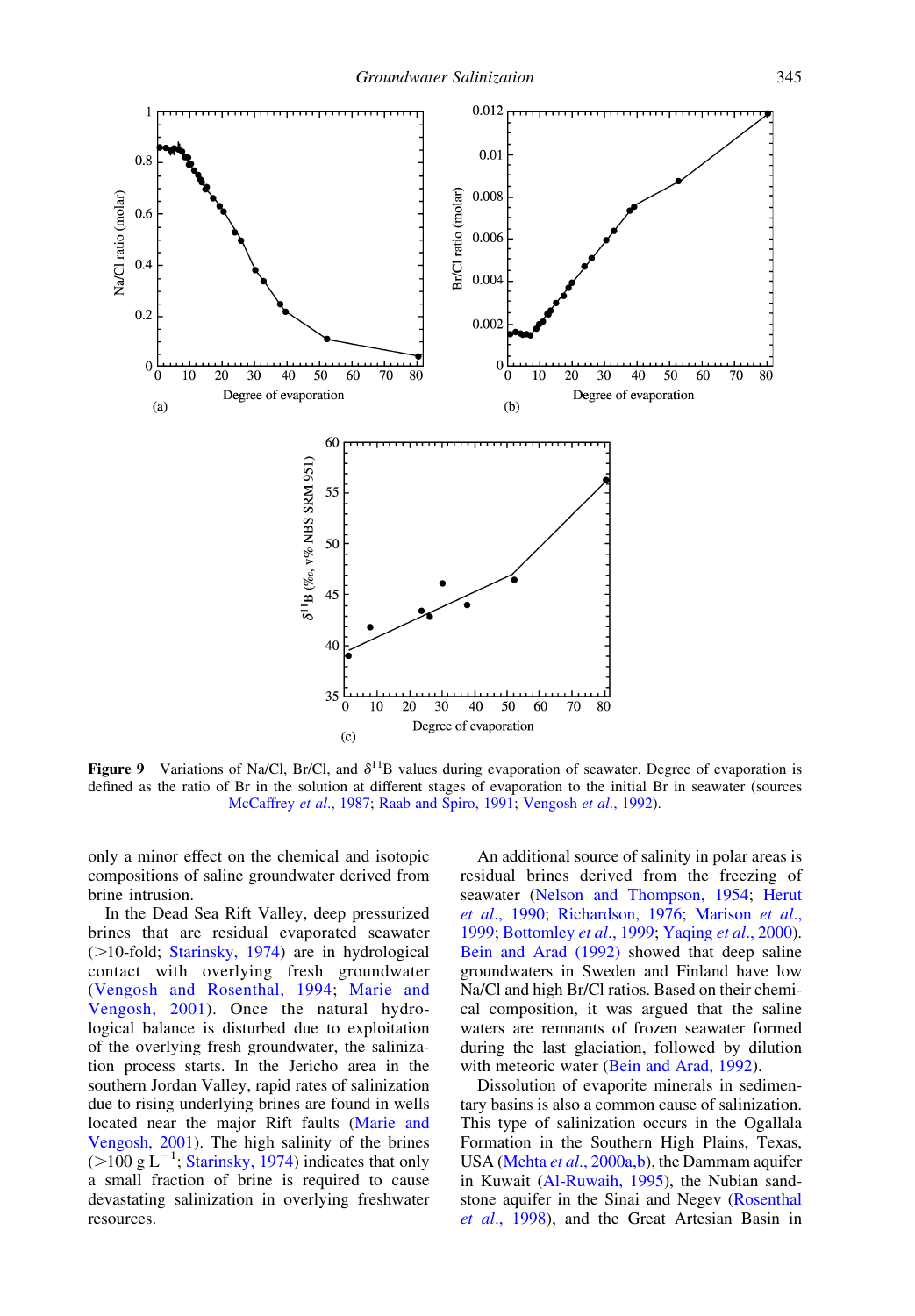<span id="page-12-0"></span>

Figure 9 Variations of Na/Cl, Br/Cl, and  $\delta^{11}B$  values during evaporation of seawater. Degree of evaporation is defined as the ratio of Br in the solution at different stages of evaporation to the initial Br in seawater (sources [McCaffrey](#page-30-0) et al., 1987; [Raab and Spiro, 1991](#page-30-0); [Vengosh](#page-31-0) et al., 1992).

only a minor effect on the chemical and isotopic compositions of saline groundwater derived from brine intrusion.

In the Dead Sea Rift Valley, deep pressurized brines that are residual evaporated seawater (>10-fold; [Starinsky, 1974](#page-31-0)) are in hydrological contact with overlying fresh groundwater ([Vengosh and Rosenthal, 1994;](#page-31-0) [Marie and](#page-29-0) [Vengosh, 2001\)](#page-29-0). Once the natural hydrological balance is disturbed due to exploitation of the overlying fresh groundwater, the salinization process starts. In the Jericho area in the southern Jordan Valley, rapid rates of salinization due to rising underlying brines are found in wells located near the major Rift faults ([Marie and](#page-29-0) [Vengosh, 2001\)](#page-29-0). The high salinity of the brines  $(>100 \text{ g L}^{-1}$ ; [Starinsky, 1974\)](#page-31-0) indicates that only a small fraction of brine is required to cause devastating salinization in overlying freshwater resources.

An additional source of salinity in polar areas is residual brines derived from the freezing of seawater ([Nelson and Thompson, 1954;](#page-30-0) [Herut](#page-28-0) et al[., 1990](#page-28-0); [Richardson, 1976;](#page-30-0) [Marison](#page-29-0) et al., [1999;](#page-29-0) [Bottomley](#page-27-0) et al., 1999; [Yaqing](#page-32-0) et al., 2000). [Bein and Arad \(1992\)](#page-27-0) showed that deep saline groundwaters in Sweden and Finland have low Na/Cl and high Br/Cl ratios. Based on their chemical composition, it was argued that the saline waters are remnants of frozen seawater formed during the last glaciation, followed by dilution with meteoric water ([Bein and Arad, 1992\)](#page-27-0).

Dissolution of evaporite minerals in sedimentary basins is also a common cause of salinization. This type of salinization occurs in the Ogallala Formation in the Southern High Plains, Texas, USA (Mehta et al[., 2000a,b](#page-30-0)), the Dammam aquifer in Kuwait [\(Al-Ruwaih, 1995\)](#page-26-0), the Nubian sandstone aquifer in the Sinai and Negev ([Rosenthal](#page-30-0) et al[., 1998](#page-30-0)), and the Great Artesian Basin in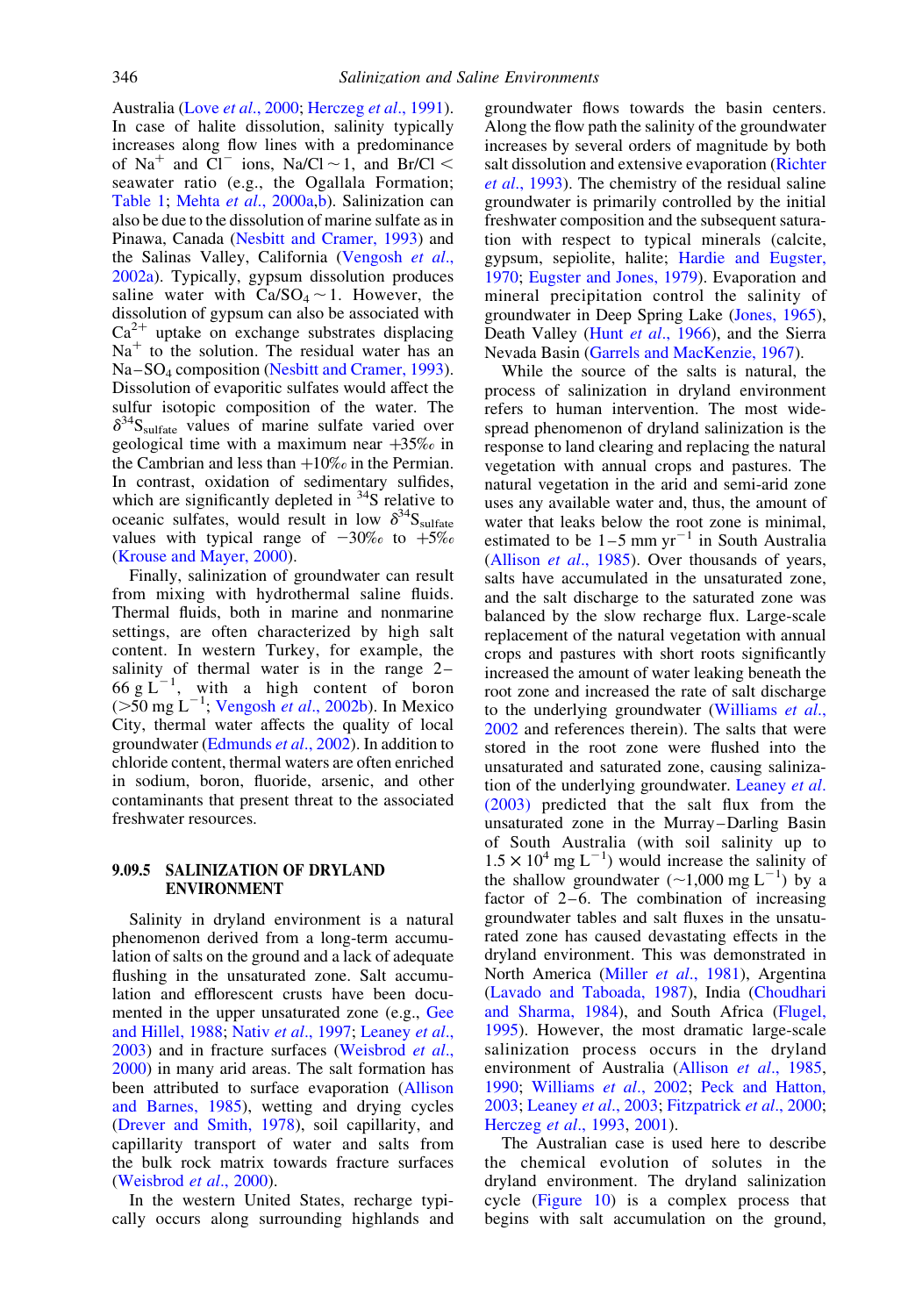Australia (Love *et al.*, 2000; [Herczeg](#page-28-0) *et al.*, 1991). In case of halite dissolution, salinity typically increases along flow lines with a predominance of Na<sup>+</sup> and Cl<sup>-</sup> ions, Na/Cl ~ 1, and Br/Cl < seawater ratio (e.g., the Ogallala Formation; [Table 1](#page-4-0); Mehta et al[., 2000a,b](#page-30-0)). Salinization can also be due to the dissolution of marine sulfate as in Pinawa, Canada [\(Nesbitt and Cramer, 1993\)](#page-30-0) and the Salinas Valley, California [\(Vengosh](#page-31-0) et al., [2002a](#page-31-0)). Typically, gypsum dissolution produces saline water with  $Ca/SO<sub>4</sub> \sim 1$ . However, the dissolution of gypsum can also be associated with  $Ca^{2+}$  uptake on exchange substrates displacing  $Na<sup>+</sup>$  to the solution. The residual water has an Na–SO<sub>4</sub> composition ([Nesbitt and Cramer, 1993](#page-30-0)). Dissolution of evaporitic sulfates would affect the sulfur isotopic composition of the water. The  $\delta^{34}S_{\text{sulfate}}$  values of marine sulfate varied over geological time with a maximum near  $+35\%$  in the Cambrian and less than  $+10\%$  in the Permian. In contrast, oxidation of sedimentary sulfides, which are significantly depleted in  $34S$  relative to oceanic sulfates, would result in low  $\delta^{34}S_{\text{sulfate}}$ values with typical range of  $-30\%$  to  $+5\%$ [\(Krouse and Mayer, 2000](#page-29-0)).

Finally, salinization of groundwater can result from mixing with hydrothermal saline fluids. Thermal fluids, both in marine and nonmarine settings, are often characterized by high salt content. In western Turkey, for example, the salinity of thermal water is in the range 2– 66 g  $\mathbf{L}^{-1}$ , with a high content of boron  $(>\!\!50 \text{ mg } L^{-1}$ ; [Vengosh](#page-32-0) et al., 2002b). In Mexico City, thermal water affects the quality of local groundwater ([Edmunds](#page-28-0) et al., 2002). In addition to chloride content, thermal waters are often enriched in sodium, boron, fluoride, arsenic, and other contaminants that present threat to the associated freshwater resources.

# 9.09.5 SALINIZATION OF DRYLAND ENVIRONMENT

Salinity in dryland environment is a natural phenomenon derived from a long-term accumulation of salts on the ground and a lack of adequate flushing in the unsaturated zone. Salt accumulation and efflorescent crusts have been documented in the upper unsaturated zone (e.g., [Gee](#page-28-0) [and Hillel, 1988;](#page-28-0) Nativ et al[., 1997;](#page-30-0) [Leaney](#page-29-0) et al., [2003\)](#page-29-0) and in fracture surfaces ([Weisbrod](#page-32-0) et al., [2000\)](#page-32-0) in many arid areas. The salt formation has been attributed to surface evaporation ([Allison](#page-26-0) [and Barnes, 1985\)](#page-26-0), wetting and drying cycles [\(Drever and Smith, 1978\)](#page-27-0), soil capillarity, and capillarity transport of water and salts from the bulk rock matrix towards fracture surfaces [\(Weisbrod](#page-32-0) et al., 2000).

In the western United States, recharge typically occurs along surrounding highlands and

groundwater flows towards the basin centers. Along the flow path the salinity of the groundwater increases by several orders of magnitude by both salt dissolution and extensive evaporation ([Richter](#page-30-0) et al[., 1993\)](#page-30-0). The chemistry of the residual saline groundwater is primarily controlled by the initial freshwater composition and the subsequent saturation with respect to typical minerals (calcite, gypsum, sepiolite, halite; [Hardie and Eugster,](#page-28-0) [1970;](#page-28-0) [Eugster and Jones, 1979\)](#page-28-0). Evaporation and mineral precipitation control the salinity of groundwater in Deep Spring Lake [\(Jones, 1965](#page-29-0)), Death Valley (Hunt et al[., 1966\)](#page-29-0), and the Sierra Nevada Basin ([Garrels and MacKenzie, 1967\)](#page-28-0).

While the source of the salts is natural, the process of salinization in dryland environment refers to human intervention. The most widespread phenomenon of dryland salinization is the response to land clearing and replacing the natural vegetation with annual crops and pastures. The natural vegetation in the arid and semi-arid zone uses any available water and, thus, the amount of water that leaks below the root zone is minimal, estimated to be  $1-5$  mm yr<sup>-1</sup> in South Australia (Allison et al[., 1985\)](#page-26-0). Over thousands of years, salts have accumulated in the unsaturated zone, and the salt discharge to the saturated zone was balanced by the slow recharge flux. Large-scale replacement of the natural vegetation with annual crops and pastures with short roots significantly increased the amount of water leaking beneath the root zone and increased the rate of salt discharge to the underlying groundwater ([Williams](#page-32-0) et al., [2002](#page-32-0) and references therein). The salts that were stored in the root zone were flushed into the unsaturated and saturated zone, causing saliniza-tion of the underlying groundwater. [Leaney](#page-29-0) et al. [\(2003\)](#page-29-0) predicted that the salt flux from the unsaturated zone in the Murray–Darling Basin of South Australia (with soil salinity up to  $1.5 \times 10^4$  mg L<sup>-1</sup>) would increase the salinity of the shallow groundwater  $(\sim 1,000 \text{ mg L}^{-1})$  by a factor of 2–6. The combination of increasing groundwater tables and salt fluxes in the unsaturated zone has caused devastating effects in the dryland environment. This was demonstrated in North America (Miller et al[., 1981\)](#page-30-0), Argentina [\(Lavado and Taboada, 1987\)](#page-29-0), India ([Choudhari](#page-27-0) [and Sharma, 1984](#page-27-0)), and South Africa [\(Flugel,](#page-28-0) [1995\)](#page-28-0). However, the most dramatic large-scale salinization process occurs in the dryland environment of Australia (Allison et al[., 1985,](#page-26-0) [1990;](#page-26-0) [Williams](#page-32-0) et al., 2002; [Peck and Hatton,](#page-30-0) [2003;](#page-30-0) [Leaney](#page-29-0) et al., 2003; [Fitzpatrick](#page-28-0) et al., 2000; [Herczeg](#page-28-0) et al., 1993, [2001\)](#page-28-0).

The Australian case is used here to describe the chemical evolution of solutes in the dryland environment. The dryland salinization cycle ([Figure 10\)](#page-14-0) is a complex process that begins with salt accumulation on the ground,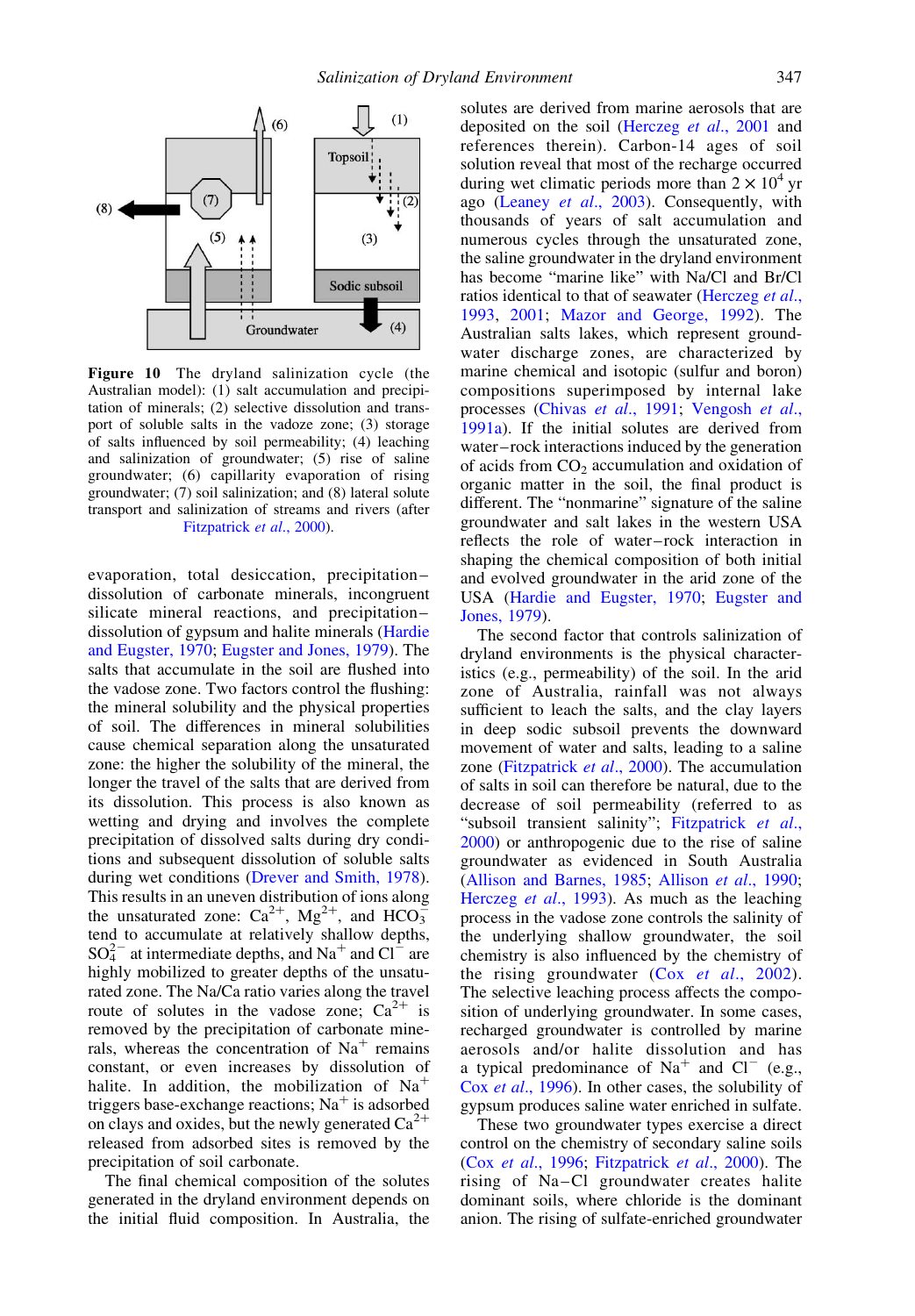<span id="page-14-0"></span>

Figure 10 The dryland salinization cycle (the Australian model): (1) salt accumulation and precipitation of minerals; (2) selective dissolution and transport of soluble salts in the vadoze zone; (3) storage of salts influenced by soil permeability; (4) leaching and salinization of groundwater; (5) rise of saline groundwater; (6) capillarity evaporation of rising groundwater; (7) soil salinization; and (8) lateral solute transport and salinization of streams and rivers (after [Fitzpatrick](#page-28-0) et al., 2000).

evaporation, total desiccation, precipitation– dissolution of carbonate minerals, incongruent silicate mineral reactions, and precipitation– dissolution of gypsum and halite minerals ([Hardie](#page-28-0) [and Eugster, 1970](#page-28-0); [Eugster and Jones, 1979\)](#page-28-0). The salts that accumulate in the soil are flushed into the vadose zone. Two factors control the flushing: the mineral solubility and the physical properties of soil. The differences in mineral solubilities cause chemical separation along the unsaturated zone: the higher the solubility of the mineral, the longer the travel of the salts that are derived from its dissolution. This process is also known as wetting and drying and involves the complete precipitation of dissolved salts during dry conditions and subsequent dissolution of soluble salts during wet conditions [\(Drever and Smith, 1978\)](#page-27-0). This results in an uneven distribution of ions along the unsaturated zone:  $Ca^{2+}$ ,  $Mg^{2+}$ , and  $HCO_3^2$ tend to accumulate at relatively shallow depths,  $SO_4^{2-}$  at intermediate depths, and Na<sup>+</sup> and Cl<sup>-</sup> are highly mobilized to greater depths of the unsaturated zone. The Na/Ca ratio varies along the travel route of solutes in the vadose zone;  $Ca^{2+}$  is removed by the precipitation of carbonate minerals, whereas the concentration of  $Na<sup>+</sup>$  remains constant, or even increases by dissolution of halite. In addition, the mobilization of  $Na<sup>+</sup>$ triggers base-exchange reactions;  $Na<sup>+</sup>$  is adsorbed on clays and oxides, but the newly generated  $Ca^{2+}$ released from adsorbed sites is removed by the precipitation of soil carbonate.

The final chemical composition of the solutes generated in the dryland environment depends on the initial fluid composition. In Australia, the

solutes are derived from marine aerosols that are deposited on the soil [\(Herczeg](#page-28-0) *et al.*, 2001 and references therein). Carbon-14 ages of soil solution reveal that most of the recharge occurred during wet climatic periods more than  $2 \times 10^4$  yr ago (Leaney et al[., 2003](#page-29-0)). Consequently, with thousands of years of salt accumulation and numerous cycles through the unsaturated zone, the saline groundwater in the dryland environment has become "marine like" with Na/Cl and Br/Cl ratios identical to that of seawater [\(Herczeg](#page-28-0) et al., [1993](#page-28-0), [2001](#page-28-0); [Mazor and George, 1992\)](#page-29-0). The Australian salts lakes, which represent groundwater discharge zones, are characterized by marine chemical and isotopic (sulfur and boron) compositions superimposed by internal lake processes (Chivas et al[., 1991;](#page-27-0) [Vengosh](#page-31-0) et al., [1991a](#page-31-0)). If the initial solutes are derived from water–rock interactions induced by the generation of acids from  $CO<sub>2</sub>$  accumulation and oxidation of organic matter in the soil, the final product is different. The "nonmarine" signature of the saline groundwater and salt lakes in the western USA reflects the role of water–rock interaction in shaping the chemical composition of both initial and evolved groundwater in the arid zone of the USA ([Hardie and Eugster, 1970;](#page-28-0) [Eugster and](#page-28-0) [Jones, 1979](#page-28-0)).

The second factor that controls salinization of dryland environments is the physical characteristics (e.g., permeability) of the soil. In the arid zone of Australia, rainfall was not always sufficient to leach the salts, and the clay layers in deep sodic subsoil prevents the downward movement of water and salts, leading to a saline zone [\(Fitzpatrick](#page-28-0) *et al.*, 2000). The accumulation of salts in soil can therefore be natural, due to the decrease of soil permeability (referred to as "subsoil transient salinity"; [Fitzpatrick](#page-28-0) et al., [2000\)](#page-28-0) or anthropogenic due to the rise of saline groundwater as evidenced in South Australia [\(Allison and Barnes, 1985](#page-26-0); [Allison](#page-26-0) et al., 1990; [Herczeg](#page-28-0) *et al.*, 1993). As much as the leaching process in the vadose zone controls the salinity of the underlying shallow groundwater, the soil chemistry is also influenced by the chemistry of the rising groundwater  $(Cox et al., 2002)$  $(Cox et al., 2002)$ . The selective leaching process affects the composition of underlying groundwater. In some cases, recharged groundwater is controlled by marine aerosols and/or halite dissolution and has a typical predominance of  $Na<sup>+</sup>$  and  $Cl<sup>-</sup>$  (e.g., Cox et al[., 1996](#page-27-0)). In other cases, the solubility of gypsum produces saline water enriched in sulfate.

These two groundwater types exercise a direct control on the chemistry of secondary saline soils (Cox et al[., 1996;](#page-27-0) [Fitzpatrick](#page-28-0) et al., 2000). The rising of Na–Cl groundwater creates halite dominant soils, where chloride is the dominant anion. The rising of sulfate-enriched groundwater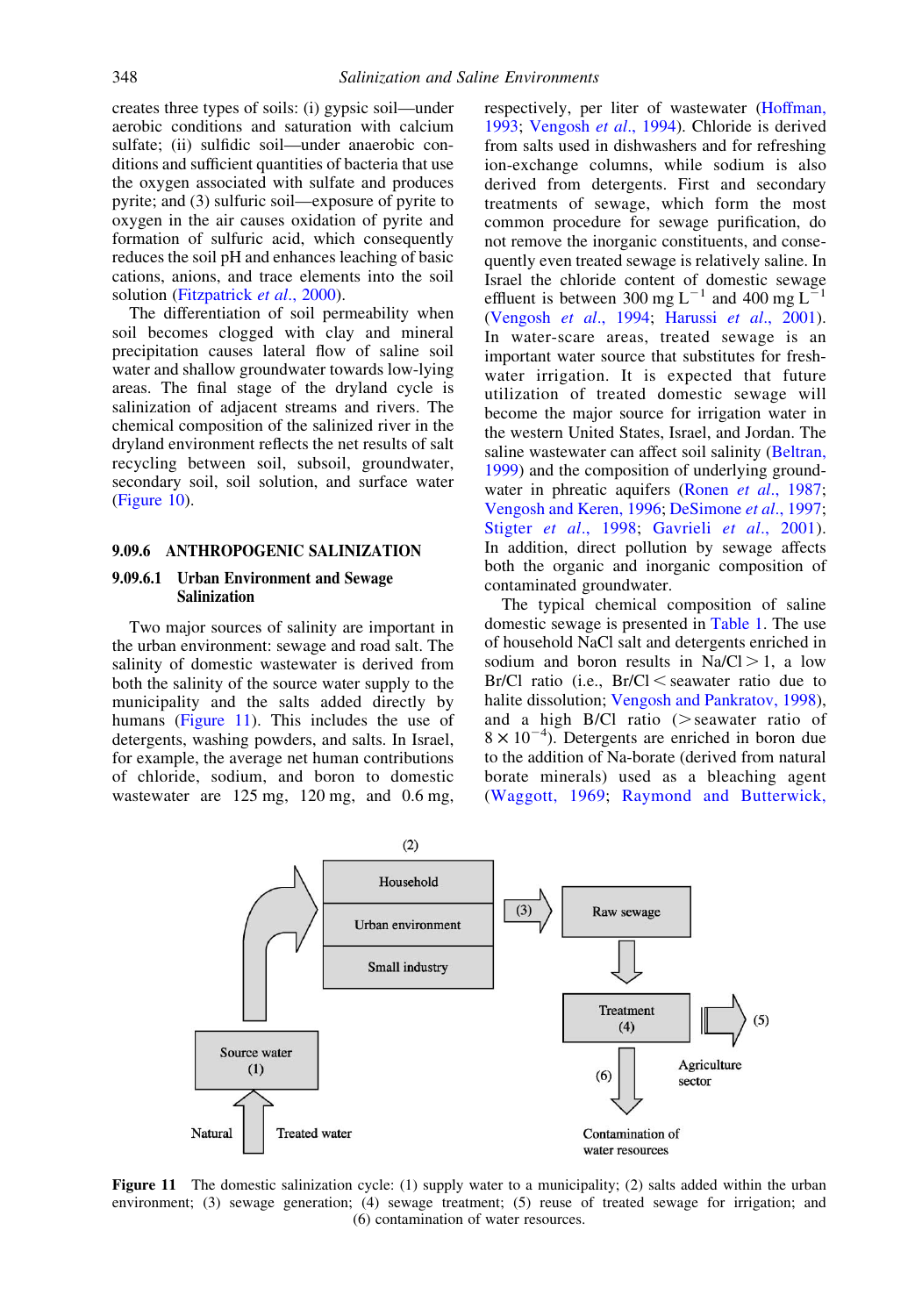<span id="page-15-0"></span>creates three types of soils: (i) gypsic soil—under aerobic conditions and saturation with calcium sulfate; (ii) sulfidic soil—under anaerobic conditions and sufficient quantities of bacteria that use the oxygen associated with sulfate and produces pyrite; and (3) sulfuric soil—exposure of pyrite to oxygen in the air causes oxidation of pyrite and formation of sulfuric acid, which consequently reduces the soil pH and enhances leaching of basic cations, anions, and trace elements into the soil solution [\(Fitzpatrick](#page-28-0) et al., 2000).

The differentiation of soil permeability when soil becomes clogged with clay and mineral precipitation causes lateral flow of saline soil water and shallow groundwater towards low-lying areas. The final stage of the dryland cycle is salinization of adjacent streams and rivers. The chemical composition of the salinized river in the dryland environment reflects the net results of salt recycling between soil, subsoil, groundwater, secondary soil, soil solution, and surface water [\(Figure 10](#page-14-0)).

#### 9.09.6 ANTHROPOGENIC SALINIZATION

#### 9.09.6.1 Urban Environment and Sewage Salinization

Two major sources of salinity are important in the urban environment: sewage and road salt. The salinity of domestic wastewater is derived from both the salinity of the source water supply to the municipality and the salts added directly by humans (Figure 11). This includes the use of detergents, washing powders, and salts. In Israel, for example, the average net human contributions of chloride, sodium, and boron to domestic wastewater are 125 mg, 120 mg, and 0.6 mg,

respectively, per liter of wastewater [\(Hoffman,](#page-29-0) [1993;](#page-29-0) [Vengosh](#page-31-0) et al., 1994). Chloride is derived from salts used in dishwashers and for refreshing ion-exchange columns, while sodium is also derived from detergents. First and secondary treatments of sewage, which form the most common procedure for sewage purification, do not remove the inorganic constituents, and consequently even treated sewage is relatively saline. In Israel the chloride content of domestic sewage effluent is between 300 mg  $L^{-1}$  and 400 mg  $L^{-}$ [\(Vengosh](#page-31-0) et al., 1994; Harussi et al[., 2001](#page-28-0)). In water-scare areas, treated sewage is an important water source that substitutes for freshwater irrigation. It is expected that future utilization of treated domestic sewage will become the major source for irrigation water in the western United States, Israel, and Jordan. The saline wastewater can affect soil salinity [\(Beltran,](#page-27-0) [1999\)](#page-27-0) and the composition of underlying ground-water in phreatic aquifers (Ronen et al[., 1987](#page-30-0); [Vengosh and Keren, 1996](#page-31-0); [DeSimone](#page-27-0) et al., 1997; Stigter et al[., 1998](#page-31-0); [Gavrieli](#page-28-0) et al., 2001). In addition, direct pollution by sewage affects both the organic and inorganic composition of contaminated groundwater.

The typical chemical composition of saline domestic sewage is presented in [Table 1](#page-4-0). The use of household NaCl salt and detergents enriched in sodium and boron results in  $Na/Cl > 1$ , a low Br/Cl ratio (i.e.,  $Br/C <$  seawater ratio due to halite dissolution; [Vengosh and Pankratov, 1998](#page-31-0)), and a high  $B/Cl$  ratio ( $>$ seawater ratio of  $8 \times 10^{-4}$ ). Detergents are enriched in boron due to the addition of Na-borate (derived from natural borate minerals) used as a bleaching agent ([Waggott, 1969;](#page-32-0) [Raymond and Butterwick,](#page-30-0)



Figure 11 The domestic salinization cycle: (1) supply water to a municipality; (2) salts added within the urban environment; (3) sewage generation; (4) sewage treatment; (5) reuse of treated sewage for irrigation; and (6) contamination of water resources.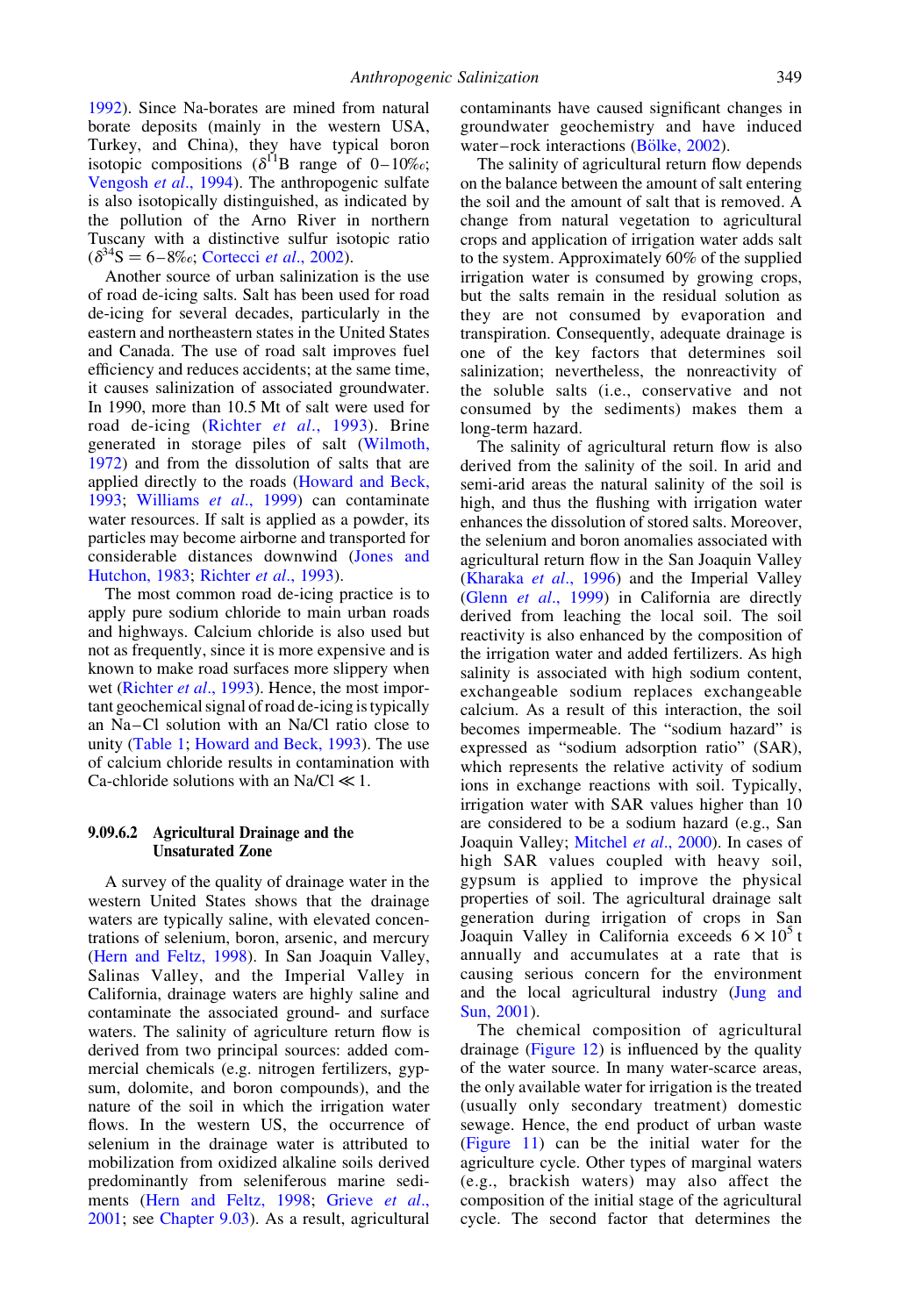[1992\)](#page-30-0). Since Na-borates are mined from natural borate deposits (mainly in the western USA, Turkey, and China), they have typical boron isotopic compositions  $(\delta^{11}B \text{ range of } 0-10\%).$ [Vengosh](#page-31-0) et al., 1994). The anthropogenic sulfate is also isotopically distinguished, as indicated by the pollution of the Arno River in northern Tuscany with a distinctive sulfur isotopic ratio  $(\delta^{34}S = 6 - 8\%,$  [Cortecci](#page-27-0) *et al.*, 2002).

Another source of urban salinization is the use of road de-icing salts. Salt has been used for road de-icing for several decades, particularly in the eastern and northeastern states in the United States and Canada. The use of road salt improves fuel efficiency and reduces accidents; at the same time, it causes salinization of associated groundwater. In 1990, more than 10.5 Mt of salt were used for road de-icing (Richter et al[., 1993\)](#page-30-0). Brine generated in storage piles of salt ([Wilmoth,](#page-32-0) [1972\)](#page-32-0) and from the dissolution of salts that are applied directly to the roads ([Howard and Beck,](#page-29-0) [1993;](#page-29-0) [Williams](#page-32-0) et al., 1999) can contaminate water resources. If salt is applied as a powder, its particles may become airborne and transported for considerable distances downwind ([Jones and](#page-29-0) [Hutchon, 1983](#page-29-0); [Richter](#page-30-0) et al., 1993).

The most common road de-icing practice is to apply pure sodium chloride to main urban roads and highways. Calcium chloride is also used but not as frequently, since it is more expensive and is known to make road surfaces more slippery when wet ([Richter](#page-30-0) et al., 1993). Hence, the most important geochemical signal of road de-icing is typically an Na–Cl solution with an Na/Cl ratio close to unity [\(Table 1;](#page-4-0) [Howard and Beck, 1993\)](#page-29-0). The use of calcium chloride results in contamination with Ca-chloride solutions with an Na/Cl  $\ll$  1.

# 9.09.6.2 Agricultural Drainage and the Unsaturated Zone

A survey of the quality of drainage water in the western United States shows that the drainage waters are typically saline, with elevated concentrations of selenium, boron, arsenic, and mercury ([Hern and Feltz, 1998\)](#page-28-0). In San Joaquin Valley, Salinas Valley, and the Imperial Valley in California, drainage waters are highly saline and contaminate the associated ground- and surface waters. The salinity of agriculture return flow is derived from two principal sources: added commercial chemicals (e.g. nitrogen fertilizers, gypsum, dolomite, and boron compounds), and the nature of the soil in which the irrigation water flows. In the western US, the occurrence of selenium in the drainage water is attributed to mobilization from oxidized alkaline soils derived predominantly from seleniferous marine sedi-ments [\(Hern and Feltz, 1998](#page-28-0); [Grieve](#page-28-0) et al., [2001;](#page-28-0) see Chapter 9.03). As a result, agricultural

contaminants have caused significant changes in groundwater geochemistry and have induced water–rock interactions (Bölke, 2002).

The salinity of agricultural return flow depends on the balance between the amount of salt entering the soil and the amount of salt that is removed. A change from natural vegetation to agricultural crops and application of irrigation water adds salt to the system. Approximately 60% of the supplied irrigation water is consumed by growing crops, but the salts remain in the residual solution as they are not consumed by evaporation and transpiration. Consequently, adequate drainage is one of the key factors that determines soil salinization; nevertheless, the nonreactivity of the soluble salts (i.e., conservative and not consumed by the sediments) makes them a long-term hazard.

The salinity of agricultural return flow is also derived from the salinity of the soil. In arid and semi-arid areas the natural salinity of the soil is high, and thus the flushing with irrigation water enhances the dissolution of stored salts. Moreover, the selenium and boron anomalies associated with agricultural return flow in the San Joaquin Valley [\(Kharaka](#page-29-0) et al., 1996) and the Imperial Valley (Glenn et al[., 1999\)](#page-28-0) in California are directly derived from leaching the local soil. The soil reactivity is also enhanced by the composition of the irrigation water and added fertilizers. As high salinity is associated with high sodium content, exchangeable sodium replaces exchangeable calcium. As a result of this interaction, the soil becomes impermeable. The "sodium hazard" is expressed as "sodium adsorption ratio" (SAR), which represents the relative activity of sodium ions in exchange reactions with soil. Typically, irrigation water with SAR values higher than 10 are considered to be a sodium hazard (e.g., San Joaquin Valley; [Mitchel](#page-30-0) et al., 2000). In cases of high SAR values coupled with heavy soil, gypsum is applied to improve the physical properties of soil. The agricultural drainage salt generation during irrigation of crops in San Joaquin Valley in California exceeds  $6 \times 10^5$  t annually and accumulates at a rate that is causing serious concern for the environment and the local agricultural industry [\(Jung and](#page-29-0) [Sun, 2001\)](#page-29-0).

The chemical composition of agricultural drainage [\(Figure 12\)](#page-17-0) is influenced by the quality of the water source. In many water-scarce areas, the only available water for irrigation is the treated (usually only secondary treatment) domestic sewage. Hence, the end product of urban waste [\(Figure 11\)](#page-15-0) can be the initial water for the agriculture cycle. Other types of marginal waters (e.g., brackish waters) may also affect the composition of the initial stage of the agricultural cycle. The second factor that determines the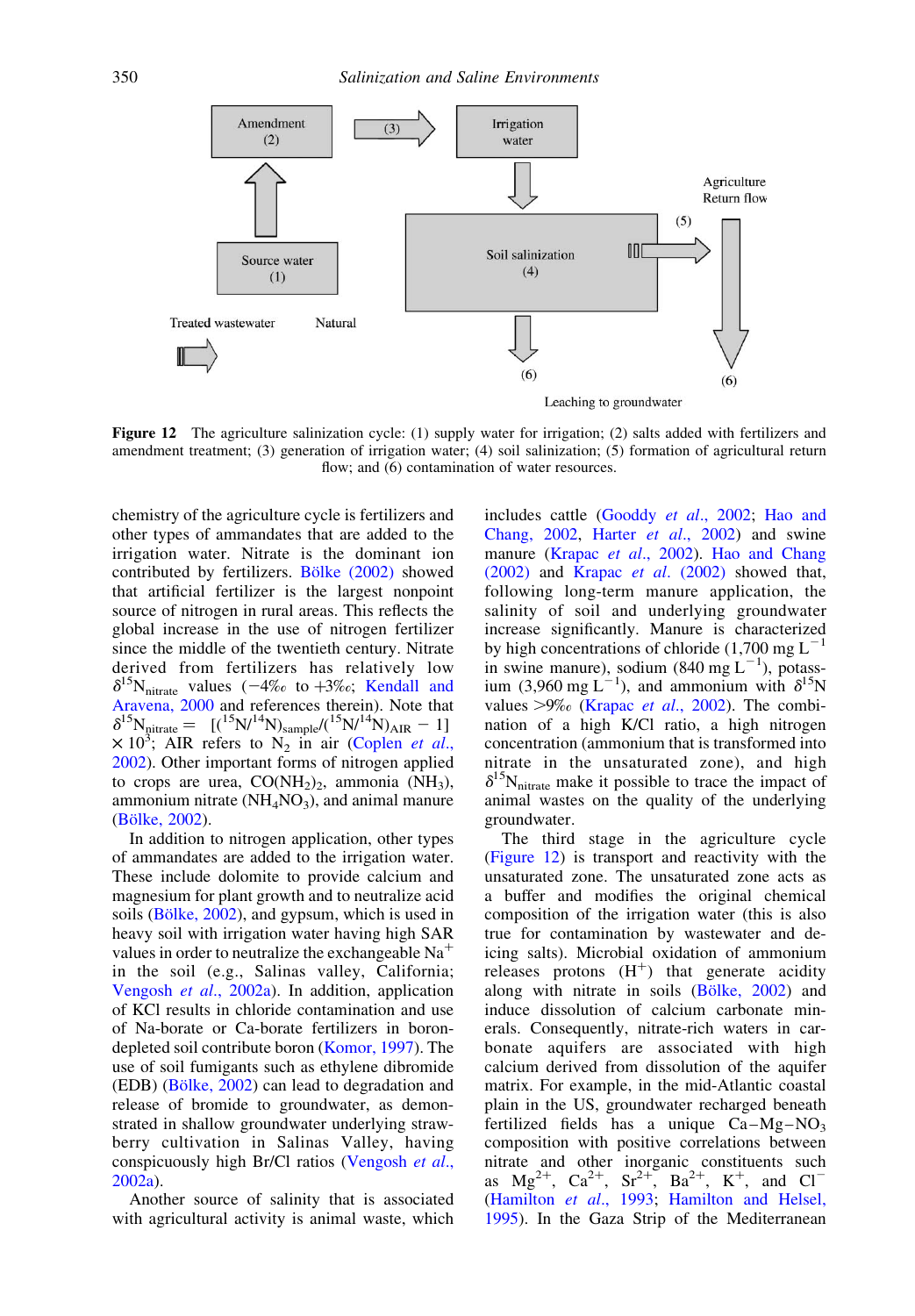<span id="page-17-0"></span>

Figure 12 The agriculture salinization cycle: (1) supply water for irrigation; (2) salts added with fertilizers and amendment treatment; (3) generation of irrigation water; (4) soil salinization; (5) formation of agricultural return flow; and (6) contamination of water resources.

chemistry of the agriculture cycle is fertilizers and other types of ammandates that are added to the irrigation water. Nitrate is the dominant ion contributed by fertilizers. Bölke  $(2002)$  showed that artificial fertilizer is the largest nonpoint source of nitrogen in rural areas. This reflects the global increase in the use of nitrogen fertilizer since the middle of the twentieth century. Nitrate derived from fertilizers has relatively low  $\delta^{15}N_{\text{nitrate}}$  values (-4‰ to +3‰; [Kendall and](#page-29-0) [Aravena, 2000](#page-29-0) and references therein). Note that  $\delta^{15}N_{\text{nitrate}} = [(^{15}N^{14}N)_{\text{sample}}/(^{15}N^{14}N)_{\text{AIR}} - 1]$  $\times$  10<sup>3</sup>; AIR refers to N<sub>2</sub> in air ([Coplen](#page-27-0) *et al.*, [2002\)](#page-27-0). Other important forms of nitrogen applied to crops are urea,  $CO(NH<sub>2</sub>)<sub>2</sub>$ , ammonia (NH<sub>3</sub>), ammonium nitrate  $(NH_4NO_3)$ , and animal manure (Bölke, 2002).

In addition to nitrogen application, other types of ammandates are added to the irrigation water. These include dolomite to provide calcium and magnesium for plant growth and to neutralize acid soils (Bölke, 2002), and gypsum, which is used in heavy soil with irrigation water having high SAR values in order to neutralize the exchangeable  $Na<sup>+</sup>$ in the soil (e.g., Salinas valley, California; [Vengosh](#page-31-0) et al., 2002a). In addition, application of KCl results in chloride contamination and use of Na-borate or Ca-borate fertilizers in borondepleted soil contribute boron ([Komor, 1997\)](#page-29-0). The use of soil fumigants such as ethylene dibromide  $(EDB)$  (Bölke, 2002) can lead to degradation and release of bromide to groundwater, as demonstrated in shallow groundwater underlying strawberry cultivation in Salinas Valley, having conspicuously high Br/Cl ratios [\(Vengosh](#page-31-0) et al., [2002a](#page-31-0)).

Another source of salinity that is associated with agricultural activity is animal waste, which

includes cattle ([Gooddy](#page-28-0) et al., 2002; [Hao and](#page-28-0) [Chang, 2002,](#page-28-0) Harter et al[., 2002\)](#page-28-0) and swine manure (Krapac et al[., 2002](#page-29-0)). [Hao and Chang](#page-28-0) [\(2002\)](#page-28-0) and Krapac et al[. \(2002\)](#page-29-0) showed that, following long-term manure application, the salinity of soil and underlying groundwater increase significantly. Manure is characterized by high concentrations of chloride (1,700 mg  $L^{-1}$ in swine manure), sodium  $(840 \text{ mg L}^{-1})$ , potassium (3,960 mg L<sup>-1</sup>), and ammonium with  $\delta^{15}N$ values  $>9\%$  (Krapac *et al.*, 2002). The combination of a high K/Cl ratio, a high nitrogen concentration (ammonium that is transformed into nitrate in the unsaturated zone), and high  $\delta^{15}N_{\text{nitrate}}$  make it possible to trace the impact of animal wastes on the quality of the underlying groundwater.

The third stage in the agriculture cycle (Figure 12) is transport and reactivity with the unsaturated zone. The unsaturated zone acts as a buffer and modifies the original chemical composition of the irrigation water (this is also true for contamination by wastewater and deicing salts). Microbial oxidation of ammonium releases protons  $(H^+)$  that generate acidity along with nitrate in soils  $(Bölke, 2002)$  and induce dissolution of calcium carbonate minerals. Consequently, nitrate-rich waters in carbonate aquifers are associated with high calcium derived from dissolution of the aquifer matrix. For example, in the mid-Atlantic coastal plain in the US, groundwater recharged beneath fertilized fields has a unique  $Ca-Mg-NO<sub>3</sub>$ composition with positive correlations between nitrate and other inorganic constituents such as  $Mg^{2+}$ ,  $Ca^{2+}$ ,  $Sr^{2+}$ ,  $Ba^{2+}$ ,  $K^+$ , and  $Cl^-$ [\(Hamilton](#page-28-0) et al., 1993; [Hamilton and Helsel,](#page-28-0) [1995\)](#page-28-0). In the Gaza Strip of the Mediterranean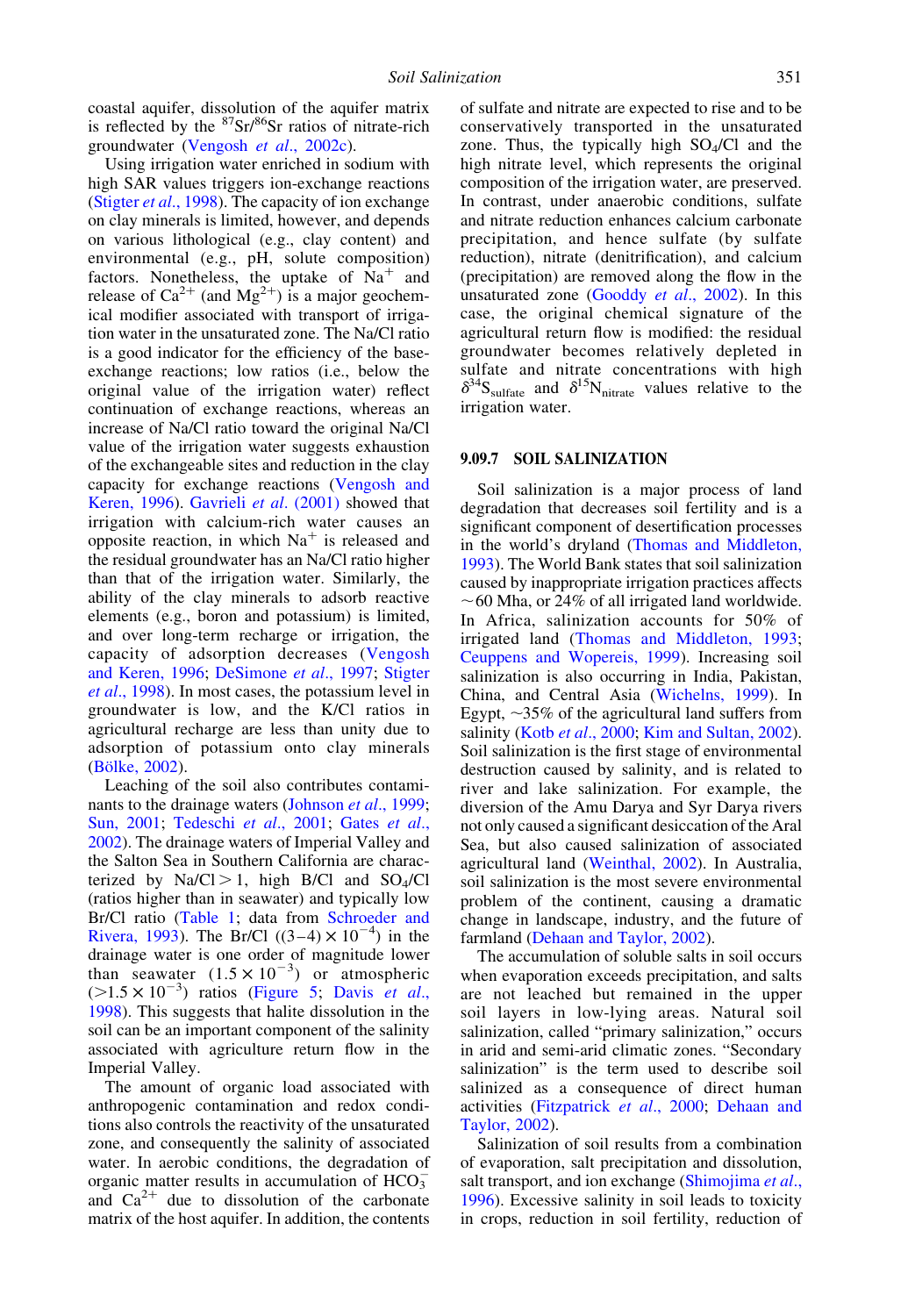coastal aquifer, dissolution of the aquifer matrix is reflected by the  $87\text{Sr}/86\text{Sr}$  ratios of nitrate-rich groundwater ([Vengosh](#page-32-0) et al., 2002c).

Using irrigation water enriched in sodium with high SAR values triggers ion-exchange reactions (Stigter *et al.*, 1998). The capacity of ion exchange on clay minerals is limited, however, and depends on various lithological (e.g., clay content) and environmental (e.g., pH, solute composition) factors. Nonetheless, the uptake of  $Na<sup>+</sup>$  and release of  $Ca^{2+}$  (and  $Mg^{2+}$ ) is a major geochemical modifier associated with transport of irrigation water in the unsaturated zone. The Na/Cl ratio is a good indicator for the efficiency of the baseexchange reactions; low ratios (i.e., below the original value of the irrigation water) reflect continuation of exchange reactions, whereas an increase of Na/Cl ratio toward the original Na/Cl value of the irrigation water suggests exhaustion of the exchangeable sites and reduction in the clay capacity for exchange reactions [\(Vengosh and](#page-31-0) [Keren, 1996\)](#page-31-0). [Gavrieli](#page-28-0) et al. (2001) showed that irrigation with calcium-rich water causes an opposite reaction, in which  $Na<sup>+</sup>$  is released and the residual groundwater has an Na/Cl ratio higher than that of the irrigation water. Similarly, the ability of the clay minerals to adsorb reactive elements (e.g., boron and potassium) is limited, and over long-term recharge or irrigation, the capacity of adsorption decreases ([Vengosh](#page-31-0) [and Keren, 1996;](#page-31-0) [DeSimone](#page-27-0) et al., 1997; [Stigter](#page-31-0) et al[., 1998\)](#page-31-0). In most cases, the potassium level in groundwater is low, and the K/Cl ratios in agricultural recharge are less than unity due to adsorption of potassium onto clay minerals (Bölke, 2002).

Leaching of the soil also contributes contami-nants to the drainage waters ([Johnson](#page-29-0) *et al.*, 1999; [Sun, 2001](#page-31-0); [Tedeschi](#page-31-0) et al., 2001; [Gates](#page-28-0) et al., [2002\)](#page-28-0). The drainage waters of Imperial Valley and the Salton Sea in Southern California are characterized by  $Na/Cl > 1$ , high B/Cl and  $SO_4/Cl$ (ratios higher than in seawater) and typically low Br/Cl ratio [\(Table 1](#page-4-0); data from [Schroeder and](#page-31-0) [Rivera, 1993\)](#page-31-0). The Br/Cl  $((3-4) \times 10^{-4})$  in the drainage water is one order of magnitude lower than seawater  $(1.5 \times 10^{-3})$  or atmospheric  $(>1.5 \times 10^{-3})$  ratios ([Figure 5](#page-8-0); [Davis](#page-27-0) et al., [1998\)](#page-27-0). This suggests that halite dissolution in the soil can be an important component of the salinity associated with agriculture return flow in the Imperial Valley.

The amount of organic load associated with anthropogenic contamination and redox conditions also controls the reactivity of the unsaturated zone, and consequently the salinity of associated water. In aerobic conditions, the degradation of organic matter results in accumulation of  $HCO_3^$ and  $Ca^{2+}$  due to dissolution of the carbonate matrix of the host aquifer. In addition, the contents

of sulfate and nitrate are expected to rise and to be conservatively transported in the unsaturated zone. Thus, the typically high  $SO_4/Cl$  and the high nitrate level, which represents the original composition of the irrigation water, are preserved. In contrast, under anaerobic conditions, sulfate and nitrate reduction enhances calcium carbonate precipitation, and hence sulfate (by sulfate reduction), nitrate (denitrification), and calcium (precipitation) are removed along the flow in the unsaturated zone [\(Gooddy](#page-28-0) et al., 2002). In this case, the original chemical signature of the agricultural return flow is modified: the residual groundwater becomes relatively depleted in sulfate and nitrate concentrations with high  $\delta^{34}S_{\text{suffix}}$  and  $\delta^{15}N_{\text{nitrate}}$  values relative to the irrigation water.

#### 9.09.7 SOIL SALINIZATION

Soil salinization is a major process of land degradation that decreases soil fertility and is a significant component of desertification processes in the world's dryland ([Thomas and Middleton,](#page-31-0) [1993\)](#page-31-0). The World Bank states that soil salinization caused by inappropriate irrigation practices affects  $\sim$  60 Mha, or 24% of all irrigated land worldwide. In Africa, salinization accounts for 50% of irrigated land [\(Thomas and Middleton, 1993](#page-31-0); [Ceuppens and Wopereis, 1999\)](#page-27-0). Increasing soil salinization is also occurring in India, Pakistan, China, and Central Asia [\(Wichelns, 1999](#page-32-0)). In Egypt,  $\sim$ 35% of the agricultural land suffers from salinity (Kotb et al[., 2000;](#page-29-0) [Kim and Sultan, 2002](#page-29-0)). Soil salinization is the first stage of environmental destruction caused by salinity, and is related to river and lake salinization. For example, the diversion of the Amu Darya and Syr Darya rivers not only caused a significant desiccation of the Aral Sea, but also caused salinization of associated agricultural land ([Weinthal, 2002](#page-32-0)). In Australia, soil salinization is the most severe environmental problem of the continent, causing a dramatic change in landscape, industry, and the future of farmland ([Dehaan and Taylor, 2002](#page-27-0)).

The accumulation of soluble salts in soil occurs when evaporation exceeds precipitation, and salts are not leached but remained in the upper soil layers in low-lying areas. Natural soil salinization, called "primary salinization," occurs in arid and semi-arid climatic zones. "Secondary salinization" is the term used to describe soil salinized as a consequence of direct human activities [\(Fitzpatrick](#page-28-0) et al., 2000; [Dehaan and](#page-27-0) [Taylor, 2002\)](#page-27-0).

Salinization of soil results from a combination of evaporation, salt precipitation and dissolution, salt transport, and ion exchange [\(Shimojima](#page-31-0) et al., [1996\)](#page-31-0). Excessive salinity in soil leads to toxicity in crops, reduction in soil fertility, reduction of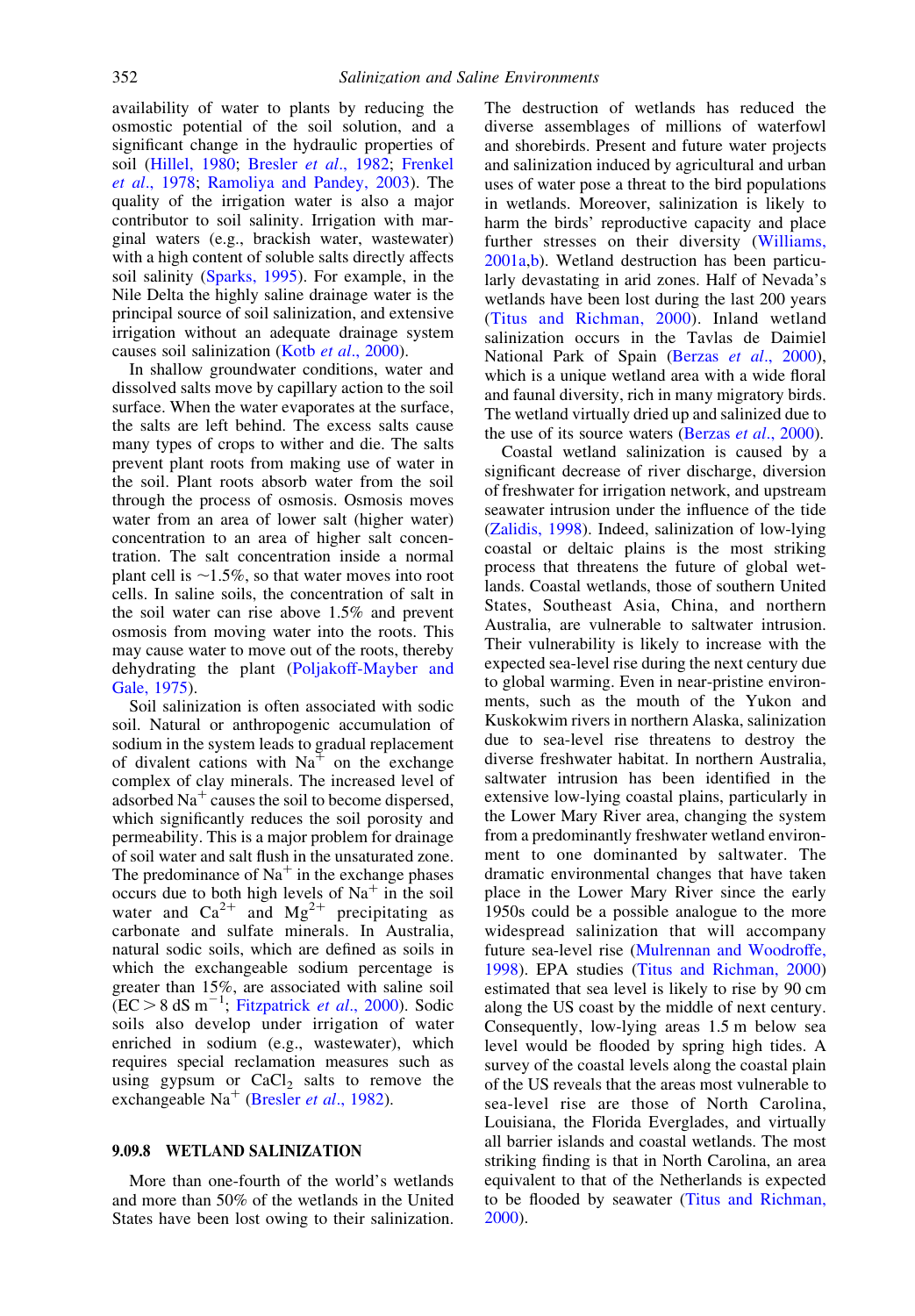availability of water to plants by reducing the osmostic potential of the soil solution, and a significant change in the hydraulic properties of soil [\(Hillel, 1980;](#page-29-0) Bresler et al[., 1982](#page-27-0); [Frenkel](#page-28-0) et al[., 1978;](#page-28-0) [Ramoliya and Pandey, 2003](#page-30-0)). The quality of the irrigation water is also a major contributor to soil salinity. Irrigation with marginal waters (e.g., brackish water, wastewater) with a high content of soluble salts directly affects soil salinity ([Sparks, 1995](#page-31-0)). For example, in the Nile Delta the highly saline drainage water is the principal source of soil salinization, and extensive irrigation without an adequate drainage system causes soil salinization (Kotb et al[., 2000\)](#page-29-0).

In shallow groundwater conditions, water and dissolved salts move by capillary action to the soil surface. When the water evaporates at the surface, the salts are left behind. The excess salts cause many types of crops to wither and die. The salts prevent plant roots from making use of water in the soil. Plant roots absorb water from the soil through the process of osmosis. Osmosis moves water from an area of lower salt (higher water) concentration to an area of higher salt concentration. The salt concentration inside a normal plant cell is  $\sim$ 1.5%, so that water moves into root cells. In saline soils, the concentration of salt in the soil water can rise above 1.5% and prevent osmosis from moving water into the roots. This may cause water to move out of the roots, thereby dehydrating the plant [\(Poljakoff-Mayber and](#page-30-0) [Gale, 1975](#page-30-0)).

Soil salinization is often associated with sodic soil. Natural or anthropogenic accumulation of sodium in the system leads to gradual replacement of divalent cations with  $Na<sup>+</sup>$  on the exchange complex of clay minerals. The increased level of adsorbed  $Na<sup>+</sup>$  causes the soil to become dispersed, which significantly reduces the soil porosity and permeability. This is a major problem for drainage of soil water and salt flush in the unsaturated zone. The predominance of  $Na<sup>+</sup>$  in the exchange phases occurs due to both high levels of  $Na<sup>+</sup>$  in the soil water and  $Ca^{2+}$  and  $Mg^{2+}$  precipitating as carbonate and sulfate minerals. In Australia, natural sodic soils, which are defined as soils in which the exchangeable sodium percentage is greater than 15%, are associated with saline soil  $\text{ECC} > 8 \text{ dS m}^{-1}$ ; [Fitzpatrick](#page-28-0) *et al.*, 2000). Sodic soils also develop under irrigation of water enriched in sodium (e.g., wastewater), which requires special reclamation measures such as using gypsum or  $CaCl<sub>2</sub>$  salts to remove the exchangeable  $Na<sup>+</sup>$  [\(Bresler](#page-27-0) *et al.*, 1982).

# 9.09.8 WETLAND SALINIZATION

More than one-fourth of the world's wetlands and more than 50% of the wetlands in the United States have been lost owing to their salinization. The destruction of wetlands has reduced the diverse assemblages of millions of waterfowl and shorebirds. Present and future water projects and salinization induced by agricultural and urban uses of water pose a threat to the bird populations in wetlands. Moreover, salinization is likely to harm the birds' reproductive capacity and place further stresses on their diversity ([Williams,](#page-32-0) [2001a](#page-32-0),[b\)](#page-32-0). Wetland destruction has been particularly devastating in arid zones. Half of Nevada's wetlands have been lost during the last 200 years [\(Titus and Richman, 2000](#page-31-0)). Inland wetland salinization occurs in the Tavlas de Daimiel National Park of Spain (Berzas et al[., 2000](#page-27-0)), which is a unique wetland area with a wide floral and faunal diversity, rich in many migratory birds. The wetland virtually dried up and salinized due to the use of its source waters (Berzas *et al.*, 2000).

Coastal wetland salinization is caused by a significant decrease of river discharge, diversion of freshwater for irrigation network, and upstream seawater intrusion under the influence of the tide [\(Zalidis, 1998](#page-32-0)). Indeed, salinization of low-lying coastal or deltaic plains is the most striking process that threatens the future of global wetlands. Coastal wetlands, those of southern United States, Southeast Asia, China, and northern Australia, are vulnerable to saltwater intrusion. Their vulnerability is likely to increase with the expected sea-level rise during the next century due to global warming. Even in near-pristine environments, such as the mouth of the Yukon and Kuskokwim rivers in northern Alaska, salinization due to sea-level rise threatens to destroy the diverse freshwater habitat. In northern Australia, saltwater intrusion has been identified in the extensive low-lying coastal plains, particularly in the Lower Mary River area, changing the system from a predominantly freshwater wetland environment to one dominanted by saltwater. The dramatic environmental changes that have taken place in the Lower Mary River since the early 1950s could be a possible analogue to the more widespread salinization that will accompany future sea-level rise ([Mulrennan and Woodroffe,](#page-30-0) [1998\)](#page-30-0). EPA studies [\(Titus and Richman, 2000\)](#page-31-0) estimated that sea level is likely to rise by 90 cm along the US coast by the middle of next century. Consequently, low-lying areas 1.5 m below sea level would be flooded by spring high tides. A survey of the coastal levels along the coastal plain of the US reveals that the areas most vulnerable to sea-level rise are those of North Carolina, Louisiana, the Florida Everglades, and virtually all barrier islands and coastal wetlands. The most striking finding is that in North Carolina, an area equivalent to that of the Netherlands is expected to be flooded by seawater ([Titus and Richman,](#page-31-0) [2000\)](#page-31-0).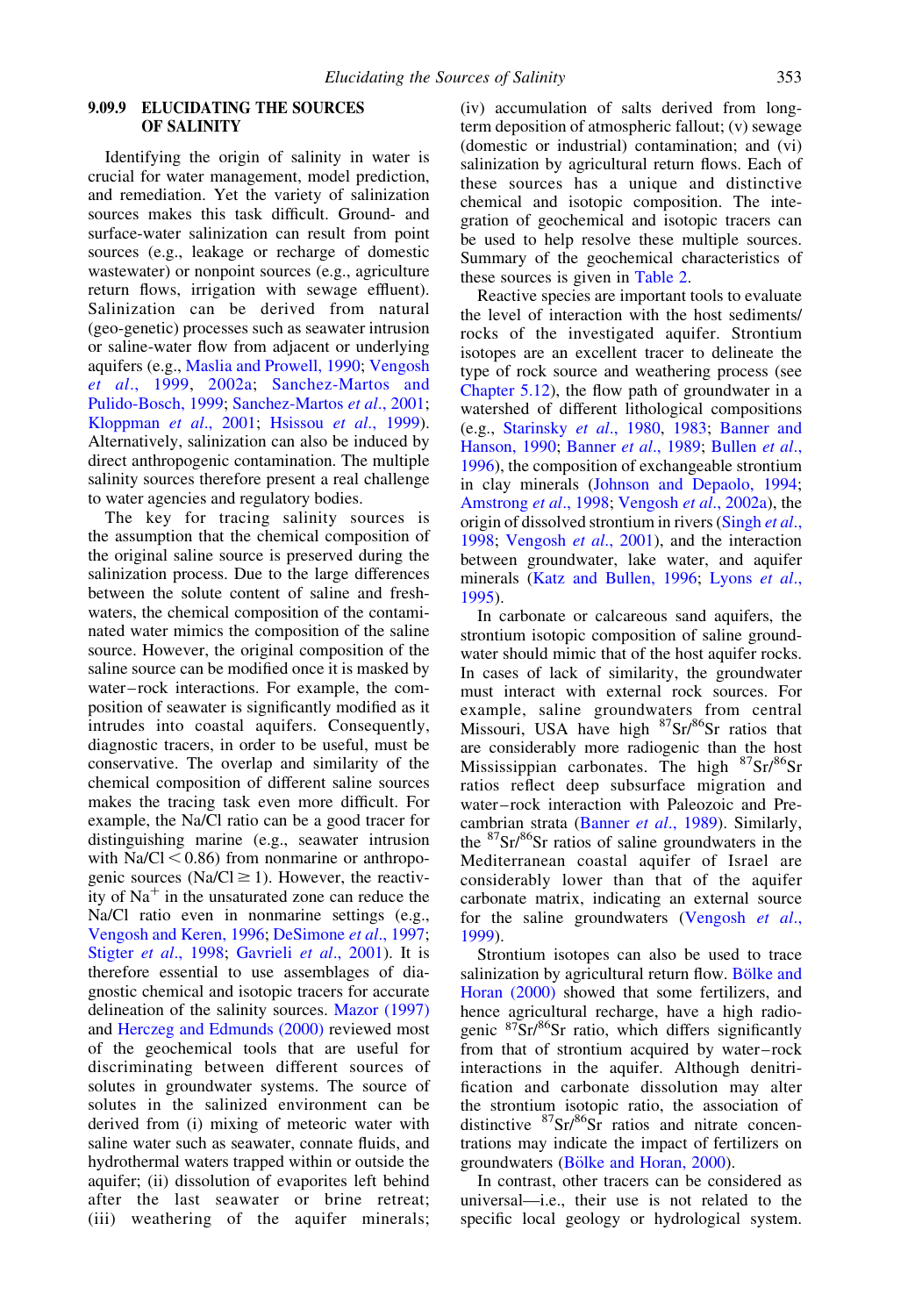## 9.09.9 ELUCIDATING THE SOURCES OF SALINITY

Identifying the origin of salinity in water is crucial for water management, model prediction, and remediation. Yet the variety of salinization sources makes this task difficult. Ground- and surface-water salinization can result from point sources (e.g., leakage or recharge of domestic wastewater) or nonpoint sources (e.g., agriculture return flows, irrigation with sewage effluent). Salinization can be derived from natural (geo-genetic) processes such as seawater intrusion or saline-water flow from adjacent or underlying aquifers (e.g., [Maslia and Prowell, 1990](#page-29-0); [Vengosh](#page-31-0) et al[., 1999](#page-31-0), [2002a](#page-31-0); [Sanchez-Martos and](#page-30-0) [Pulido-Bosch, 1999;](#page-30-0) [Sanchez-Martos](#page-31-0) et al., 2001; [Kloppman](#page-29-0) et al., 2001; [Hsissou](#page-29-0) et al., 1999). Alternatively, salinization can also be induced by direct anthropogenic contamination. The multiple salinity sources therefore present a real challenge to water agencies and regulatory bodies.

The key for tracing salinity sources is the assumption that the chemical composition of the original saline source is preserved during the salinization process. Due to the large differences between the solute content of saline and freshwaters, the chemical composition of the contaminated water mimics the composition of the saline source. However, the original composition of the saline source can be modified once it is masked by water–rock interactions. For example, the composition of seawater is significantly modified as it intrudes into coastal aquifers. Consequently, diagnostic tracers, in order to be useful, must be conservative. The overlap and similarity of the chemical composition of different saline sources makes the tracing task even more difficult. For example, the Na/Cl ratio can be a good tracer for distinguishing marine (e.g., seawater intrusion with  $Na/CI < 0.86$ ) from nonmarine or anthropogenic sources (Na/Cl  $\geq$  1). However, the reactivity of  $Na<sup>+</sup>$  in the unsaturated zone can reduce the Na/Cl ratio even in nonmarine settings (e.g., [Vengosh and Keren, 1996](#page-31-0); [DeSimone](#page-27-0) et al., 1997; Stigter et al[., 1998](#page-31-0); [Gavrieli](#page-28-0) et al., 2001). It is therefore essential to use assemblages of diagnostic chemical and isotopic tracers for accurate delineation of the salinity sources. [Mazor \(1997\)](#page-29-0) and [Herczeg and Edmunds \(2000\)](#page-28-0) reviewed most of the geochemical tools that are useful for discriminating between different sources of solutes in groundwater systems. The source of solutes in the salinized environment can be derived from (i) mixing of meteoric water with saline water such as seawater, connate fluids, and hydrothermal waters trapped within or outside the aquifer; (ii) dissolution of evaporites left behind after the last seawater or brine retreat; (iii) weathering of the aquifer minerals;

(iv) accumulation of salts derived from longterm deposition of atmospheric fallout; (v) sewage (domestic or industrial) contamination; and (vi) salinization by agricultural return flows. Each of these sources has a unique and distinctive chemical and isotopic composition. The integration of geochemical and isotopic tracers can be used to help resolve these multiple sources. Summary of the geochemical characteristics of these sources is given in [Table 2.](#page-21-0)

Reactive species are important tools to evaluate the level of interaction with the host sediments/ rocks of the investigated aquifer. Strontium isotopes are an excellent tracer to delineate the type of rock source and weathering process (see Chapter 5.12), the flow path of groundwater in a watershed of different lithological compositions (e.g., [Starinsky](#page-31-0) et al., 1980, [1983](#page-31-0); [Banner and](#page-26-0) [Hanson, 1990;](#page-26-0) [Banner](#page-26-0) et al., 1989; [Bullen](#page-27-0) et al., [1996\)](#page-27-0), the composition of exchangeable strontium in clay minerals ([Johnson and Depaolo, 1994](#page-29-0); [Amstrong](#page-26-0) et al., 1998; [Vengosh](#page-31-0) et al., 2002a), the origin of dissolved strontium in rivers ([Singh](#page-31-0) et al., [1998;](#page-31-0) [Vengosh](#page-31-0) et al., 2001), and the interaction between groundwater, lake water, and aquifer minerals [\(Katz and Bullen, 1996](#page-29-0); [Lyons](#page-29-0) et al., [1995\)](#page-29-0).

In carbonate or calcareous sand aquifers, the strontium isotopic composition of saline groundwater should mimic that of the host aquifer rocks. In cases of lack of similarity, the groundwater must interact with external rock sources. For example, saline groundwaters from central Missouri, USA have high  $\frac{87}{5}$ sr<sup>86</sup>Sr ratios that are considerably more radiogenic than the host Mississippian carbonates. The high  $87\text{Sr}/86\text{Sr}$ ratios reflect deep subsurface migration and water–rock interaction with Paleozoic and Pre-cambrian strata ([Banner](#page-26-0) et al., 1989). Similarly, the <sup>87</sup>Sr/<sup>86</sup>Sr ratios of saline groundwaters in the Mediterranean coastal aquifer of Israel are considerably lower than that of the aquifer carbonate matrix, indicating an external source for the saline groundwaters [\(Vengosh](#page-31-0) et al., [1999\)](#page-31-0).

Strontium isotopes can also be used to trace salinization by agricultural return flow. Bölke and [Horan \(2000\)](#page-27-0) showed that some fertilizers, and hence agricultural recharge, have a high radiogenic  $87\text{Sr}/86\text{Sr}$  ratio, which differs significantly from that of strontium acquired by water–rock interactions in the aquifer. Although denitrification and carbonate dissolution may alter the strontium isotopic ratio, the association of distinctive  ${}^{87}Sr/{}^{86}Sr$  ratios and nitrate concentrations may indicate the impact of fertilizers on groundwaters (Bölke and Horan, 2000).

In contrast, other tracers can be considered as universal—i.e., their use is not related to the specific local geology or hydrological system.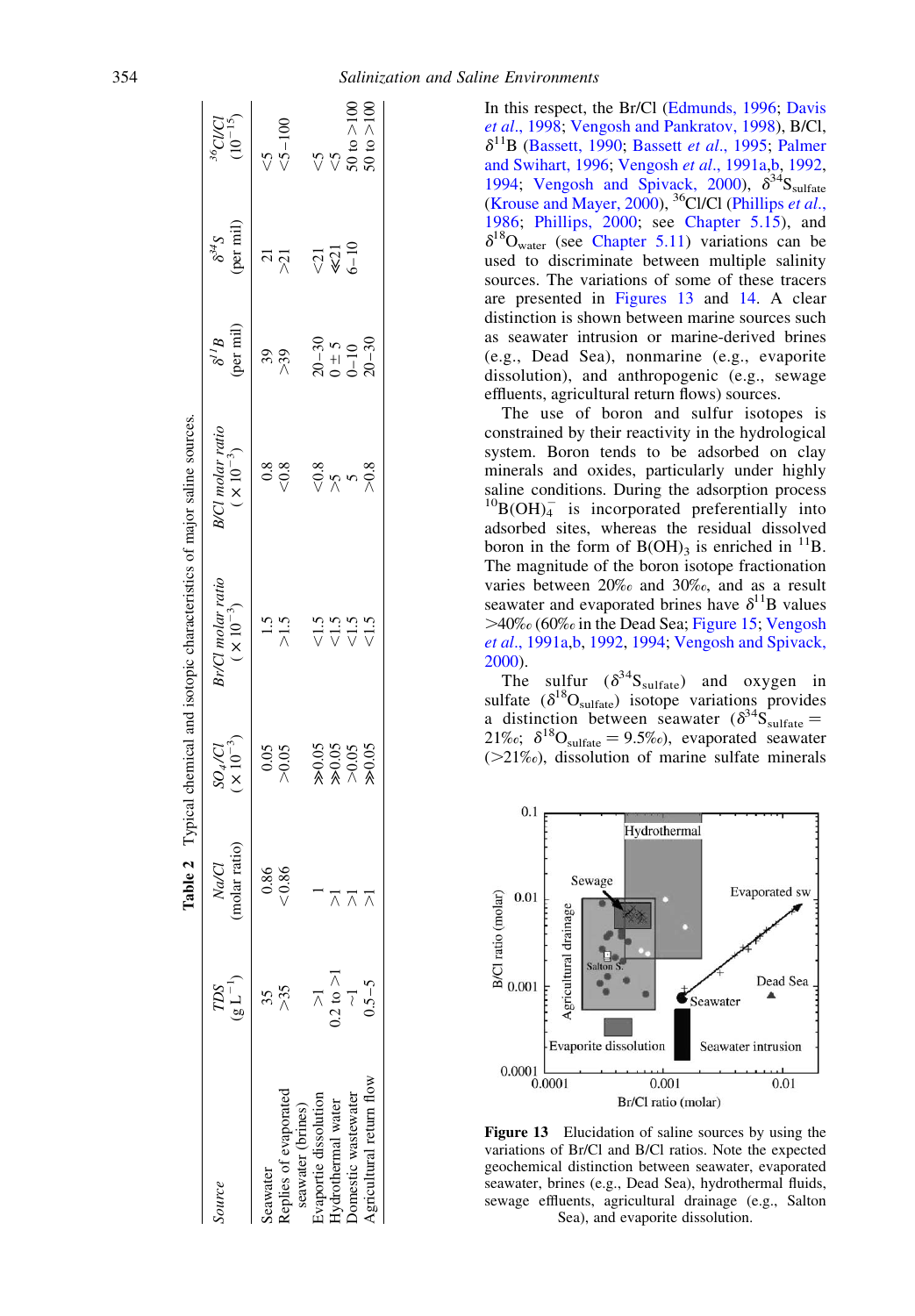<span id="page-21-0"></span>

|                           |                            | Table 2                      |                                 | lypical chemical and isotopic characteristics of major saline sources.                                                                                                                                                         |                                     |                                       |                             |                                                  |
|---------------------------|----------------------------|------------------------------|---------------------------------|--------------------------------------------------------------------------------------------------------------------------------------------------------------------------------------------------------------------------------|-------------------------------------|---------------------------------------|-----------------------------|--------------------------------------------------|
| ource                     | $(2L^{-1})$<br><b>SCLL</b> | (molar ratio<br><b>Na/Cl</b> | $SO_4/Cl$ ( $\times$ $10^{-3})$ | Br/Cl molar ratio<br>$(X 10^{-3})$                                                                                                                                                                                             | $B/CI$ molar ratio<br>$(X 10^{-3})$ | $\frac{8^{I}B}{\text{per mil}}$       | $\delta^{34}S$<br>(per mil) | $^{36}C1C1$                                      |
| eawater                   |                            | 0.86                         |                                 |                                                                                                                                                                                                                                | $\frac{8}{3}$                       | 39                                    |                             |                                                  |
| ceplies of evaporated     | >35                        | ${<}\,0.86$                  | $rac{0.05}{0.05}$               | $rac{5}{5}$                                                                                                                                                                                                                    | 50.8                                | >39                                   | รั                          | $5 - 100$                                        |
| seawater (brines)         |                            |                              |                                 |                                                                                                                                                                                                                                |                                     |                                       |                             |                                                  |
| vaportie dissolution      | $\overline{\wedge}$        |                              |                                 |                                                                                                                                                                                                                                | $<\!0.8$                            |                                       |                             | $\sqrt{2}$                                       |
| lydrothermal water        | $0.2 \text{ to } > 1$      |                              |                                 |                                                                                                                                                                                                                                | $\frac{2}{\sqrt{2}}$                |                                       | $\sqrt{3}$ $\sqrt{10}$      |                                                  |
| <b>Omestic wastewater</b> | $\overline{\mathcal{C}}$   |                              | 30.05<br>0.05<br>0.06<br>0.06   | $\begin{array}{c}\n\stackrel{.}{\sim} & \stackrel{.}{\sim} & \stackrel{.}{\sim} & \stackrel{.}{\sim} \\ \stackrel{.}{\sim} & \stackrel{.}{\sim} & \stackrel{.}{\sim} & \stackrel{.}{\sim} & \stackrel{.}{\sim} \\ \end{array}$ |                                     | $20-30$<br>$0+5$<br>$0-10$<br>$20-30$ |                             | $50 \text{ to } > 100$<br>$50 \text{ to } > 100$ |
| sgricultural return flow  | $0.5 - 5$                  |                              |                                 |                                                                                                                                                                                                                                | > 0.8                               |                                       |                             |                                                  |
|                           |                            |                              |                                 |                                                                                                                                                                                                                                |                                     |                                       |                             |                                                  |

In this respect, the Br/Cl [\(Edmunds, 1996;](#page-27-0) [Davis](#page-27-0) et al[., 1998;](#page-27-0) [Vengosh and Pankratov, 1998](#page-31-0)), B/Cl,  $\delta^{11}$ B ([Bassett, 1990;](#page-27-0) [Bassett](#page-27-0) et al., 1995; [Palmer](#page-30-0) [and Swihart, 1996;](#page-30-0) [Vengosh](#page-31-0) et al., 1991a,[b,](#page-31-0) [1992,](#page-31-0) [1994;](#page-31-0) [Vengosh and Spivack, 2000](#page-31-0)),  $\delta^{34}S_{\text{sulfate}}$ [\(Krouse and Mayer, 2000\)](#page-29-0), 36Cl/Cl ([Phillips](#page-30-0) et al., [1986](#page-30-0); [Phillips, 2000](#page-30-0); see Chapter 5.15), and  $\delta^{18}O_{\text{water}}$  (see Chapter 5.11) variations can be used to discriminate between multiple salinity sources. The variations of some of these tracers are presented in Figures 13 and [14.](#page-22-0) A clear distinction is shown between marine sources such as seawater intrusion or marine-derived brines (e.g., Dead Sea), nonmarine (e.g., evaporite dissolution), and anthropogenic (e.g., sewage effluents, agricultural return flows) sources.

The use of boron and sulfur isotopes is constrained by their reactivity in the hydrological system. Boron tends to be adsorbed on clay minerals and oxides, particularly under highly saline conditions. During the adsorption process  ${}^{10}B(OH)_4^-$  is incorporated preferentially into adsorbed sites, whereas the residual dissolved boron in the form of  $B(OH)_3$  is enriched in <sup>11</sup>B. The magnitude of the boron isotope fractionation varies between 20‰ and 30‰, and as a result seawater and evaporated brines have  $\delta^{11}B$  values .40‰ (60‰ in the Dead Sea; [Figure 15;](#page-22-0) [Vengosh](#page-31-0) et al[., 1991a,b](#page-31-0), [1992](#page-31-0), [1994;](#page-31-0) [Vengosh and Spivack,](#page-31-0) [2000\)](#page-31-0).

The sulfur  $(\delta^{34}S_{\text{sulfate}})$  and oxygen in sulfate  $(\delta^{18}O_{\text{suffixed}})$  isotope variations provides a distinction between seawater  $(\delta^{34}S_{\text{sulfate}})$ 21‰;  $\delta^{18}O_{\text{sulfate}} = 9.5\%$ ), evaporated seawater  $(>=21\%)$ , dissolution of marine sulfate minerals



Figure 13 Elucidation of saline sources by using the variations of Br/Cl and B/Cl ratios. Note the expected geochemical distinction between seawater, evaporated seawater, brines (e.g., Dead Sea), hydrothermal fluids, sewage effluents, agricultural drainage (e.g., Salton Sea), and evaporite dissolution.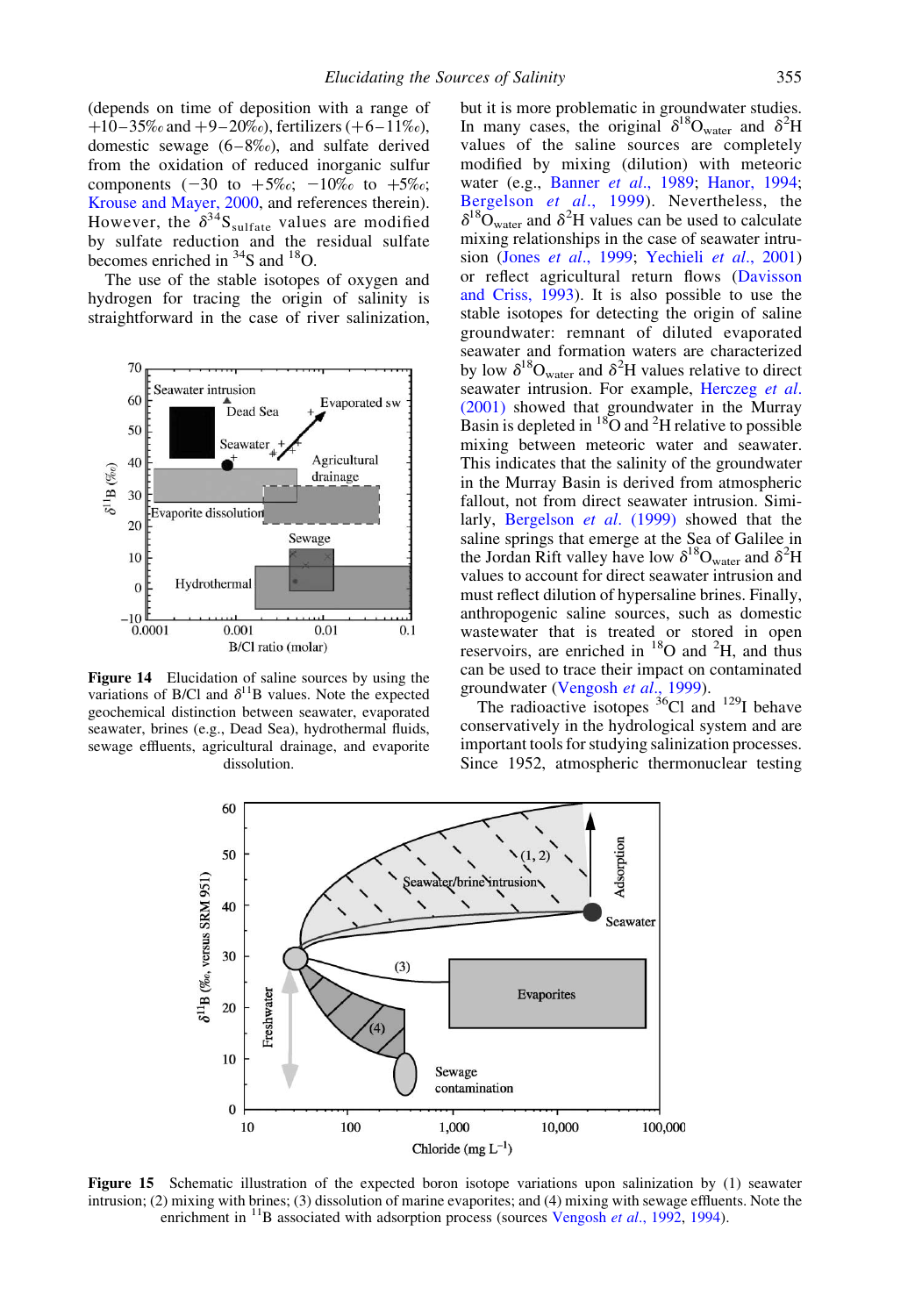<span id="page-22-0"></span>(depends on time of deposition with a range of  $+10-35\%$  and  $+9-20\%$ ), fertilizers ( $+6-11\%$ ), domestic sewage (6–8‰), and sulfate derived from the oxidation of reduced inorganic sulfur components  $(-30 \text{ to } +5\%_{0}; -10\%_{0} \text{ to } +5\%_{0};$ [Krouse and Mayer, 2000,](#page-29-0) and references therein). However, the  $\delta^{34}S_{\text{sulfate}}$  values are modified by sulfate reduction and the residual sulfate becomes enriched in  ${}^{34}S$  and  ${}^{18}O$ .

The use of the stable isotopes of oxygen and hydrogen for tracing the origin of salinity is straightforward in the case of river salinization,



Figure 14 Elucidation of saline sources by using the variations of B/Cl and  $\delta^{11}$ B values. Note the expected geochemical distinction between seawater, evaporated seawater, brines (e.g., Dead Sea), hydrothermal fluids, sewage effluents, agricultural drainage, and evaporite dissolution.

but it is more problematic in groundwater studies. In many cases, the original  $\delta^{18}O_{\text{water}}$  and  $\delta^2H$ values of the saline sources are completely modified by mixing (dilution) with meteoric water (e.g., Banner et al[., 1989;](#page-26-0) [Hanor, 1994](#page-28-0); [Bergelson](#page-27-0) et al., 1999). Nevertheless, the  $\delta^{18}O_{\text{water}}$  and  $\delta^2H$  values can be used to calculate mixing relationships in the case of seawater intrusion (Jones et al[., 1999;](#page-29-0) [Yechieli](#page-32-0) et al., 2001) or reflect agricultural return flows [\(Davisson](#page-27-0) [and Criss, 1993](#page-27-0)). It is also possible to use the stable isotopes for detecting the origin of saline groundwater: remnant of diluted evaporated seawater and formation waters are characterized by low  $\delta^{18}O_{\text{water}}$  and  $\delta^2H$  values relative to direct seawater intrusion. For example, [Herczeg](#page-28-0) et al. [\(2001\)](#page-28-0) showed that groundwater in the Murray Basin is depleted in  ${}^{18}O$  and <sup>2</sup>H relative to possible mixing between meteoric water and seawater. This indicates that the salinity of the groundwater in the Murray Basin is derived from atmospheric fallout, not from direct seawater intrusion. Simi-larly, [Bergelson](#page-27-0) et al. (1999) showed that the saline springs that emerge at the Sea of Galilee in the Jordan Rift valley have low  $\delta^{18}O_{\text{water}}$  and  $\delta^2H$ values to account for direct seawater intrusion and must reflect dilution of hypersaline brines. Finally, anthropogenic saline sources, such as domestic wastewater that is treated or stored in open reservoirs, are enriched in  $^{18}$ O and  $^{2}$ H, and thus can be used to trace their impact on contaminated groundwater ([Vengosh](#page-31-0) et al., 1999).

The radioactive isotopes  $^{36}$ Cl and  $^{129}$ I behave conservatively in the hydrological system and are important tools for studying salinization processes. Since 1952, atmospheric thermonuclear testing



Figure 15 Schematic illustration of the expected boron isotope variations upon salinization by (1) seawater intrusion; (2) mixing with brines; (3) dissolution of marine evaporites; and (4) mixing with sewage effluents. Note the enrichment in <sup>11</sup>B associated with adsorption process (sources [Vengosh](#page-31-0) et al., 1992, [1994](#page-31-0)).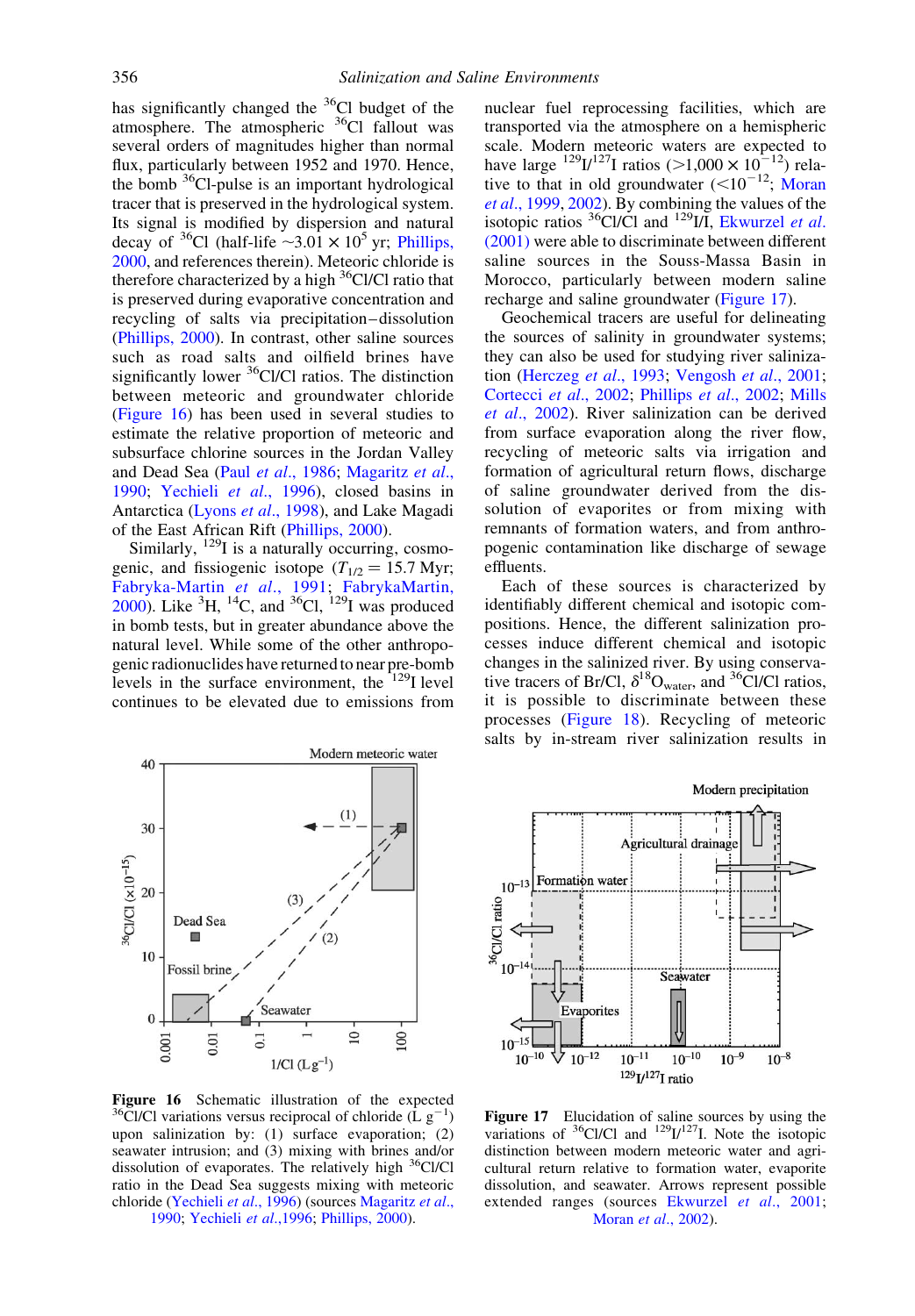has significantly changed the  $36$ Cl budget of the atmosphere. The atmospheric <sup>36</sup>Cl fallout was several orders of magnitudes higher than normal flux, particularly between 1952 and 1970. Hence, the bomb  $36$ Cl-pulse is an important hydrological tracer that is preserved in the hydrological system. Its signal is modified by dispersion and natural decay of <sup>36</sup>Cl (half-life  $\sim$ 3.01  $\times$  10<sup>5</sup> yr; [Phillips,](#page-30-0) [2000,](#page-30-0) and references therein). Meteoric chloride is therefore characterized by a high <sup>36</sup>Cl/Cl ratio that is preserved during evaporative concentration and recycling of salts via precipitation–dissolution [\(Phillips, 2000\)](#page-30-0). In contrast, other saline sources such as road salts and oilfield brines have significantly lower <sup>36</sup>Cl/Cl ratios. The distinction between meteoric and groundwater chloride (Figure 16) has been used in several studies to estimate the relative proportion of meteoric and subsurface chlorine sources in the Jordan Valley and Dead Sea (Paul et al[., 1986;](#page-30-0) [Magaritz](#page-29-0) et al., [1990;](#page-29-0) [Yechieli](#page-32-0) et al., 1996), closed basins in Antarctica (Lyons et al[., 1998\)](#page-29-0), and Lake Magadi of the East African Rift [\(Phillips, 2000](#page-30-0)).

Similarly,  $^{129}$ I is a naturally occurring, cosmogenic, and fissiogenic isotope ( $T_{1/2} = 15.7$  Myr; [Fabryka-Martin](#page-28-0) et al., 1991; [FabrykaMartin,](#page-28-0) [2000\)](#page-28-0). Like  ${}^{3}H, {}^{14}C,$  and  ${}^{36}Cl, {}^{129}I$  was produced in bomb tests, but in greater abundance above the natural level. While some of the other anthropogenic radionuclides have returned to near pre-bomb levels in the surface environment, the  $129$ I level continues to be elevated due to emissions from



**Figure 16** Schematic illustration of the expected  $3^5$ Cl/Cl variations versus reciprocal of chloride (L g<sup>-1</sup>) upon salinization by: (1) surface evaporation; (2) seawater intrusion; and (3) mixing with brines and/or dissolution of evaporates. The relatively high  $36$ Cl/Cl ratio in the Dead Sea suggests mixing with meteoric chloride [\(Yechieli](#page-32-0) et al., 1996) (sources [Magaritz](#page-29-0) et al.,

[1990;](#page-29-0) [Yechieli](#page-32-0) et al.,1996; [Phillips, 2000\)](#page-30-0).

nuclear fuel reprocessing facilities, which are transported via the atmosphere on a hemispheric scale. Modern meteoric waters are expected to have large  $^{129}$ I/<sup>127</sup>I ratios (>1,000  $\times$  10<sup>-12</sup>) relative to that in old groundwater  $(<10^{-12}$ ; [Moran](#page-30-0) et al[., 1999](#page-30-0), [2002\)](#page-30-0). By combining the values of the isotopic ratios  ${}^{36}$ Cl/Cl and  ${}^{129}$ I/I, [Ekwurzel](#page-28-0) et al. [\(2001\)](#page-28-0) were able to discriminate between different saline sources in the Souss-Massa Basin in Morocco, particularly between modern saline recharge and saline groundwater (Figure 17).

Geochemical tracers are useful for delineating the sources of salinity in groundwater systems; they can also be used for studying river salinization [\(Herczeg](#page-28-0) et al., 1993; [Vengosh](#page-31-0) et al., 2001; [Cortecci](#page-27-0) et al., 2002; [Phillips](#page-30-0) et al., 2002; [Mills](#page-30-0) et al[., 2002](#page-30-0)). River salinization can be derived from surface evaporation along the river flow, recycling of meteoric salts via irrigation and formation of agricultural return flows, discharge of saline groundwater derived from the dissolution of evaporites or from mixing with remnants of formation waters, and from anthropogenic contamination like discharge of sewage effluents.

Each of these sources is characterized by identifiably different chemical and isotopic compositions. Hence, the different salinization processes induce different chemical and isotopic changes in the salinized river. By using conservative tracers of Br/Cl,  $\delta^{18}O_{\text{water}}$ , and  $\delta^{36}Cl/Cl$  ratios, it is possible to discriminate between these processes [\(Figure 18\)](#page-24-0). Recycling of meteoric salts by in-stream river salinization results in



**Figure 17** Elucidation of saline sources by using the variations of  $\frac{36}{1}$ Cl/Cl and  $\frac{129}{17}$ I/127I. Note the isotopic distinction between modern meteoric water and agricultural return relative to formation water, evaporite dissolution, and seawater. Arrows represent possible extended ranges (sources [Ekwurzel](#page-28-0) et al., 2001; Moran et al[., 2002](#page-30-0)).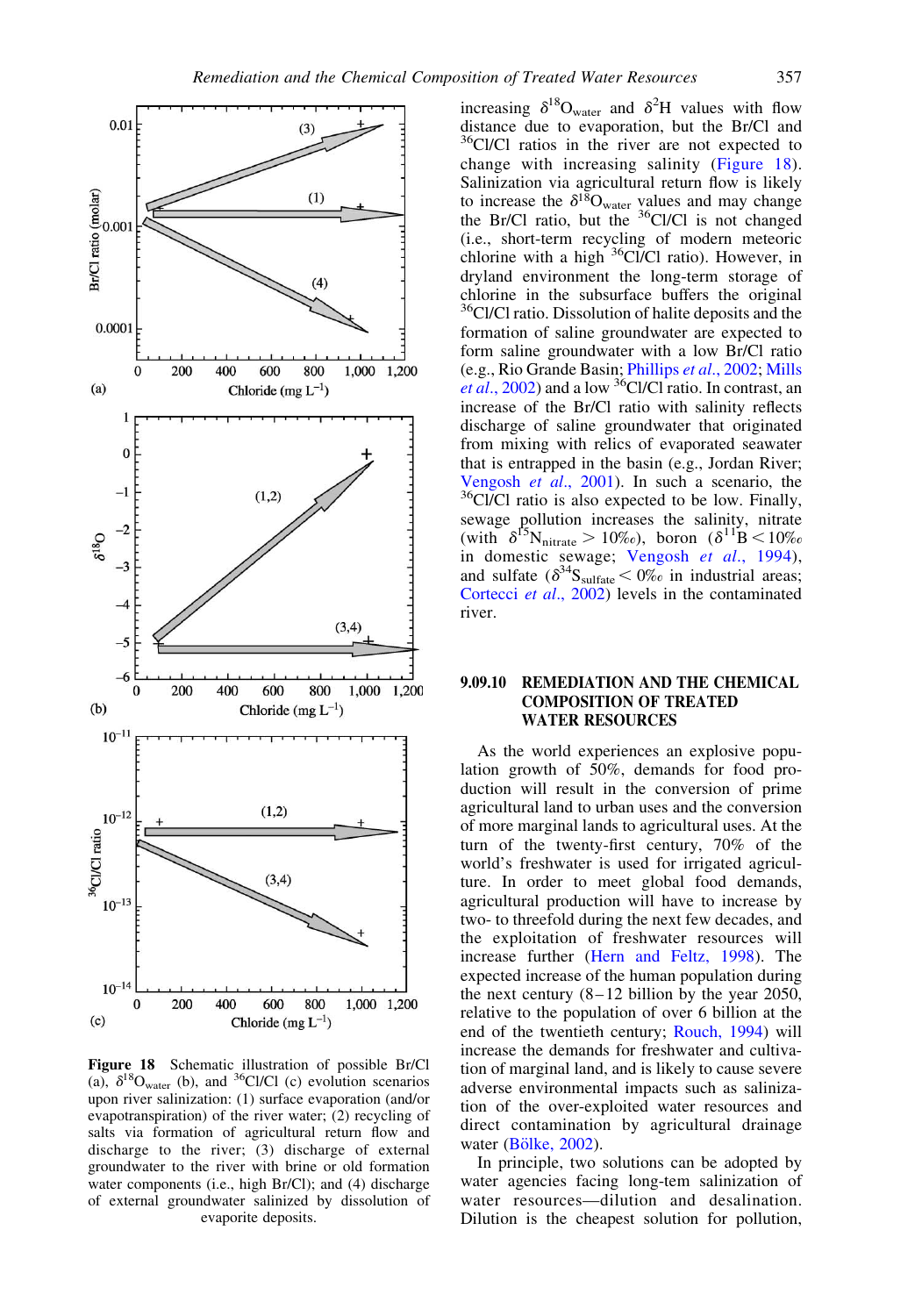<span id="page-24-0"></span>

Figure 18 Schematic illustration of possible Br/Cl (a),  $\delta^{18}O_{\text{water}}$  (b), and <sup>36</sup>Cl/Cl (c) evolution scenarios upon river salinization: (1) surface evaporation (and/or evapotranspiration) of the river water; (2) recycling of salts via formation of agricultural return flow and discharge to the river; (3) discharge of external groundwater to the river with brine or old formation water components (i.e., high Br/Cl); and (4) discharge of external groundwater salinized by dissolution of evaporite deposits.

increasing  $\delta^{18}O_{\text{water}}$  and  $\delta^2H$  values with flow distance due to evaporation, but the Br/Cl and <sup>36</sup>Cl/Cl ratios in the river are not expected to change with increasing salinity (Figure 18). Salinization via agricultural return flow is likely to increase the  $\delta^{18}O_{\text{water}}$  values and may change the Br/Cl ratio, but the <sup>36</sup>Cl/Cl is not changed (i.e., short-term recycling of modern meteoric chlorine with a high  $36$ Cl/Cl ratio). However, in dryland environment the long-term storage of chlorine in the subsurface buffers the original <sup>36</sup>Cl/Cl ratio. Dissolution of halite deposits and the formation of saline groundwater are expected to form saline groundwater with a low Br/Cl ratio (e.g., Rio Grande Basin; [Phillips](#page-30-0) et al., 2002; [Mills](#page-30-0) et al[., 2002\)](#page-30-0) and a low  ${}^{36}$ Cl/Cl ratio. In contrast, an increase of the Br/Cl ratio with salinity reflects discharge of saline groundwater that originated from mixing with relics of evaporated seawater that is entrapped in the basin (e.g., Jordan River; [Vengosh](#page-31-0) et al., 2001). In such a scenario, the <sup>36</sup>Cl/Cl ratio is also expected to be low. Finally, sewage pollution increases the salinity, nitrate (with  $\delta^{15}N_{\text{nitrate}} > 10\%$ ), boron  $(\delta^{11}B < 10\%$ in domestic sewage; [Vengosh](#page-31-0) et al., 1994), and sulfate  $(\delta^{34}S_{\text{sulfate}} < 0\%$  in industrial areas; [Cortecci](#page-27-0) et al., 2002) levels in the contaminated river.

# 9.09.10 REMEDIATION AND THE CHEMICAL COMPOSITION OF TREATED WATER RESOURCES

As the world experiences an explosive population growth of 50%, demands for food production will result in the conversion of prime agricultural land to urban uses and the conversion of more marginal lands to agricultural uses. At the turn of the twenty-first century, 70% of the world's freshwater is used for irrigated agriculture. In order to meet global food demands, agricultural production will have to increase by two- to threefold during the next few decades, and the exploitation of freshwater resources will increase further [\(Hern and Feltz, 1998](#page-28-0)). The expected increase of the human population during the next century  $(8-12)$  billion by the year 2050, relative to the population of over 6 billion at the end of the twentieth century; [Rouch, 1994](#page-30-0)) will increase the demands for freshwater and cultivation of marginal land, and is likely to cause severe adverse environmental impacts such as salinization of the over-exploited water resources and direct contamination by agricultural drainage water ( $B\ddot{o}$ lke, 2002).

In principle, two solutions can be adopted by water agencies facing long-tem salinization of water resources—dilution and desalination. Dilution is the cheapest solution for pollution,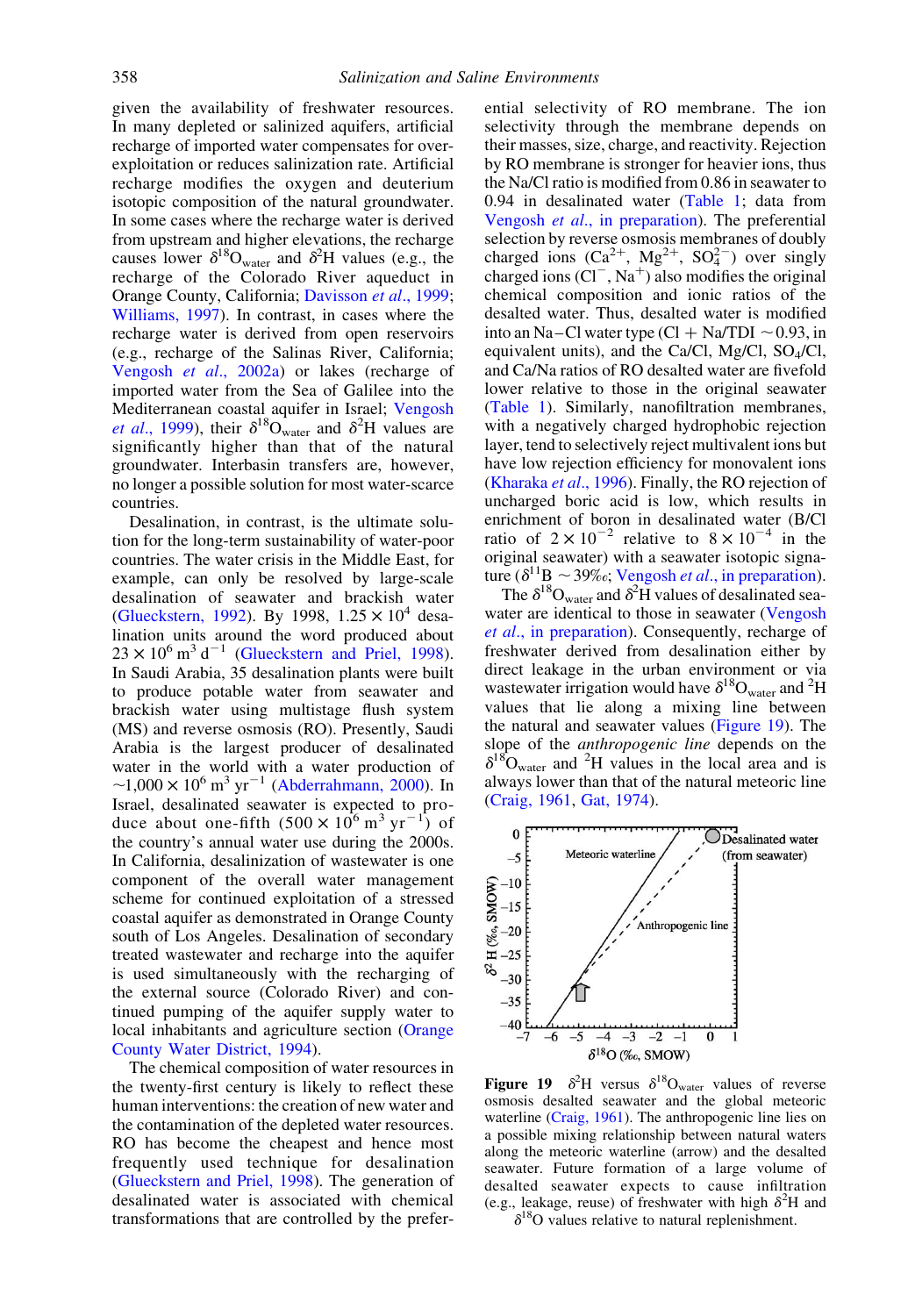given the availability of freshwater resources. In many depleted or salinized aquifers, artificial recharge of imported water compensates for overexploitation or reduces salinization rate. Artificial recharge modifies the oxygen and deuterium isotopic composition of the natural groundwater. In some cases where the recharge water is derived from upstream and higher elevations, the recharge causes lower  $\delta^{18}O_{\text{water}}$  and  $\delta^2H$  values (e.g., the recharge of the Colorado River aqueduct in Orange County, California; [Davisson](#page-27-0) et al., 1999; [Williams, 1997\)](#page-32-0). In contrast, in cases where the recharge water is derived from open reservoirs (e.g., recharge of the Salinas River, California; Vengosh et al[., 2002a\)](#page-31-0) or lakes (recharge of imported water from the Sea of Galilee into the Mediterranean coastal aquifer in Israel; [Vengosh](#page-31-0) *et al.*, 1999), their  $\delta^{18}$ O<sub>water</sub> and  $\delta^2$ H values are significantly higher than that of the natural groundwater. Interbasin transfers are, however, no longer a possible solution for most water-scarce countries.

Desalination, in contrast, is the ultimate solution for the long-term sustainability of water-poor countries. The water crisis in the Middle East, for example, can only be resolved by large-scale desalination of seawater and brackish water [\(Glueckstern, 1992](#page-28-0)). By 1998,  $1.25 \times 10^4$  desalination units around the word produced about  $23 \times 10^6$  m<sup>3</sup> d<sup>-1</sup> ([Glueckstern and Priel, 1998](#page-28-0)). In Saudi Arabia, 35 desalination plants were built to produce potable water from seawater and brackish water using multistage flush system (MS) and reverse osmosis (RO). Presently, Saudi Arabia is the largest producer of desalinated water in the world with a water production of  $\sim$ 1,000  $\times$  10<sup>6</sup> m<sup>3</sup> yr<sup>-1</sup> [\(Abderrahmann, 2000](#page-26-0)). In Israel, desalinated seawater is expected to produce about one-fifth  $(500 \times 10^6 \text{ m}^3 \text{ yr}^{-1})$  of the country's annual water use during the 2000s. In California, desalinization of wastewater is one component of the overall water management scheme for continued exploitation of a stressed coastal aquifer as demonstrated in Orange County south of Los Angeles. Desalination of secondary treated wastewater and recharge into the aquifer is used simultaneously with the recharging of the external source (Colorado River) and continued pumping of the aquifer supply water to local inhabitants and agriculture section ([Orange](#page-30-0) [County Water District, 1994\)](#page-30-0).

The chemical composition of water resources in the twenty-first century is likely to reflect these human interventions: the creation of new water and the contamination of the depleted water resources. RO has become the cheapest and hence most frequently used technique for desalination [\(Glueckstern and Priel, 1998\)](#page-28-0). The generation of desalinated water is associated with chemical transformations that are controlled by the prefer-

ential selectivity of RO membrane. The ion selectivity through the membrane depends on their masses, size, charge, and reactivity. Rejection by RO membrane is stronger for heavier ions, thus the Na/Cl ratio is modified from 0.86 in seawater to 0.94 in desalinated water [\(Table 1](#page-4-0); data from Vengosh et al[., in preparation\)](#page-32-0). The preferential selection by reverse osmosis membranes of doubly charged ions  $(Ca^{2+}, Mg^{2+}, SO<sub>4</sub><sup>2-</sup>)$  over singly charged ions  $(Cl^-, Na^+)$  also modifies the original chemical composition and ionic ratios of the desalted water. Thus, desalted water is modified into an Na–Cl water type  $(Cl + Na/TDI \sim 0.93$ , in equivalent units), and the Ca/Cl, Mg/Cl,  $SO_4/Cl$ , and Ca/Na ratios of RO desalted water are fivefold lower relative to those in the original seawater [\(Table 1](#page-4-0)). Similarly, nanofiltration membranes, with a negatively charged hydrophobic rejection layer, tend to selectively reject multivalent ions but have low rejection efficiency for monovalent ions [\(Kharaka](#page-29-0) et al., 1996). Finally, the RO rejection of uncharged boric acid is low, which results in enrichment of boron in desalinated water (B/Cl ratio of  $2 \times 10^{-2}$  relative to  $8 \times 10^{-4}$  in the original seawater) with a seawater isotopic signature ( $\delta^{11}B \sim 39\%$ ; Vengosh *et al.*, in preparation).

The  $\delta^{18}O_{\text{water}}$  and  $\delta^2H$  values of desalinated seawater are identical to those in seawater ([Vengosh](#page-32-0) et al[., in preparation\)](#page-32-0). Consequently, recharge of freshwater derived from desalination either by direct leakage in the urban environment or via wastewater irrigation would have  $\delta^{18}O_{\text{water}}$  and <sup>2</sup>H values that lie along a mixing line between the natural and seawater values (Figure 19). The slope of the anthropogenic line depends on the  $\delta^{18}$ O<sub>water</sub> and <sup>2</sup>H values in the local area and is always lower than that of the natural meteoric line [\(Craig, 1961,](#page-27-0) [Gat, 1974](#page-28-0)).



**Figure 19**  $\delta^2$ H versus  $\delta^{18}$ O<sub>water</sub> values of reverse osmosis desalted seawater and the global meteoric waterline [\(Craig, 1961\)](#page-27-0). The anthropogenic line lies on a possible mixing relationship between natural waters along the meteoric waterline (arrow) and the desalted seawater. Future formation of a large volume of desalted seawater expects to cause infiltration (e.g., leakage, reuse) of freshwater with high  $\delta^2$ H and

 $\delta^{18}$ O values relative to natural replenishment.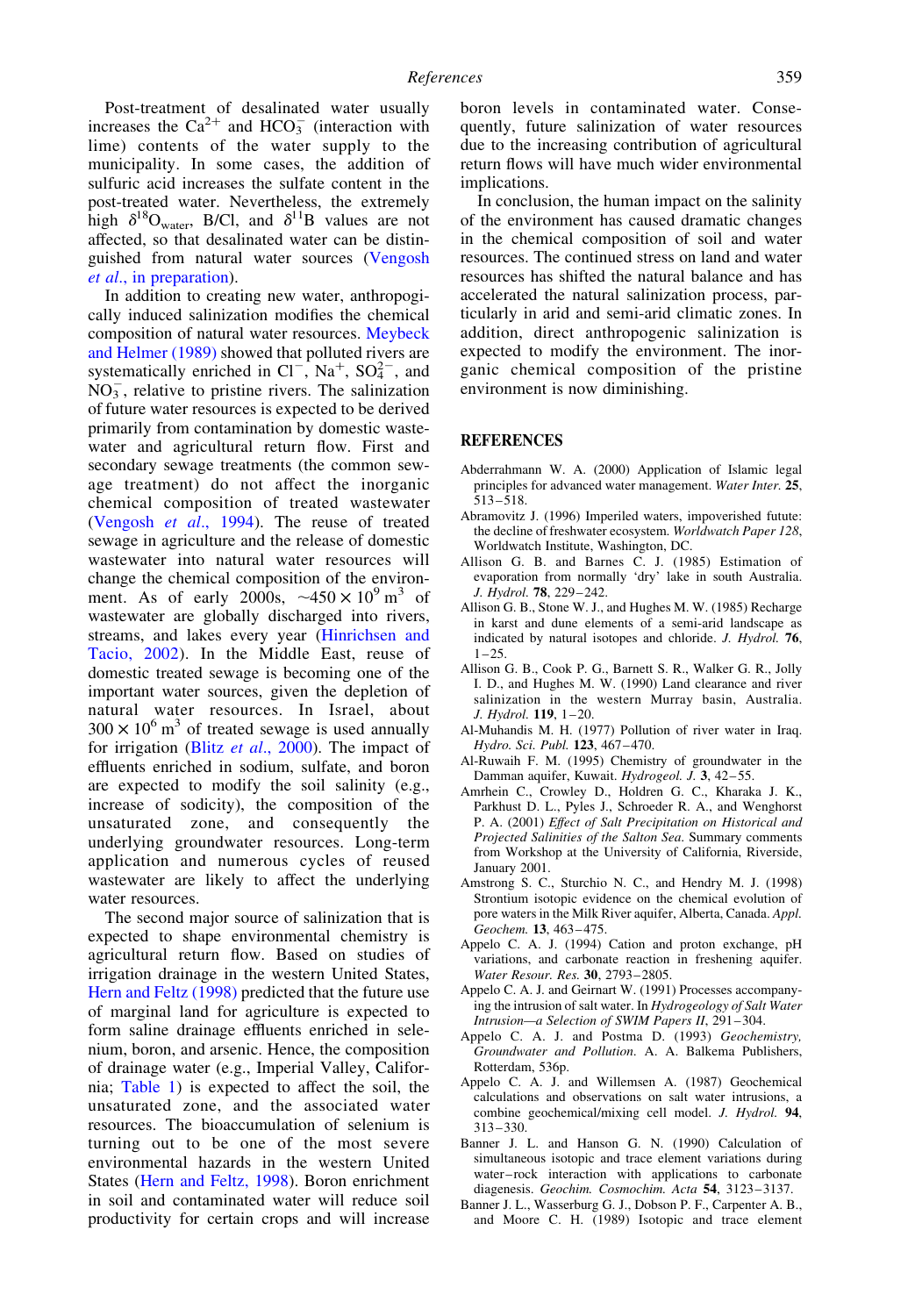<span id="page-26-0"></span>Post-treatment of desalinated water usually increases the  $Ca^{2+}$  and  $HCO_3^-$  (interaction with lime) contents of the water supply to the municipality. In some cases, the addition of sulfuric acid increases the sulfate content in the post-treated water. Nevertheless, the extremely high  $\delta^{18}O_{\text{water}}$ , B/Cl, and  $\delta^{11}B$  values are not affected, so that desalinated water can be distinguished from natural water sources [\(Vengosh](#page-32-0) et al[., in preparation](#page-32-0)).

In addition to creating new water, anthropogically induced salinization modifies the chemical composition of natural water resources. [Meybeck](#page-30-0) [and Helmer \(1989\)](#page-30-0) showed that polluted rivers are systematically enriched in  $Cl^{-}$ ,  $Na^{+}$ ,  $SO_{4}^{2-}$ , and  $NO<sub>3</sub>$ , relative to pristine rivers. The salinization of future water resources is expected to be derived primarily from contamination by domestic wastewater and agricultural return flow. First and secondary sewage treatments (the common sewage treatment) do not affect the inorganic chemical composition of treated wastewater ([Vengosh](#page-31-0) et al., 1994). The reuse of treated sewage in agriculture and the release of domestic wastewater into natural water resources will change the chemical composition of the environment. As of early 2000s,  $\sim$ 450  $\times$  10<sup>9</sup> m<sup>3</sup> of wastewater are globally discharged into rivers, streams, and lakes every year [\(Hinrichsen and](#page-29-0) [Tacio, 2002\)](#page-29-0). In the Middle East, reuse of domestic treated sewage is becoming one of the important water sources, given the depletion of natural water resources. In Israel, about  $300 \times 10^6$  m<sup>3</sup> of treated sewage is used annually for irrigation (Blitz et al[., 2000](#page-27-0)). The impact of effluents enriched in sodium, sulfate, and boron are expected to modify the soil salinity (e.g., increase of sodicity), the composition of the unsaturated zone, and consequently the underlying groundwater resources. Long-term application and numerous cycles of reused wastewater are likely to affect the underlying water resources.

The second major source of salinization that is expected to shape environmental chemistry is agricultural return flow. Based on studies of irrigation drainage in the western United States, [Hern and Feltz \(1998\)](#page-28-0) predicted that the future use of marginal land for agriculture is expected to form saline drainage effluents enriched in selenium, boron, and arsenic. Hence, the composition of drainage water (e.g., Imperial Valley, California; [Table 1](#page-4-0)) is expected to affect the soil, the unsaturated zone, and the associated water resources. The bioaccumulation of selenium is turning out to be one of the most severe environmental hazards in the western United States [\(Hern and Feltz, 1998](#page-28-0)). Boron enrichment in soil and contaminated water will reduce soil productivity for certain crops and will increase

boron levels in contaminated water. Consequently, future salinization of water resources due to the increasing contribution of agricultural return flows will have much wider environmental implications.

In conclusion, the human impact on the salinity of the environment has caused dramatic changes in the chemical composition of soil and water resources. The continued stress on land and water resources has shifted the natural balance and has accelerated the natural salinization process, particularly in arid and semi-arid climatic zones. In addition, direct anthropogenic salinization is expected to modify the environment. The inorganic chemical composition of the pristine environment is now diminishing.

#### REFERENCES

- Abderrahmann W. A. (2000) Application of Islamic legal principles for advanced water management. Water Inter. 25, 513–518.
- Abramovitz J. (1996) Imperiled waters, impoverished futute: the decline of freshwater ecosystem. Worldwatch Paper 128, Worldwatch Institute, Washington, DC.
- Allison G. B. and Barnes C. J. (1985) Estimation of evaporation from normally 'dry' lake in south Australia. J. Hydrol. 78, 229–242.
- Allison G. B., Stone W. J., and Hughes M. W. (1985) Recharge in karst and dune elements of a semi-arid landscape as indicated by natural isotopes and chloride. J. Hydrol. 76,  $1 - 25$ .
- Allison G. B., Cook P. G., Barnett S. R., Walker G. R., Jolly I. D., and Hughes M. W. (1990) Land clearance and river salinization in the western Murray basin, Australia. J. Hydrol. 119, 1–20.
- Al-Muhandis M. H. (1977) Pollution of river water in Iraq. Hydro. Sci. Publ. 123, 467–470.
- Al-Ruwaih F. M. (1995) Chemistry of groundwater in the Damman aquifer, Kuwait. Hydrogeol. J. 3, 42–55.
- Amrhein C., Crowley D., Holdren G. C., Kharaka J. K., Parkhust D. L., Pyles J., Schroeder R. A., and Wenghorst P. A. (2001) Effect of Salt Precipitation on Historical and Projected Salinities of the Salton Sea. Summary comments from Workshop at the University of California, Riverside, January 2001.
- Amstrong S. C., Sturchio N. C., and Hendry M. J. (1998) Strontium isotopic evidence on the chemical evolution of pore waters in the Milk River aquifer, Alberta, Canada. Appl. Geochem. 13, 463–475.
- Appelo C. A. J. (1994) Cation and proton exchange, pH variations, and carbonate reaction in freshening aquifer. Water Resour. Res. 30, 2793–2805.
- Appelo C. A. J. and Geirnart W. (1991) Processes accompanying the intrusion of salt water. In Hydrogeology of Salt Water Intrusion—a Selection of SWIM Papers II, 291–304.
- Appelo C. A. J. and Postma D. (1993) Geochemistry, Groundwater and Pollution. A. A. Balkema Publishers, Rotterdam, 536p.
- Appelo C. A. J. and Willemsen A. (1987) Geochemical calculations and observations on salt water intrusions, a combine geochemical/mixing cell model. J. Hydrol. 94, 313–330.
- Banner J. L. and Hanson G. N. (1990) Calculation of simultaneous isotopic and trace element variations during water–rock interaction with applications to carbonate diagenesis. Geochim. Cosmochim. Acta 54, 3123–3137.
- Banner J. L., Wasserburg G. J., Dobson P. F., Carpenter A. B., and Moore C. H. (1989) Isotopic and trace element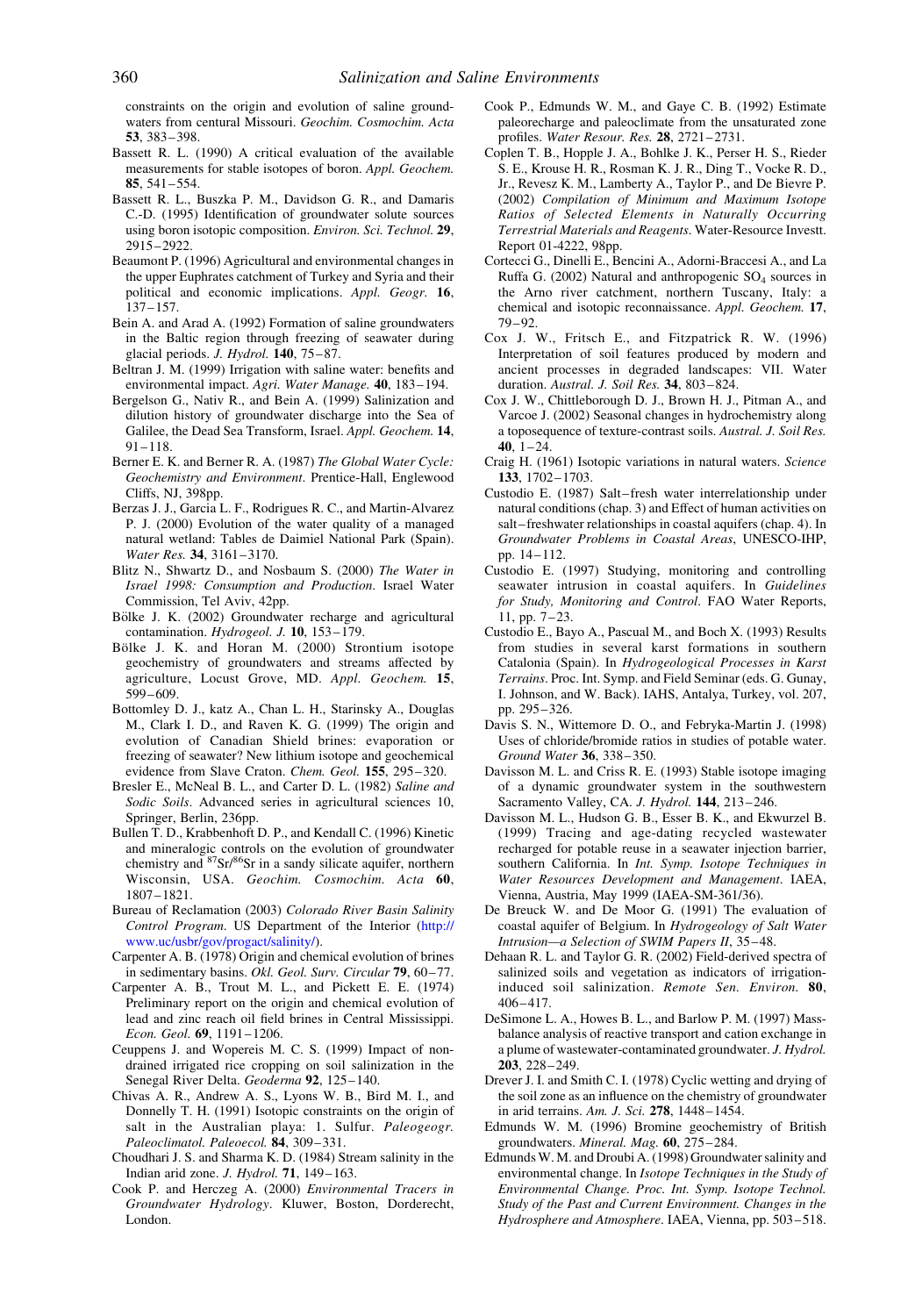<span id="page-27-0"></span>constraints on the origin and evolution of saline groundwaters from centural Missouri. Geochim. Cosmochim. Acta 53, 383–398.

- Bassett R. L. (1990) A critical evaluation of the available measurements for stable isotopes of boron. Appl. Geochem. 85, 541–554.
- Bassett R. L., Buszka P. M., Davidson G. R., and Damaris C.-D. (1995) Identification of groundwater solute sources using boron isotopic composition. Environ. Sci. Technol. 29, 2915–2922.
- Beaumont P. (1996) Agricultural and environmental changes in the upper Euphrates catchment of Turkey and Syria and their political and economic implications. Appl. Geogr. 16, 137–157.
- Bein A. and Arad A. (1992) Formation of saline groundwaters in the Baltic region through freezing of seawater during glacial periods. J. Hydrol. 140, 75–87.
- Beltran J. M. (1999) Irrigation with saline water: benefits and environmental impact. Agri. Water Manage. 40, 183–194.
- Bergelson G., Nativ R., and Bein A. (1999) Salinization and dilution history of groundwater discharge into the Sea of Galilee, the Dead Sea Transform, Israel. Appl. Geochem. 14, 91–118.
- Berner E. K. and Berner R. A. (1987) The Global Water Cycle: Geochemistry and Environment. Prentice-Hall, Englewood Cliffs, NJ, 398pp.
- Berzas J. J., Garcia L. F., Rodrigues R. C., and Martin-Alvarez P. J. (2000) Evolution of the water quality of a managed natural wetland: Tables de Daimiel National Park (Spain). Water Res. 34, 3161–3170.
- Blitz N., Shwartz D., and Nosbaum S. (2000) The Water in Israel 1998: Consumption and Production. Israel Water Commission, Tel Aviv, 42pp.
- Bölke J. K. (2002) Groundwater recharge and agricultural contamination. Hydrogeol. J. 10, 153–179.
- Bölke J. K. and Horan M. (2000) Strontium isotope geochemistry of groundwaters and streams affected by agriculture, Locust Grove, MD. Appl. Geochem. 15, 599–609.
- Bottomley D. J., katz A., Chan L. H., Starinsky A., Douglas M., Clark I. D., and Raven K. G. (1999) The origin and evolution of Canadian Shield brines: evaporation or freezing of seawater? New lithium isotope and geochemical evidence from Slave Craton. Chem. Geol. 155, 295-320.
- Bresler E., McNeal B. L., and Carter D. L. (1982) Saline and Sodic Soils. Advanced series in agricultural sciences 10, Springer, Berlin, 236pp.
- Bullen T. D., Krabbenhoft D. P., and Kendall C. (1996) Kinetic and mineralogic controls on the evolution of groundwater chemistry and <sup>87</sup>Sr/<sup>86</sup>Sr in a sandy silicate aquifer, northern Wisconsin, USA. Geochim. Cosmochim. Acta 60, 1807–1821.
- Bureau of Reclamation (2003) Colorado River Basin Salinity Control Program. US Department of the Interior ([http://](http://www.uc.usbr.gov/progact/salinity/) [www.uc/usbr/gov/progact/salinity/\)](http://www.uc.usbr.gov/progact/salinity/).
- Carpenter A. B. (1978) Origin and chemical evolution of brines in sedimentary basins. Okl. Geol. Surv. Circular 79, 60–77.
- Carpenter A. B., Trout M. L., and Pickett E. E. (1974) Preliminary report on the origin and chemical evolution of lead and zinc reach oil field brines in Central Mississippi. Econ. Geol. 69, 1191–1206.
- Ceuppens J. and Wopereis M. C. S. (1999) Impact of nondrained irrigated rice cropping on soil salinization in the Senegal River Delta. Geoderma 92, 125–140.
- Chivas A. R., Andrew A. S., Lyons W. B., Bird M. I., and Donnelly T. H. (1991) Isotopic constraints on the origin of salt in the Australian playa: 1. Sulfur. Paleogeogr. Paleoclimatol. Paleoecol. 84, 309–331.
- Choudhari J. S. and Sharma K. D. (1984) Stream salinity in the Indian arid zone. J. Hydrol. 71, 149–163.
- Cook P. and Herczeg A. (2000) Environmental Tracers in Groundwater Hydrology. Kluwer, Boston, Dorderecht, London.
- Cook P., Edmunds W. M., and Gaye C. B. (1992) Estimate paleorecharge and paleoclimate from the unsaturated zone profiles. Water Resour. Res. 28, 2721–2731.
- Coplen T. B., Hopple J. A., Bohlke J. K., Perser H. S., Rieder S. E., Krouse H. R., Rosman K. J. R., Ding T., Vocke R. D., Jr., Revesz K. M., Lamberty A., Taylor P., and De Bievre P. (2002) Compilation of Minimum and Maximum Isotope Ratios of Selected Elements in Naturally Occurring Terrestrial Materials and Reagents. Water-Resource Investt. Report 01-4222, 98pp.
- Cortecci G., Dinelli E., Bencini A., Adorni-Braccesi A., and La Ruffa G. (2002) Natural and anthropogenic  $SO<sub>4</sub>$  sources in the Arno river catchment, northern Tuscany, Italy: a chemical and isotopic reconnaissance. Appl. Geochem. 17, 79–92.
- Cox J. W., Fritsch E., and Fitzpatrick R. W. (1996) Interpretation of soil features produced by modern and ancient processes in degraded landscapes: VII. Water duration. Austral. J. Soil Res. 34, 803–824.
- Cox J. W., Chittleborough D. J., Brown H. J., Pitman A., and Varcoe J. (2002) Seasonal changes in hydrochemistry along a toposequence of texture-contrast soils. Austral. J. Soil Res. 40,  $1-24$ .
- Craig H. (1961) Isotopic variations in natural waters. Science 133, 1702–1703.
- Custodio E. (1987) Salt–fresh water interrelationship under natural conditions (chap. 3) and Effect of human activities on salt–freshwater relationships in coastal aquifers (chap. 4). In Groundwater Problems in Coastal Areas, UNESCO-IHP, pp. 14–112.
- Custodio E. (1997) Studying, monitoring and controlling seawater intrusion in coastal aquifers. In Guidelines for Study, Monitoring and Control. FAO Water Reports, 11, pp. 7–23.
- Custodio E., Bayo A., Pascual M., and Boch X. (1993) Results from studies in several karst formations in southern Catalonia (Spain). In Hydrogeological Processes in Karst Terrains. Proc. Int. Symp. and Field Seminar (eds. G. Gunay, I. Johnson, and W. Back). IAHS, Antalya, Turkey, vol. 207, pp. 295–326.
- Davis S. N., Wittemore D. O., and Febryka-Martin J. (1998) Uses of chloride/bromide ratios in studies of potable water. Ground Water 36, 338–350.
- Davisson M. L. and Criss R. E. (1993) Stable isotope imaging of a dynamic groundwater system in the southwestern Sacramento Valley, CA. J. Hydrol. 144, 213-246.
- Davisson M. L., Hudson G. B., Esser B. K., and Ekwurzel B. (1999) Tracing and age-dating recycled wastewater recharged for potable reuse in a seawater injection barrier, southern California. In Int. Symp. Isotope Techniques in Water Resources Development and Management. IAEA, Vienna, Austria, May 1999 (IAEA-SM-361/36).
- De Breuck W. and De Moor G. (1991) The evaluation of coastal aquifer of Belgium. In Hydrogeology of Salt Water Intrusion—a Selection of SWIM Papers II, 35–48.
- Dehaan R. L. and Taylor G. R. (2002) Field-derived spectra of salinized soils and vegetation as indicators of irrigationinduced soil salinization. Remote Sen. Environ. 80, 406–417.
- DeSimone L. A., Howes B. L., and Barlow P. M. (1997) Massbalance analysis of reactive transport and cation exchange in a plume of wastewater-contaminated groundwater. J. Hydrol. 203, 228–249.
- Drever J. I. and Smith C. I. (1978) Cyclic wetting and drying of the soil zone as an influence on the chemistry of groundwater in arid terrains. Am. J. Sci. 278, 1448–1454.
- Edmunds W. M. (1996) Bromine geochemistry of British groundwaters. Mineral. Mag. 60, 275–284.
- Edmunds W. M. and Droubi A. (1998) Groundwater salinity and environmental change. In Isotope Techniques in the Study of Environmental Change. Proc. Int. Symp. Isotope Technol. Study of the Past and Current Environment. Changes in the Hydrosphere and Atmosphere. IAEA, Vienna, pp. 503–518.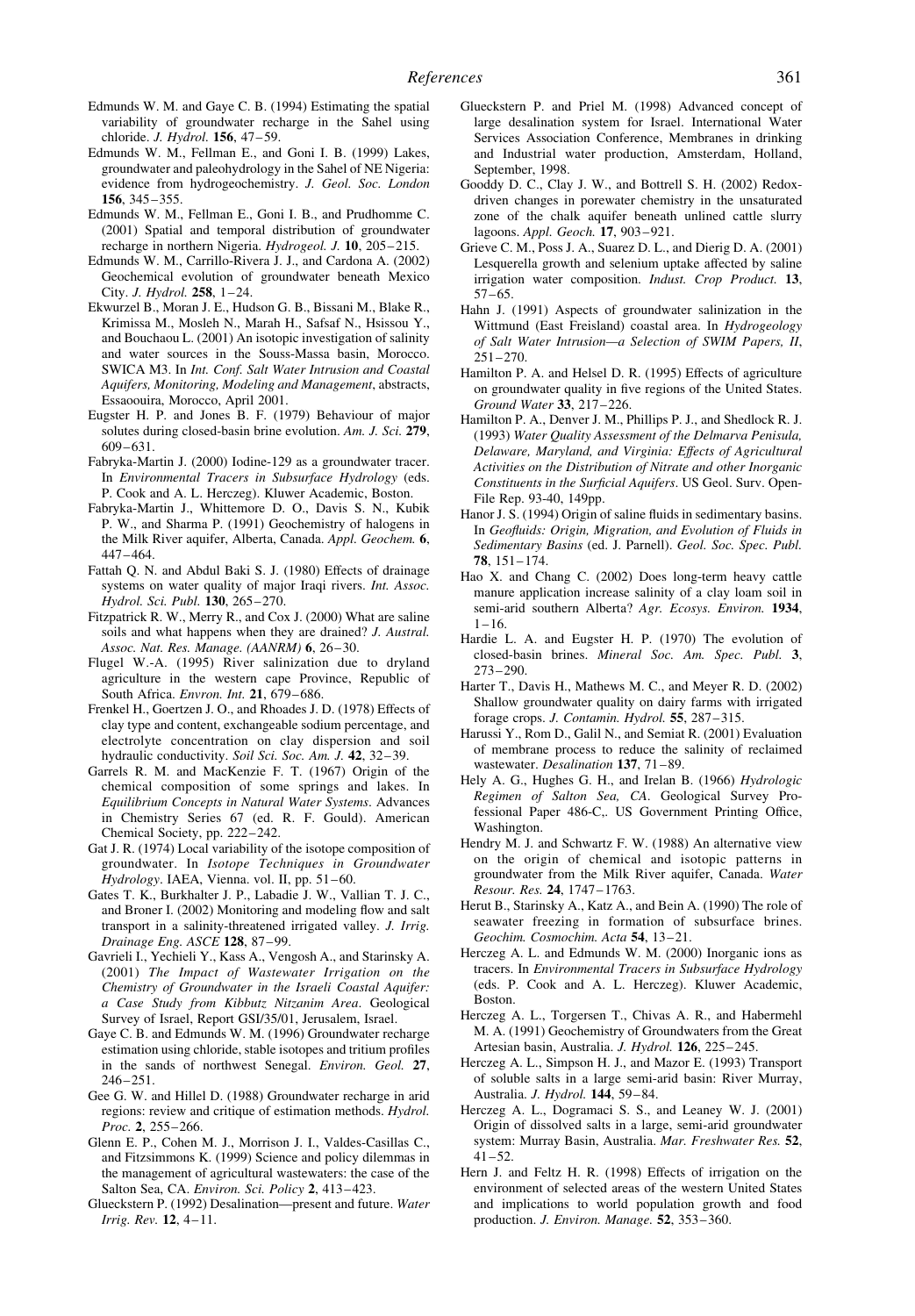- <span id="page-28-0"></span>Edmunds W. M. and Gaye C. B. (1994) Estimating the spatial variability of groundwater recharge in the Sahel using chloride. J. Hydrol. 156, 47-59.
- Edmunds W. M., Fellman E., and Goni I. B. (1999) Lakes, groundwater and paleohydrology in the Sahel of NE Nigeria: evidence from hydrogeochemistry. J. Geol. Soc. London 156, 345–355.
- Edmunds W. M., Fellman E., Goni I. B., and Prudhomme C. (2001) Spatial and temporal distribution of groundwater recharge in northern Nigeria. Hydrogeol. J. 10, 205–215.
- Edmunds W. M., Carrillo-Rivera J. J., and Cardona A. (2002) Geochemical evolution of groundwater beneath Mexico City. J. Hydrol. 258, 1–24.
- Ekwurzel B., Moran J. E., Hudson G. B., Bissani M., Blake R., Krimissa M., Mosleh N., Marah H., Safsaf N., Hsissou Y., and Bouchaou L. (2001) An isotopic investigation of salinity and water sources in the Souss-Massa basin, Morocco. SWICA M3. In Int. Conf. Salt Water Intrusion and Coastal Aquifers, Monitoring, Modeling and Management, abstracts, Essaoouira, Morocco, April 2001.
- Eugster H. P. and Jones B. F. (1979) Behaviour of major solutes during closed-basin brine evolution. Am. J. Sci. 279, 609–631.
- Fabryka-Martin J. (2000) Iodine-129 as a groundwater tracer. In Environmental Tracers in Subsurface Hydrology (eds. P. Cook and A. L. Herczeg). Kluwer Academic, Boston.
- Fabryka-Martin J., Whittemore D. O., Davis S. N., Kubik P. W., and Sharma P. (1991) Geochemistry of halogens in the Milk River aquifer, Alberta, Canada. Appl. Geochem. 6, 447–464.
- Fattah Q. N. and Abdul Baki S. J. (1980) Effects of drainage systems on water quality of major Iraqi rivers. Int. Assoc. Hydrol. Sci. Publ. 130, 265–270.
- Fitzpatrick R. W., Merry R., and Cox J. (2000) What are saline soils and what happens when they are drained? J. Austral. Assoc. Nat. Res. Manage. (AANRM) 6, 26–30.
- Flugel W.-A. (1995) River salinization due to dryland agriculture in the western cape Province, Republic of South Africa. Envron. Int. 21, 679–686.
- Frenkel H., Goertzen J. O., and Rhoades J. D. (1978) Effects of clay type and content, exchangeable sodium percentage, and electrolyte concentration on clay dispersion and soil hydraulic conductivity. Soil Sci. Soc. Am. J. 42, 32-39.
- Garrels R. M. and MacKenzie F. T. (1967) Origin of the chemical composition of some springs and lakes. In Equilibrium Concepts in Natural Water Systems. Advances in Chemistry Series 67 (ed. R. F. Gould). American Chemical Society, pp. 222–242.
- Gat J. R. (1974) Local variability of the isotope composition of groundwater. In Isotope Techniques in Groundwater Hydrology. IAEA, Vienna. vol. II, pp. 51–60.
- Gates T. K., Burkhalter J. P., Labadie J. W., Vallian T. J. C., and Broner I. (2002) Monitoring and modeling flow and salt transport in a salinity-threatened irrigated valley. J. Irrig. Drainage Eng. ASCE 128, 87–99.
- Gavrieli I., Yechieli Y., Kass A., Vengosh A., and Starinsky A. (2001) The Impact of Wastewater Irrigation on the Chemistry of Groundwater in the Israeli Coastal Aquifer: a Case Study from Kibbutz Nitzanim Area. Geological Survey of Israel, Report GSI/35/01, Jerusalem, Israel.
- Gaye C. B. and Edmunds W. M. (1996) Groundwater recharge estimation using chloride, stable isotopes and tritium profiles in the sands of northwest Senegal. Environ. Geol. 27, 246–251.
- Gee G. W. and Hillel D. (1988) Groundwater recharge in arid regions: review and critique of estimation methods. Hydrol. Proc. 2, 255-266.
- Glenn E. P., Cohen M. J., Morrison J. I., Valdes-Casillas C., and Fitzsimmons K. (1999) Science and policy dilemmas in the management of agricultural wastewaters: the case of the Salton Sea, CA. Environ. Sci. Policy 2, 413–423.
- Glueckstern P. (1992) Desalination—present and future. Water Irrig. Rev. 12, 4–11.
- Glueckstern P. and Priel M. (1998) Advanced concept of large desalination system for Israel. International Water Services Association Conference, Membranes in drinking and Industrial water production, Amsterdam, Holland, September, 1998.
- Gooddy D. C., Clay J. W., and Bottrell S. H. (2002) Redoxdriven changes in porewater chemistry in the unsaturated zone of the chalk aquifer beneath unlined cattle slurry lagoons. Appl. Geoch. 17, 903–921.
- Grieve C. M., Poss J. A., Suarez D. L., and Dierig D. A. (2001) Lesquerella growth and selenium uptake affected by saline irrigation water composition. Indust. Crop Product. 13, 57–65.
- Hahn J. (1991) Aspects of groundwater salinization in the Wittmund (East Freisland) coastal area. In Hydrogeology of Salt Water Intrusion—a Selection of SWIM Papers, II, 251–270.
- Hamilton P. A. and Helsel D. R. (1995) Effects of agriculture on groundwater quality in five regions of the United States. Ground Water 33, 217–226.
- Hamilton P. A., Denver J. M., Phillips P. J., and Shedlock R. J. (1993) Water Quality Assessment of the Delmarva Penisula, Delaware, Maryland, and Virginia: Effects of Agricultural Activities on the Distribution of Nitrate and other Inorganic Constituents in the Surficial Aquifers. US Geol. Surv. Open-File Rep. 93-40, 149pp.
- Hanor J. S. (1994) Origin of saline fluids in sedimentary basins. In Geofluids: Origin, Migration, and Evolution of Fluids in Sedimentary Basins (ed. J. Parnell). Geol. Soc. Spec. Publ. 78, 151–174.
- Hao X. and Chang C. (2002) Does long-term heavy cattle manure application increase salinity of a clay loam soil in semi-arid southern Alberta? Agr. Ecosys. Environ. 1934,  $1 - 16$ .
- Hardie L. A. and Eugster H. P. (1970) The evolution of closed-basin brines. Mineral Soc. Am. Spec. Publ. 3, 273–290.
- Harter T., Davis H., Mathews M. C., and Meyer R. D. (2002) Shallow groundwater quality on dairy farms with irrigated forage crops. J. Contamin. Hydrol. 55, 287–315.
- Harussi Y., Rom D., Galil N., and Semiat R. (2001) Evaluation of membrane process to reduce the salinity of reclaimed wastewater. Desalination 137, 71-89.
- Hely A. G., Hughes G. H., and Irelan B. (1966) Hydrologic Regimen of Salton Sea, CA. Geological Survey Professional Paper 486-C,. US Government Printing Office, Washington.
- Hendry M. J. and Schwartz F. W. (1988) An alternative view on the origin of chemical and isotopic patterns in groundwater from the Milk River aquifer, Canada. Water Resour. Res. 24, 1747–1763.
- Herut B., Starinsky A., Katz A., and Bein A. (1990) The role of seawater freezing in formation of subsurface brines. Geochim. Cosmochim. Acta 54, 13–21.
- Herczeg A. L. and Edmunds W. M. (2000) Inorganic ions as tracers. In Environmental Tracers in Subsurface Hydrology (eds. P. Cook and A. L. Herczeg). Kluwer Academic, Boston.
- Herczeg A. L., Torgersen T., Chivas A. R., and Habermehl M. A. (1991) Geochemistry of Groundwaters from the Great Artesian basin, Australia. J. Hydrol. 126, 225–245.
- Herczeg A. L., Simpson H. J., and Mazor E. (1993) Transport of soluble salts in a large semi-arid basin: River Murray, Australia. J. Hydrol. 144, 59–84.
- Herczeg A. L., Dogramaci S. S., and Leaney W. J. (2001) Origin of dissolved salts in a large, semi-arid groundwater system: Murray Basin, Australia. Mar. Freshwater Res. 52, 41–52.
- Hern J. and Feltz H. R. (1998) Effects of irrigation on the environment of selected areas of the western United States and implications to world population growth and food production. J. Environ. Manage. 52, 353–360.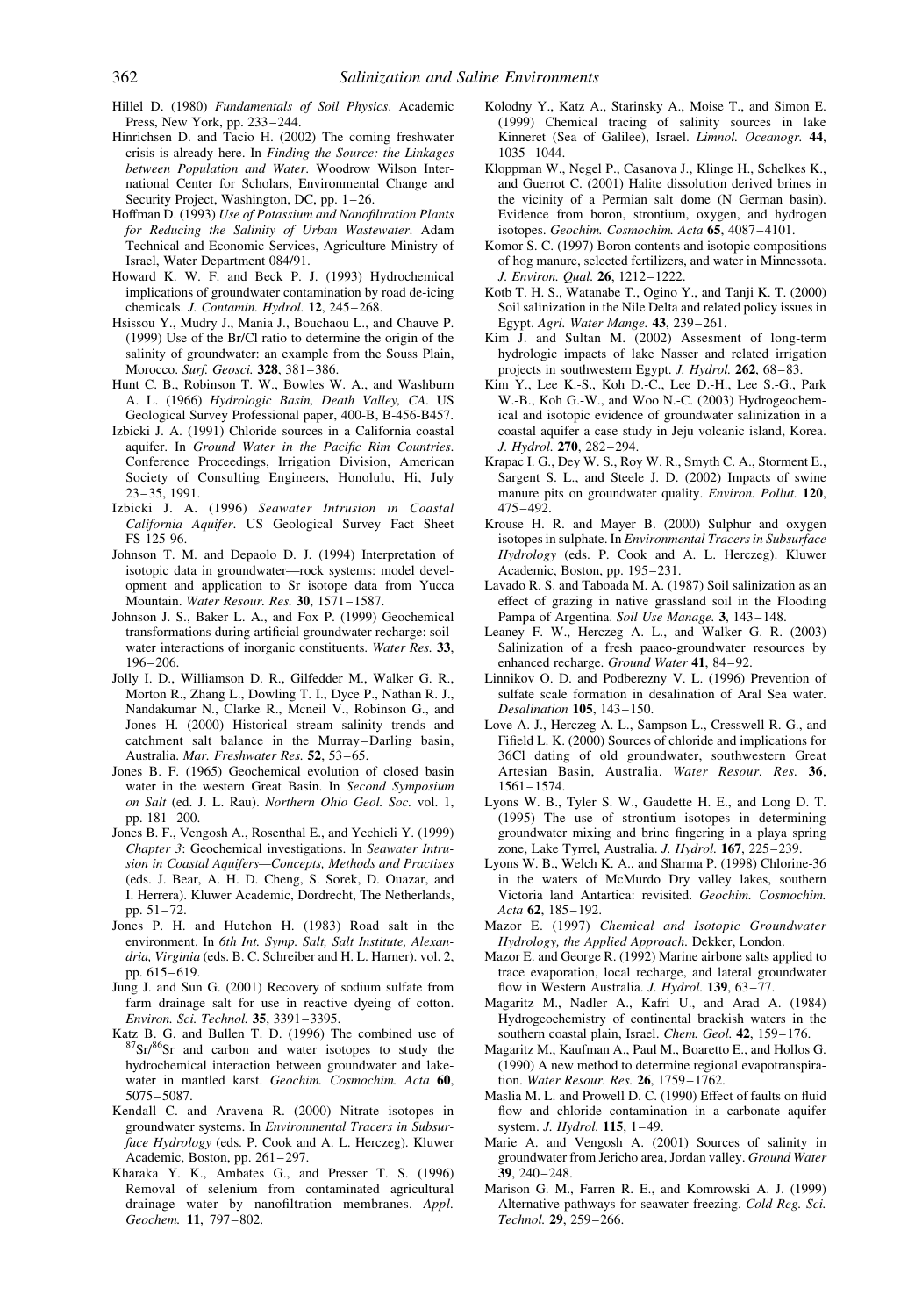- <span id="page-29-0"></span>Hillel D. (1980) Fundamentals of Soil Physics. Academic Press, New York, pp. 233–244.
- Hinrichsen D. and Tacio H. (2002) The coming freshwater crisis is already here. In Finding the Source: the Linkages between Population and Water. Woodrow Wilson International Center for Scholars, Environmental Change and Security Project, Washington, DC, pp. 1–26.
- Hoffman D. (1993) Use of Potassium and Nanofiltration Plants for Reducing the Salinity of Urban Wastewater. Adam Technical and Economic Services, Agriculture Ministry of Israel, Water Department 084/91.
- Howard K. W. F. and Beck P. J. (1993) Hydrochemical implications of groundwater contamination by road de-icing chemicals. J. Contamin. Hydrol. 12, 245-268.
- Hsissou Y., Mudry J., Mania J., Bouchaou L., and Chauve P. (1999) Use of the Br/Cl ratio to determine the origin of the salinity of groundwater: an example from the Souss Plain, Morocco. Surf. Geosci. 328, 381–386.
- Hunt C. B., Robinson T. W., Bowles W. A., and Washburn A. L. (1966) Hydrologic Basin, Death Valley, CA. US Geological Survey Professional paper, 400-B, B-456-B457.
- Izbicki J. A. (1991) Chloride sources in a California coastal aquifer. In Ground Water in the Pacific Rim Countries. Conference Proceedings, Irrigation Division, American Society of Consulting Engineers, Honolulu, Hi, July 23–35, 1991.
- Izbicki J. A. (1996) Seawater Intrusion in Coastal California Aquifer. US Geological Survey Fact Sheet FS-125-96.
- Johnson T. M. and Depaolo D. J. (1994) Interpretation of isotopic data in groundwater—rock systems: model development and application to Sr isotope data from Yucca Mountain. Water Resour. Res. 30, 1571–1587.
- Johnson J. S., Baker L. A., and Fox P. (1999) Geochemical transformations during artificial groundwater recharge: soilwater interactions of inorganic constituents. Water Res. 33, 196–206.
- Jolly I. D., Williamson D. R., Gilfedder M., Walker G. R., Morton R., Zhang L., Dowling T. I., Dyce P., Nathan R. J., Nandakumar N., Clarke R., Mcneil V., Robinson G., and Jones H. (2000) Historical stream salinity trends and catchment salt balance in the Murray–Darling basin, Australia. Mar. Freshwater Res. 52, 53–65.
- Jones B. F. (1965) Geochemical evolution of closed basin water in the western Great Basin. In Second Symposium on Salt (ed. J. L. Rau). Northern Ohio Geol. Soc. vol. 1, pp. 181–200.
- Jones B. F., Vengosh A., Rosenthal E., and Yechieli Y. (1999) Chapter 3: Geochemical investigations. In Seawater Intrusion in Coastal Aquifers—Concepts, Methods and Practises (eds. J. Bear, A. H. D. Cheng, S. Sorek, D. Ouazar, and I. Herrera). Kluwer Academic, Dordrecht, The Netherlands, pp. 51–72.
- Jones P. H. and Hutchon H. (1983) Road salt in the environment. In 6th Int. Symp. Salt, Salt Institute, Alexandria, Virginia (eds. B. C. Schreiber and H. L. Harner). vol. 2, pp. 615–619.
- Jung J. and Sun G. (2001) Recovery of sodium sulfate from farm drainage salt for use in reactive dyeing of cotton. Environ. Sci. Technol. 35, 3391–3395.
- Katz B. G. and Bullen T. D. (1996) The combined use of  ${}^{87}Sr^{86}Sr$  and carbon and water isotopes to study the hydrochemical interaction between groundwater and lakewater in mantled karst. Geochim. Cosmochim. Acta 60, 5075–5087.
- Kendall C. and Aravena R. (2000) Nitrate isotopes in groundwater systems. In Environmental Tracers in Subsurface Hydrology (eds. P. Cook and A. L. Herczeg). Kluwer Academic, Boston, pp. 261–297.
- Kharaka Y. K., Ambates G., and Presser T. S. (1996) Removal of selenium from contaminated agricultural drainage water by nanofiltration membranes. Appl. Geochem. 11, 797–802.
- Kolodny Y., Katz A., Starinsky A., Moise T., and Simon E. (1999) Chemical tracing of salinity sources in lake Kinneret (Sea of Galilee), Israel. Limnol. Oceanogr. 44, 1035–1044.
- Kloppman W., Negel P., Casanova J., Klinge H., Schelkes K., and Guerrot C. (2001) Halite dissolution derived brines in the vicinity of a Permian salt dome (N German basin). Evidence from boron, strontium, oxygen, and hydrogen isotopes. Geochim. Cosmochim. Acta 65, 4087–4101.
- Komor S. C. (1997) Boron contents and isotopic compositions of hog manure, selected fertilizers, and water in Minnessota. J. Environ. Qual. 26, 1212–1222.
- Kotb T. H. S., Watanabe T., Ogino Y., and Tanji K. T. (2000) Soil salinization in the Nile Delta and related policy issues in Egypt. Agri. Water Mange. 43, 239–261.
- Kim J. and Sultan M. (2002) Assesment of long-term hydrologic impacts of lake Nasser and related irrigation projects in southwestern Egypt. J. Hydrol. 262, 68–83.
- Kim Y., Lee K.-S., Koh D.-C., Lee D.-H., Lee S.-G., Park W.-B., Koh G.-W., and Woo N.-C. (2003) Hydrogeochemical and isotopic evidence of groundwater salinization in a coastal aquifer a case study in Jeju volcanic island, Korea. J. Hydrol. 270, 282–294.
- Krapac I. G., Dey W. S., Roy W. R., Smyth C. A., Storment E., Sargent S. L., and Steele J. D. (2002) Impacts of swine manure pits on groundwater quality. *Environ. Pollut.* 120, 475–492.
- Krouse H. R. and Mayer B. (2000) Sulphur and oxygen isotopes in sulphate. In Environmental Tracers in Subsurface Hydrology (eds. P. Cook and A. L. Herczeg). Kluwer Academic, Boston, pp. 195–231.
- Lavado R. S. and Taboada M. A. (1987) Soil salinization as an effect of grazing in native grassland soil in the Flooding Pampa of Argentina. Soil Use Manage. 3, 143–148.
- Leaney F. W., Herczeg A. L., and Walker G. R. (2003) Salinization of a fresh paaeo-groundwater resources by enhanced recharge. Ground Water 41, 84–92.
- Linnikov O. D. and Podberezny V. L. (1996) Prevention of sulfate scale formation in desalination of Aral Sea water. Desalination 105, 143–150.
- Love A. J., Herczeg A. L., Sampson L., Cresswell R. G., and Fifield L. K. (2000) Sources of chloride and implications for 36Cl dating of old groundwater, southwestern Great Artesian Basin, Australia. Water Resour. Res. 36, 1561–1574.
- Lyons W. B., Tyler S. W., Gaudette H. E., and Long D. T. (1995) The use of strontium isotopes in determining groundwater mixing and brine fingering in a playa spring zone, Lake Tyrrel, Australia. J. Hydrol. 167, 225–239.
- Lyons W. B., Welch K. A., and Sharma P. (1998) Chlorine-36 in the waters of McMurdo Dry valley lakes, southern Victoria land Antartica: revisited. Geochim. Cosmochim. Acta 62, 185–192.
- Mazor E. (1997) Chemical and Isotopic Groundwater Hydrology, the Applied Approach. Dekker, London.
- Mazor E. and George R. (1992) Marine airbone salts applied to trace evaporation, local recharge, and lateral groundwater flow in Western Australia. J. Hydrol. 139, 63-77.
- Magaritz M., Nadler A., Kafri U., and Arad A. (1984) Hydrogeochemistry of continental brackish waters in the southern coastal plain, Israel. Chem. Geol. 42, 159-176.
- Magaritz M., Kaufman A., Paul M., Boaretto E., and Hollos G. (1990) A new method to determine regional evapotranspiration. Water Resour. Res. 26, 1759–1762.
- Maslia M. L. and Prowell D. C. (1990) Effect of faults on fluid flow and chloride contamination in a carbonate aquifer system. J. Hydrol. 115, 1–49.
- Marie A. and Vengosh A. (2001) Sources of salinity in groundwater from Jericho area, Jordan valley. Ground Water 39, 240–248.
- Marison G. M., Farren R. E., and Komrowski A. J. (1999) Alternative pathways for seawater freezing. Cold Reg. Sci. Technol. 29, 259–266.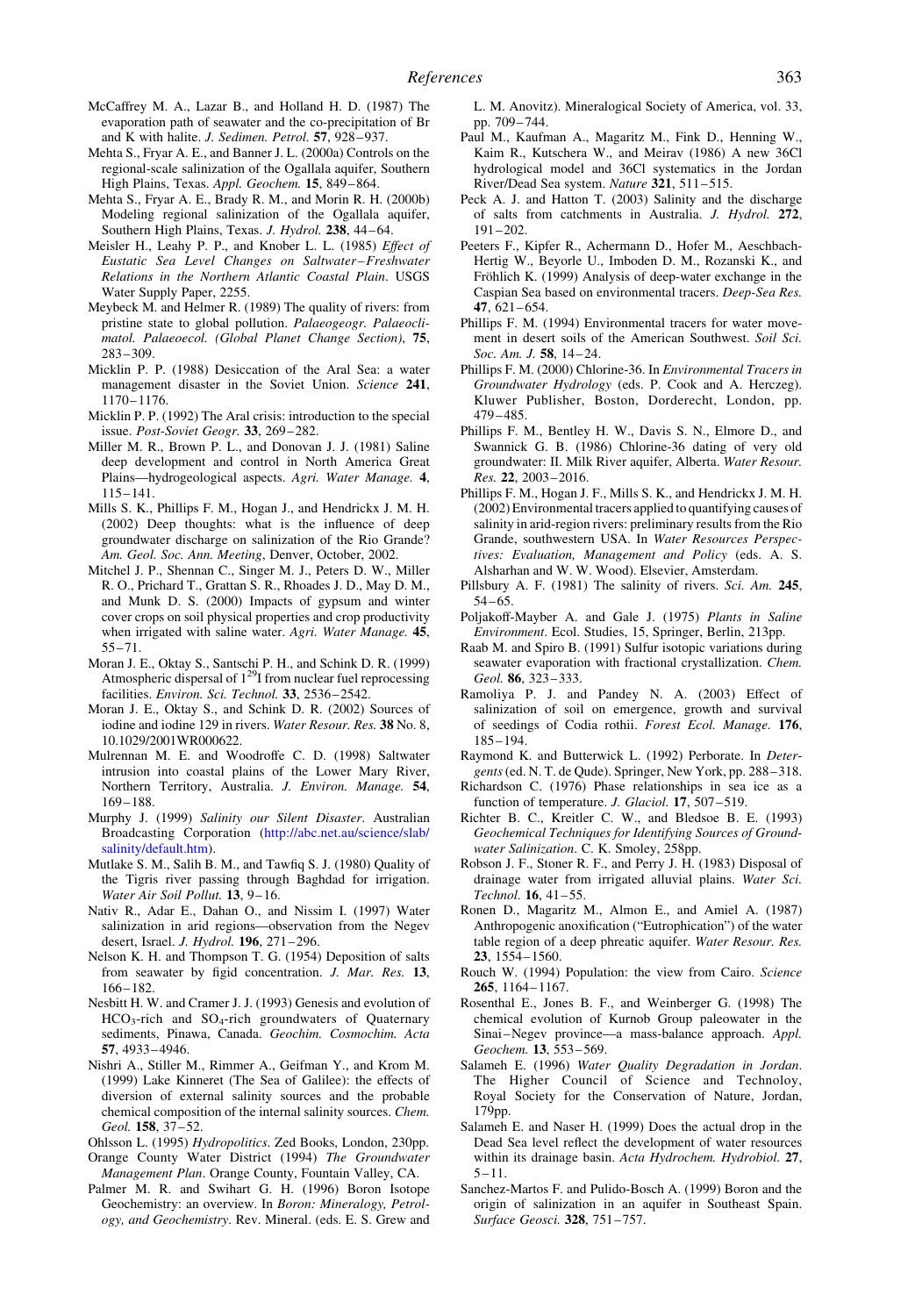- <span id="page-30-0"></span>McCaffrey M. A., Lazar B., and Holland H. D. (1987) The evaporation path of seawater and the co-precipitation of Br and K with halite. J. Sedimen. Petrol. 57, 928–937.
- Mehta S., Fryar A. E., and Banner J. L. (2000a) Controls on the regional-scale salinization of the Ogallala aquifer, Southern High Plains, Texas. Appl. Geochem. 15, 849–864.
- Mehta S., Fryar A. E., Brady R. M., and Morin R. H. (2000b) Modeling regional salinization of the Ogallala aquifer, Southern High Plains, Texas. J. Hydrol. 238, 44–64.
- Meisler H., Leahy P. P., and Knober L. L. (1985) Effect of Eustatic Sea Level Changes on Saltwater–Freshwater Relations in the Northern Atlantic Coastal Plain. USGS Water Supply Paper, 2255.
- Meybeck M. and Helmer R. (1989) The quality of rivers: from pristine state to global pollution. Palaeogeogr. Palaeoclimatol. Palaeoecol. (Global Planet Change Section), 75, 283–309.
- Micklin P. P. (1988) Desiccation of the Aral Sea: a water management disaster in the Soviet Union. Science 241, 1170–1176.
- Micklin P. P. (1992) The Aral crisis: introduction to the special issue. Post-Soviet Geogr. 33, 269–282.
- Miller M. R., Brown P. L., and Donovan J. J. (1981) Saline deep development and control in North America Great Plains—hydrogeological aspects. Agri. Water Manage. 4, 115–141.
- Mills S. K., Phillips F. M., Hogan J., and Hendrickx J. M. H. (2002) Deep thoughts: what is the influence of deep groundwater discharge on salinization of the Rio Grande? Am. Geol. Soc. Ann. Meeting, Denver, October, 2002.
- Mitchel J. P., Shennan C., Singer M. J., Peters D. W., Miller R. O., Prichard T., Grattan S. R., Rhoades J. D., May D. M., and Munk D. S. (2000) Impacts of gypsum and winter cover crops on soil physical properties and crop productivity when irrigated with saline water. Agri. Water Manage. 45, 55–71.
- Moran J. E., Oktay S., Santschi P. H., and Schink D. R. (1999) Atmospheric dispersal of  $1^{29}$ I from nuclear fuel reprocessing facilities. Environ. Sci. Technol. 33, 2536-2542.
- Moran J. E., Oktay S., and Schink D. R. (2002) Sources of iodine and iodine 129 in rivers. Water Resour. Res. 38 No. 8, 10.1029/2001WR000622.
- Mulrennan M. E. and Woodroffe C. D. (1998) Saltwater intrusion into coastal plains of the Lower Mary River, Northern Territory, Australia. J. Environ. Manage. 54, 169–188.
- Murphy J. (1999) Salinity our Silent Disaster. Australian Broadcasting Corporation ([http://abc.net.au/science/slab/](http://abc.net.au/science/slab/salinity/default.htm) [salinity/default.htm\)](http://abc.net.au/science/slab/salinity/default.htm).
- Mutlake S. M., Salih B. M., and Tawfiq S. J. (1980) Quality of the Tigris river passing through Baghdad for irrigation. Water Air Soil Pollut. 13, 9–16.
- Nativ R., Adar E., Dahan O., and Nissim I. (1997) Water salinization in arid regions—observation from the Negev desert, Israel. J. Hydrol. 196, 271–296.
- Nelson K. H. and Thompson T. G. (1954) Deposition of salts from seawater by figid concentration. J. Mar. Res. 13, 166–182.
- Nesbitt H. W. and Cramer J. J. (1993) Genesis and evolution of HCO<sub>3</sub>-rich and SO<sub>4</sub>-rich groundwaters of Quaternary sediments, Pinawa, Canada. Geochim. Cosmochim. Acta 57, 4933–4946.
- Nishri A., Stiller M., Rimmer A., Geifman Y., and Krom M. (1999) Lake Kinneret (The Sea of Galilee): the effects of diversion of external salinity sources and the probable chemical composition of the internal salinity sources. Chem. Geol. 158, 37–52.
- Ohlsson L. (1995) Hydropolitics. Zed Books, London, 230pp. Orange County Water District (1994) The Groundwater
- Management Plan. Orange County, Fountain Valley, CA. Palmer M. R. and Swihart G. H. (1996) Boron Isotope Geochemistry: an overview. In Boron: Mineralogy, Petrology, and Geochemistry. Rev. Mineral. (eds. E. S. Grew and

L. M. Anovitz). Mineralogical Society of America, vol. 33, pp. 709–744.

- Paul M., Kaufman A., Magaritz M., Fink D., Henning W., Kaim R., Kutschera W., and Meirav (1986) A new 36Cl hydrological model and 36Cl systematics in the Jordan River/Dead Sea system. Nature 321, 511–515.
- Peck A. J. and Hatton T. (2003) Salinity and the discharge of salts from catchments in Australia. J. Hydrol. 272, 191–202.
- Peeters F., Kipfer R., Achermann D., Hofer M., Aeschbach-Hertig W., Beyorle U., Imboden D. M., Rozanski K., and Fröhlich K. (1999) Analysis of deep-water exchange in the Caspian Sea based on environmental tracers. Deep-Sea Res. 47, 621–654.
- Phillips F. M. (1994) Environmental tracers for water movement in desert soils of the American Southwest. Soil Sci. Soc. Am. J. 58, 14–24.
- Phillips F. M. (2000) Chlorine-36. In Environmental Tracers in Groundwater Hydrology (eds. P. Cook and A. Herczeg). Kluwer Publisher, Boston, Dorderecht, London, pp. 479–485.
- Phillips F. M., Bentley H. W., Davis S. N., Elmore D., and Swannick G. B. (1986) Chlorine-36 dating of very old groundwater: II. Milk River aquifer, Alberta. Water Resour. Res. 22, 2003–2016.
- Phillips F. M., Hogan J. F., Mills S. K., and Hendrickx J. M. H. (2002) Environmental tracers applied to quantifying causes of salinity in arid-region rivers: preliminary results from the Rio Grande, southwestern USA. In Water Resources Perspectives: Evaluation, Management and Policy (eds. A. S. Alsharhan and W. W. Wood). Elsevier, Amsterdam.
- Pillsbury A. F. (1981) The salinity of rivers. Sci. Am. 245, 54–65.
- Poljakoff-Mayber A. and Gale J. (1975) Plants in Saline Environment. Ecol. Studies, 15, Springer, Berlin, 213pp.
- Raab M. and Spiro B. (1991) Sulfur isotopic variations during seawater evaporation with fractional crystallization. Chem. Geol. 86, 323–333.
- Ramoliya P. J. and Pandey N. A. (2003) Effect of salinization of soil on emergence, growth and survival of seedings of Codia rothii. Forest Ecol. Manage. 176, 185–194.
- Raymond K. and Butterwick L. (1992) Perborate. In Detergents(ed. N. T. de Qude). Springer, New York, pp. 288–318.
- Richardson C. (1976) Phase relationships in sea ice as a function of temperature. J. Glaciol. 17, 507-519.
- Richter B. C., Kreitler C. W., and Bledsoe B. E. (1993) Geochemical Techniques for Identifying Sources of Groundwater Salinization. C. K. Smoley, 258pp.
- Robson J. F., Stoner R. F., and Perry J. H. (1983) Disposal of drainage water from irrigated alluvial plains. Water Sci. Technol. 16, 41–55.
- Ronen D., Magaritz M., Almon E., and Amiel A. (1987) Anthropogenic anoxification ("Eutrophication") of the water table region of a deep phreatic aquifer. Water Resour. Res. 23, 1554–1560.
- Rouch W. (1994) Population: the view from Cairo. Science 265, 1164–1167.
- Rosenthal E., Jones B. F., and Weinberger G. (1998) The chemical evolution of Kurnob Group paleowater in the Sinai–Negev province—a mass-balance approach. Appl. Geochem. 13, 553–569.
- Salameh E. (1996) Water Quality Degradation in Jordan. The Higher Council of Science and Technoloy, Royal Society for the Conservation of Nature, Jordan, 179pp.
- Salameh E. and Naser H. (1999) Does the actual drop in the Dead Sea level reflect the development of water resources within its drainage basin. Acta Hydrochem. Hydrobiol. 27,  $5 - 11$ .
- Sanchez-Martos F. and Pulido-Bosch A. (1999) Boron and the origin of salinization in an aquifer in Southeast Spain. Surface Geosci. 328, 751–757.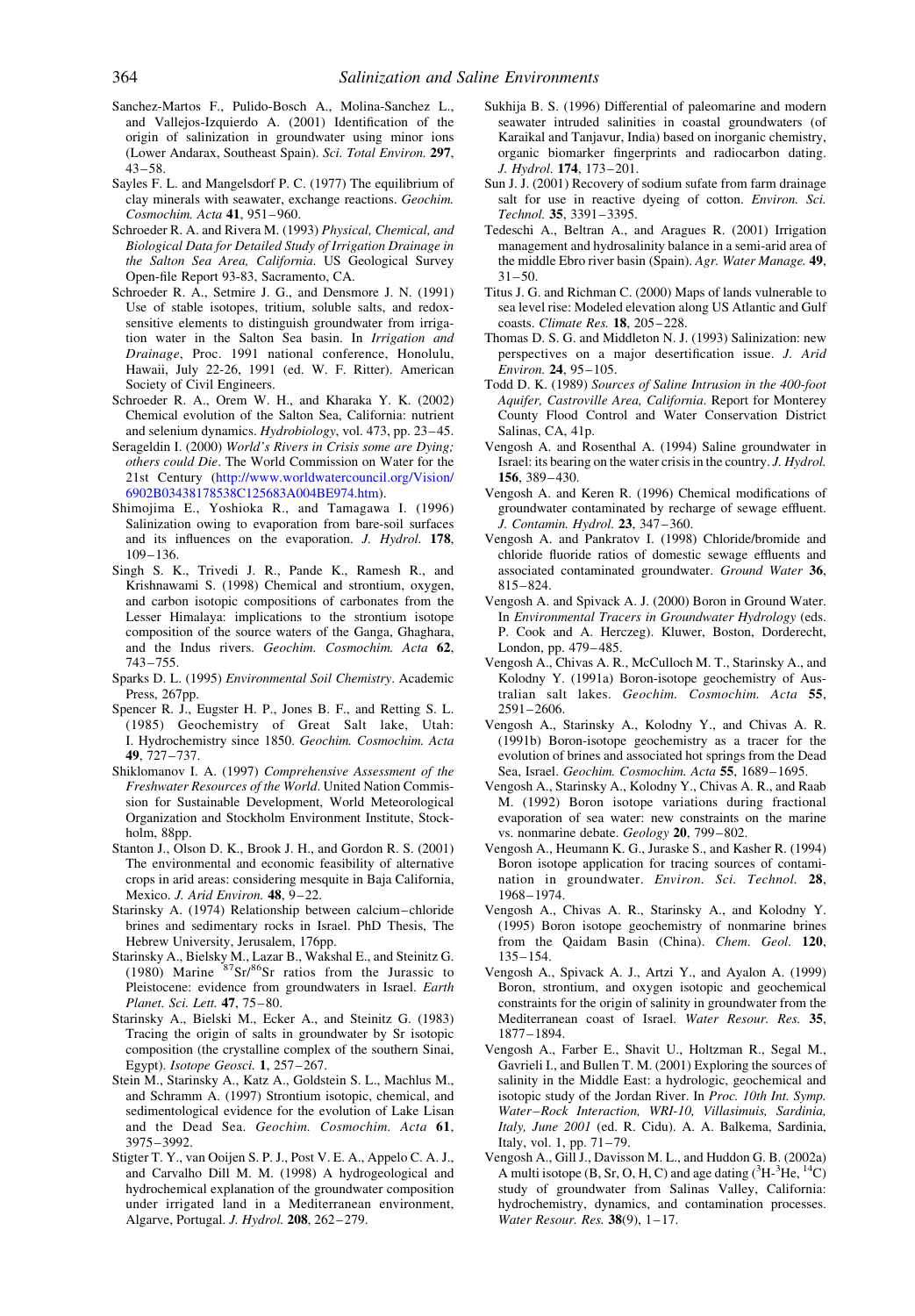- <span id="page-31-0"></span>Sanchez-Martos F., Pulido-Bosch A., Molina-Sanchez L., and Vallejos-Izquierdo A. (2001) Identification of the origin of salinization in groundwater using minor ions (Lower Andarax, Southeast Spain). Sci. Total Environ. 297, 43–58.
- Sayles F. L. and Mangelsdorf P. C. (1977) The equilibrium of clay minerals with seawater, exchange reactions. Geochim. Cosmochim. Acta 41, 951–960.
- Schroeder R. A. and Rivera M. (1993) Physical, Chemical, and Biological Data for Detailed Study of Irrigation Drainage in the Salton Sea Area, California. US Geological Survey Open-file Report 93-83, Sacramento, CA.
- Schroeder R. A., Setmire J. G., and Densmore J. N. (1991) Use of stable isotopes, tritium, soluble salts, and redoxsensitive elements to distinguish groundwater from irrigation water in the Salton Sea basin. In Irrigation and Drainage, Proc. 1991 national conference, Honolulu, Hawaii, July 22-26, 1991 (ed. W. F. Ritter). American Society of Civil Engineers.
- Schroeder R. A., Orem W. H., and Kharaka Y. K. (2002) Chemical evolution of the Salton Sea, California: nutrient and selenium dynamics. Hydrobiology, vol. 473, pp. 23–45.
- Serageldin I. (2000) World's Rivers in Crisis some are Dying; others could Die. The World Commission on Water for the 21st Century ([http://www.worldwatercouncil.org/Vision/](http://www.worldwatercouncil.org/Vision/6902B03438178538C125683A004BE974.htm) [6902B03438178538C125683A004BE974.htm\)](http://www.worldwatercouncil.org/Vision/6902B03438178538C125683A004BE974.htm).
- Shimojima E., Yoshioka R., and Tamagawa I. (1996) Salinization owing to evaporation from bare-soil surfaces and its influences on the evaporation. J. Hydrol. 178, 109–136.
- Singh S. K., Trivedi J. R., Pande K., Ramesh R., and Krishnawami S. (1998) Chemical and strontium, oxygen, and carbon isotopic compositions of carbonates from the Lesser Himalaya: implications to the strontium isotope composition of the source waters of the Ganga, Ghaghara, and the Indus rivers. Geochim. Cosmochim. Acta 62, 743–755.
- Sparks D. L. (1995) Environmental Soil Chemistry. Academic Press, 267pp.
- Spencer R. J., Eugster H. P., Jones B. F., and Retting S. L. (1985) Geochemistry of Great Salt lake, Utah: I. Hydrochemistry since 1850. Geochim. Cosmochim. Acta 49, 727–737.
- Shiklomanov I. A. (1997) Comprehensive Assessment of the Freshwater Resources of the World. United Nation Commission for Sustainable Development, World Meteorological Organization and Stockholm Environment Institute, Stockholm, 88pp.
- Stanton J., Olson D. K., Brook J. H., and Gordon R. S. (2001) The environmental and economic feasibility of alternative crops in arid areas: considering mesquite in Baja California, Mexico. J. Arid Environ. 48, 9–22.
- Starinsky A. (1974) Relationship between calcium–chloride brines and sedimentary rocks in Israel. PhD Thesis, The Hebrew University, Jerusalem, 176pp.
- Starinsky A., Bielsky M., Lazar B., Wakshal E., and Steinitz G.<br>(1980) Marine <sup>87</sup>Sr/<sup>86</sup>Sr ratios from the Jurassic to Pleistocene: evidence from groundwaters in Israel. Earth Planet. Sci. Lett. 47, 75–80.
- Starinsky A., Bielski M., Ecker A., and Steinitz G. (1983) Tracing the origin of salts in groundwater by Sr isotopic composition (the crystalline complex of the southern Sinai, Egypt). Isotope Geosci. 1, 257–267.
- Stein M., Starinsky A., Katz A., Goldstein S. L., Machlus M., and Schramm A. (1997) Strontium isotopic, chemical, and sedimentological evidence for the evolution of Lake Lisan and the Dead Sea. Geochim. Cosmochim. Acta 61, 3975–3992.
- Stigter T. Y., van Ooijen S. P. J., Post V. E. A., Appelo C. A. J., and Carvalho Dill M. M. (1998) A hydrogeological and hydrochemical explanation of the groundwater composition under irrigated land in a Mediterranean environment, Algarve, Portugal. J. Hydrol. 208, 262–279.
- Sukhija B. S. (1996) Differential of paleomarine and modern seawater intruded salinities in coastal groundwaters (of Karaikal and Tanjavur, India) based on inorganic chemistry, organic biomarker fingerprints and radiocarbon dating. J. Hydrol. 174, 173–201.
- Sun J. J. (2001) Recovery of sodium sufate from farm drainage salt for use in reactive dyeing of cotton. Environ. Sci. Technol. 35, 3391–3395.
- Tedeschi A., Beltran A., and Aragues R. (2001) Irrigation management and hydrosalinity balance in a semi-arid area of the middle Ebro river basin (Spain). Agr. Water Manage. 49, 31–50.
- Titus J. G. and Richman C. (2000) Maps of lands vulnerable to sea level rise: Modeled elevation along US Atlantic and Gulf coasts. Climate Res. 18, 205–228.
- Thomas D. S. G. and Middleton N. J. (1993) Salinization: new perspectives on a major desertification issue. J. Arid Environ. 24, 95–105.
- Todd D. K. (1989) Sources of Saline Intrusion in the 400-foot Aquifer, Castroville Area, California. Report for Monterey County Flood Control and Water Conservation District Salinas, CA, 41p.
- Vengosh A. and Rosenthal A. (1994) Saline groundwater in Israel: its bearing on the water crisis in the country. J. Hydrol. 156, 389–430.
- Vengosh A. and Keren R. (1996) Chemical modifications of groundwater contaminated by recharge of sewage effluent. J. Contamin. Hydrol. 23, 347–360.
- Vengosh A. and Pankratov I. (1998) Chloride/bromide and chloride fluoride ratios of domestic sewage effluents and associated contaminated groundwater. Ground Water 36, 815–824.
- Vengosh A. and Spivack A. J. (2000) Boron in Ground Water. In Environmental Tracers in Groundwater Hydrology (eds. P. Cook and A. Herczeg). Kluwer, Boston, Dorderecht, London, pp. 479–485.
- Vengosh A., Chivas A. R., McCulloch M. T., Starinsky A., and Kolodny Y. (1991a) Boron-isotope geochemistry of Australian salt lakes. Geochim. Cosmochim. Acta 55, 2591–2606.
- Vengosh A., Starinsky A., Kolodny Y., and Chivas A. R. (1991b) Boron-isotope geochemistry as a tracer for the evolution of brines and associated hot springs from the Dead Sea, Israel. Geochim. Cosmochim. Acta 55, 1689–1695.
- Vengosh A., Starinsky A., Kolodny Y., Chivas A. R., and Raab M. (1992) Boron isotope variations during fractional evaporation of sea water: new constraints on the marine vs. nonmarine debate. Geology 20, 799-802.
- Vengosh A., Heumann K. G., Juraske S., and Kasher R. (1994) Boron isotope application for tracing sources of contamination in groundwater. Environ. Sci. Technol. 28, 1968–1974.
- Vengosh A., Chivas A. R., Starinsky A., and Kolodny Y. (1995) Boron isotope geochemistry of nonmarine brines from the Qaidam Basin (China). Chem. Geol. 120, 135–154.
- Vengosh A., Spivack A. J., Artzi Y., and Ayalon A. (1999) Boron, strontium, and oxygen isotopic and geochemical constraints for the origin of salinity in groundwater from the Mediterranean coast of Israel. Water Resour. Res. 35, 1877–1894.
- Vengosh A., Farber E., Shavit U., Holtzman R., Segal M., Gavrieli I., and Bullen T. M. (2001) Exploring the sources of salinity in the Middle East: a hydrologic, geochemical and isotopic study of the Jordan River. In Proc. 10th Int. Symp. Water–Rock Interaction, WRI-10, Villasimuis, Sardinia, Italy, June 2001 (ed. R. Cidu). A. A. Balkema, Sardinia, Italy, vol. 1, pp. 71–79.
- Vengosh A., Gill J., Davisson M. L., and Huddon G. B. (2002a) A multi isotope (B, Sr, O, H, C) and age dating  $(^{3}H^{3}He, ^{14}C)$ study of groundwater from Salinas Valley, California: hydrochemistry, dynamics, and contamination processes. Water Resour. Res. 38(9), 1–17.